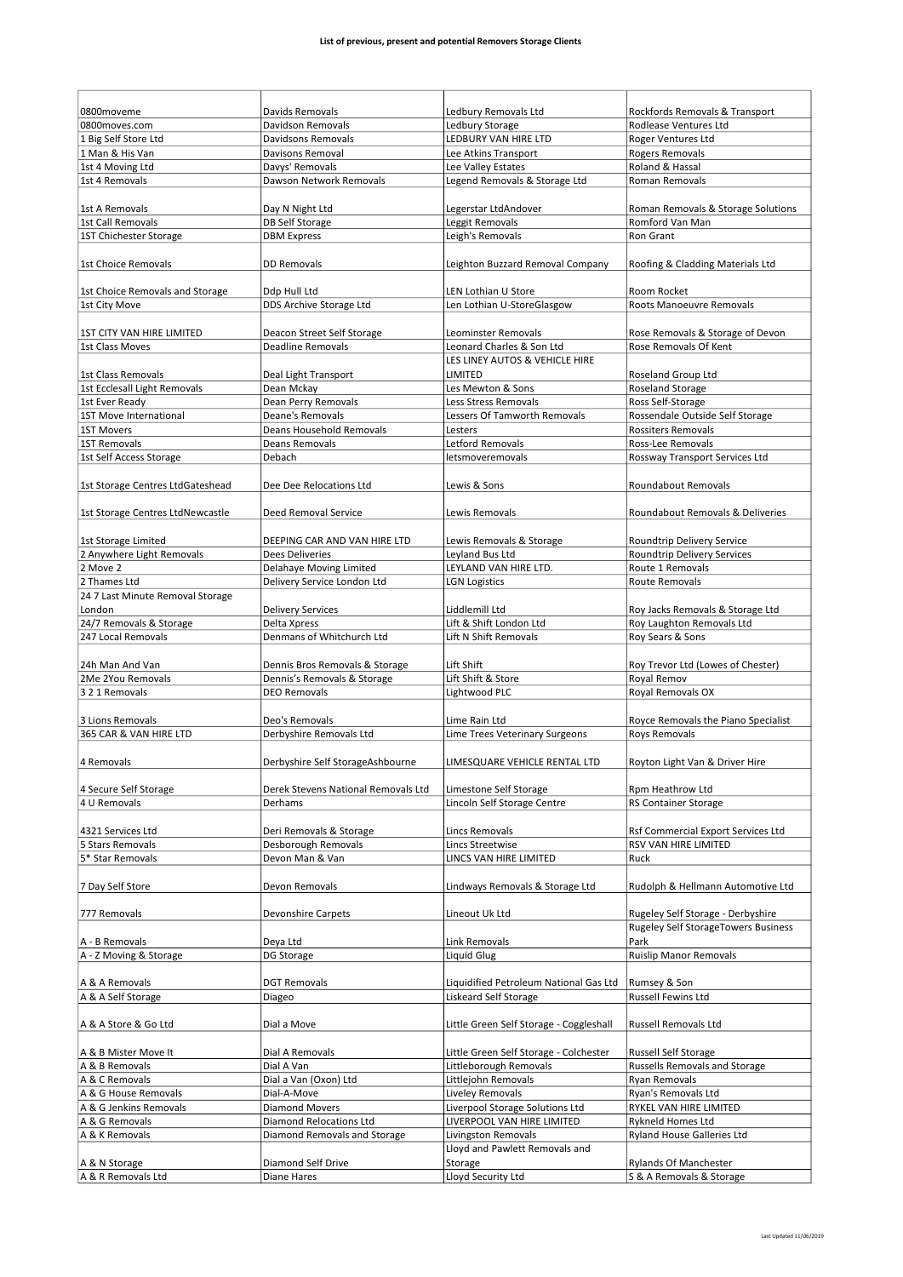| 0800moveme                          | Davids Removals                     | Ledbury Removals Ltd                    | Rockfords Removals & Transport                        |
|-------------------------------------|-------------------------------------|-----------------------------------------|-------------------------------------------------------|
| 0800moves.com                       | Davidson Removals                   | Ledbury Storage                         | Rodlease Ventures Ltd                                 |
| 1 Big Self Store Ltd                | Davidsons Removals                  | LEDBURY VAN HIRE LTD                    | <b>Roger Ventures Ltd</b>                             |
| 1 Man & His Van                     | Davisons Removal                    | Lee Atkins Transport                    | <b>Rogers Removals</b>                                |
| 1st 4 Moving Ltd                    | Davys' Removals                     | Lee Valley Estates                      | Roland & Hassal                                       |
| 1st 4 Removals                      | Dawson Network Removals             | Legend Removals & Storage Ltd           | Roman Removals                                        |
|                                     |                                     |                                         |                                                       |
| 1st A Removals<br>1st Call Removals | Day N Night Ltd                     | Legerstar LtdAndover                    | Roman Removals & Storage Solutions<br>Romford Van Man |
|                                     | <b>DB Self Storage</b>              | Leggit Removals                         |                                                       |
| 1ST Chichester Storage              | <b>DBM Express</b>                  | Leigh's Removals                        | Ron Grant                                             |
| 1st Choice Removals                 | <b>DD Removals</b>                  | Leighton Buzzard Removal Company        |                                                       |
|                                     |                                     |                                         | Roofing & Cladding Materials Ltd                      |
| 1st Choice Removals and Storage     | Ddp Hull Ltd                        | LEN Lothian U Store                     | Room Rocket                                           |
| 1st City Move                       | DDS Archive Storage Ltd             | Len Lothian U-StoreGlasgow              | Roots Manoeuvre Removals                              |
|                                     |                                     |                                         |                                                       |
| 1ST CITY VAN HIRE LIMITED           | Deacon Street Self Storage          | Leominster Removals                     | Rose Removals & Storage of Devon                      |
| 1st Class Moves                     | <b>Deadline Removals</b>            | Leonard Charles & Son Ltd               | Rose Removals Of Kent                                 |
|                                     |                                     | LES LINEY AUTOS & VEHICLE HIRE          |                                                       |
| 1st Class Removals                  | Deal Light Transport                | LIMITED                                 | Roseland Group Ltd                                    |
| 1st Ecclesall Light Removals        | Dean Mckay                          | Les Mewton & Sons                       | Roseland Storage                                      |
| 1st Ever Ready                      | Dean Perry Removals                 | Less Stress Removals                    | Ross Self-Storage                                     |
| 1ST Move International              | <b>Deane's Removals</b>             | Lessers Of Tamworth Removals            | Rossendale Outside Self Storage                       |
| <b>1ST Movers</b>                   | Deans Household Removals            | Lesters                                 | <b>Rossiters Removals</b>                             |
| <b>1ST Removals</b>                 | <b>Deans Removals</b>               | Letford Removals                        | Ross-Lee Removals                                     |
| 1st Self Access Storage             | Debach                              | letsmoveremovals                        | Rossway Transport Services Ltd                        |
|                                     |                                     |                                         |                                                       |
| 1st Storage Centres LtdGateshead    | Dee Dee Relocations Ltd             | Lewis & Sons                            | Roundabout Removals                                   |
|                                     |                                     |                                         |                                                       |
| 1st Storage Centres LtdNewcastle    | Deed Removal Service                | Lewis Removals                          | Roundabout Removals & Deliveries                      |
|                                     |                                     |                                         |                                                       |
| 1st Storage Limited                 | DEEPING CAR AND VAN HIRE LTD        | Lewis Removals & Storage                | Roundtrip Delivery Service                            |
| 2 Anywhere Light Removals           | <b>Dees Deliveries</b>              | Leyland Bus Ltd                         | Roundtrip Delivery Services                           |
| 2 Move 2                            | Delahaye Moving Limited             | LEYLAND VAN HIRE LTD.                   | Route 1 Removals                                      |
| 2 Thames Ltd                        | Delivery Service London Ltd         | <b>LGN Logistics</b>                    | Route Removals                                        |
| 24 7 Last Minute Removal Storage    |                                     |                                         |                                                       |
| London                              | <b>Delivery Services</b>            | Liddlemill Ltd                          | Roy Jacks Removals & Storage Ltd                      |
| 24/7 Removals & Storage             | Delta Xpress                        | Lift & Shift London Ltd                 | Roy Laughton Removals Ltd                             |
| 247 Local Removals                  | Denmans of Whitchurch Ltd           | Lift N Shift Removals                   | Roy Sears & Sons                                      |
|                                     |                                     |                                         |                                                       |
| 24h Man And Van                     | Dennis Bros Removals & Storage      | Lift Shift                              | Roy Trevor Ltd (Lowes of Chester)                     |
| 2Me 2You Removals                   | Dennis's Removals & Storage         | Lift Shift & Store                      | Royal Remov                                           |
| 3 2 1 Removals                      | <b>DEO Removals</b>                 | Lightwood PLC                           | Royal Removals OX                                     |
|                                     |                                     |                                         |                                                       |
| 3 Lions Removals                    | Deo's Removals                      | Lime Rain Ltd                           | Royce Removals the Piano Specialist                   |
| 365 CAR & VAN HIRE LTD              | Derbyshire Removals Ltd             | Lime Trees Veterinary Surgeons          | Roys Removals                                         |
|                                     |                                     |                                         |                                                       |
| 4 Removals                          | Derbyshire Self StorageAshbourne    | LIMESQUARE VEHICLE RENTAL LTD           | Royton Light Van & Driver Hire                        |
|                                     |                                     |                                         |                                                       |
| 4 Secure Self Storage               | Derek Stevens National Removals Ltd | Limestone Self Storage                  | Rpm Heathrow Ltd                                      |
| 4 U Removals                        | Derhams                             | Lincoln Self Storage Centre             | <b>RS Container Storage</b>                           |
|                                     |                                     |                                         |                                                       |
| 4321 Services Ltd                   | Deri Removals & Storage             | Lincs Removals                          | Rsf Commercial Export Services Ltd                    |
| 5 Stars Removals                    | Desborough Removals                 | Lincs Streetwise                        | RSV VAN HIRE LIMITED                                  |
| 5* Star Removals                    | Devon Man & Van                     | LINCS VAN HIRE LIMITED                  | Ruck                                                  |
|                                     |                                     |                                         |                                                       |
| 7 Day Self Store                    | Devon Removals                      | Lindways Removals & Storage Ltd         | Rudolph & Hellmann Automotive Ltd                     |
|                                     |                                     |                                         |                                                       |
| 777 Removals                        | <b>Devonshire Carpets</b>           | Lineout Uk Ltd                          | Rugeley Self Storage - Derbyshire                     |
|                                     |                                     |                                         | <b>Rugeley Self StorageTowers Business</b>            |
| A - B Removals                      | Deya Ltd                            | Link Removals                           | Park                                                  |
| A - Z Moving & Storage              | DG Storage                          | Liquid Glug                             | <b>Ruislip Manor Removals</b>                         |
|                                     |                                     |                                         |                                                       |
| A & A Removals                      | <b>DGT Removals</b>                 | Liquidified Petroleum National Gas Ltd  | Rumsey & Son                                          |
| A & A Self Storage                  | Diageo                              | Liskeard Self Storage                   | Russell Fewins Ltd                                    |
|                                     |                                     |                                         |                                                       |
| A & A Store & Go Ltd                | Dial a Move                         | Little Green Self Storage - Coggleshall | Russell Removals Ltd                                  |
|                                     |                                     |                                         |                                                       |
| A & B Mister Move It                | Dial A Removals                     | Little Green Self Storage - Colchester  | <b>Russell Self Storage</b>                           |
| A & B Removals                      | Dial A Van                          | Littleborough Removals                  | <b>Russells Removals and Storage</b>                  |
| A & C Removals                      | Dial a Van (Oxon) Ltd               | Littlejohn Removals                     | Ryan Removals                                         |
| A & G House Removals                | Dial-A-Move                         | Liveley Removals                        | Ryan's Removals Ltd                                   |
| A & G Jenkins Removals              | <b>Diamond Movers</b>               | Liverpool Storage Solutions Ltd         | RYKEL VAN HIRE LIMITED                                |
| A & G Removals                      | Diamond Relocations Ltd             | LIVERPOOL VAN HIRE LIMITED              | Rykneld Homes Ltd                                     |
| A & K Removals                      | Diamond Removals and Storage        | Livingston Removals                     | Ryland House Galleries Ltd                            |
|                                     |                                     | Lloyd and Pawlett Removals and          |                                                       |
| A & N Storage                       | Diamond Self Drive                  | Storage                                 | Rylands Of Manchester                                 |
| A & R Removals Ltd                  | Diane Hares                         | Lloyd Security Ltd                      | S & A Removals & Storage                              |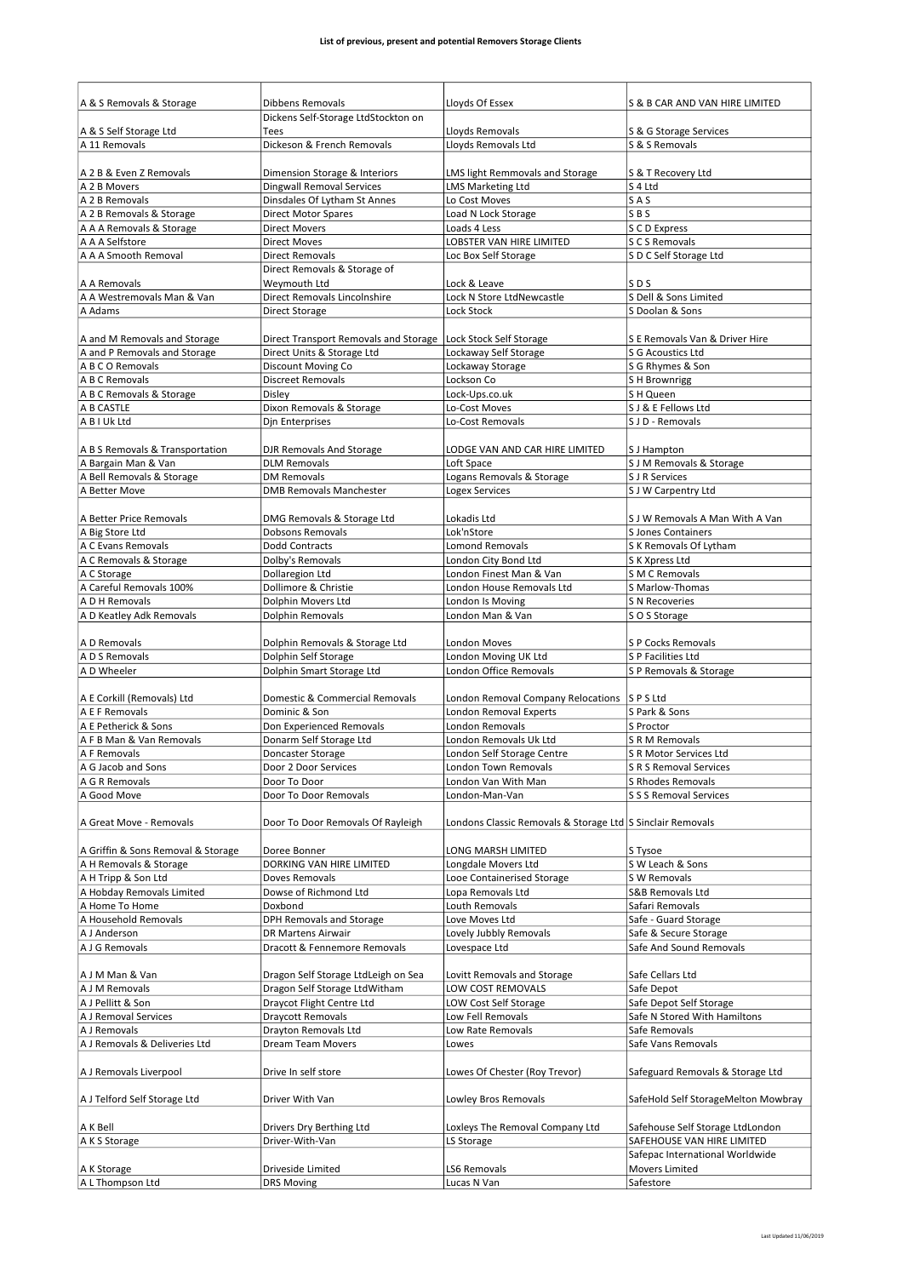| A & S Removals & Storage           | Dibbens Removals                      | Lloyds Of Essex                                            | S & B CAR AND VAN HIRE LIMITED                    |
|------------------------------------|---------------------------------------|------------------------------------------------------------|---------------------------------------------------|
|                                    | Dickens Self-Storage LtdStockton on   |                                                            |                                                   |
| A & S Self Storage Ltd             | Tees                                  | Lloyds Removals                                            | S & G Storage Services                            |
| A 11 Removals                      | Dickeson & French Removals            | Lloyds Removals Ltd                                        | S & S Removals                                    |
| A 2 B & Even Z Removals            | Dimension Storage & Interiors         | LMS light Remmovals and Storage                            | S & T Recovery Ltd                                |
| A 2 B Movers                       | <b>Dingwall Removal Services</b>      | <b>LMS Marketing Ltd</b>                                   | S 4 Ltd                                           |
| A 2 B Removals                     | Dinsdales Of Lytham St Annes          | Lo Cost Moves                                              | SAS                                               |
| A 2 B Removals & Storage           | <b>Direct Motor Spares</b>            | Load N Lock Storage                                        | SBS                                               |
| A A A Removals & Storage           | <b>Direct Movers</b>                  | Loads 4 Less                                               | S C D Express                                     |
| A A A Selfstore                    | <b>Direct Moves</b>                   | LOBSTER VAN HIRE LIMITED                                   | S C S Removals                                    |
| A A A Smooth Removal               | <b>Direct Removals</b>                | Loc Box Self Storage                                       | S D C Self Storage Ltd                            |
|                                    | Direct Removals & Storage of          |                                                            |                                                   |
| A A Removals                       | Weymouth Ltd                          | Lock & Leave                                               | SD <sub>S</sub>                                   |
| A A Westremovals Man & Van         | Direct Removals Lincolnshire          | Lock N Store LtdNewcastle                                  | S Dell & Sons Limited                             |
| A Adams                            | <b>Direct Storage</b>                 | Lock Stock                                                 | S Doolan & Sons                                   |
|                                    |                                       |                                                            |                                                   |
| A and M Removals and Storage       | Direct Transport Removals and Storage | Lock Stock Self Storage                                    | S E Removals Van & Driver Hire                    |
| A and P Removals and Storage       | Direct Units & Storage Ltd            | Lockaway Self Storage                                      | S G Acoustics Ltd                                 |
| A B C O Removals                   | Discount Moving Co                    | Lockaway Storage                                           | S G Rhymes & Son                                  |
| A B C Removals                     | <b>Discreet Removals</b>              | Lockson Co                                                 | S H Brownrigg                                     |
| A B C Removals & Storage           | Disley                                | Lock-Ups.co.uk                                             | S H Queen                                         |
| A B CASTLE                         | Dixon Removals & Storage              | Lo-Cost Moves                                              | S J & E Fellows Ltd                               |
| A B I Uk Ltd                       | Djn Enterprises                       | Lo-Cost Removals                                           | S J D - Removals                                  |
|                                    |                                       |                                                            |                                                   |
| A B S Removals & Transportation    | DJR Removals And Storage              | LODGE VAN AND CAR HIRE LIMITED                             | S J Hampton                                       |
| A Bargain Man & Van                | <b>DLM Removals</b>                   | Loft Space                                                 | S J M Removals & Storage                          |
| A Bell Removals & Storage          | <b>DM Removals</b>                    | Logans Removals & Storage                                  | S J R Services                                    |
| A Better Move                      | <b>DMB Removals Manchester</b>        | <b>Logex Services</b>                                      | S J W Carpentry Ltd                               |
|                                    |                                       |                                                            |                                                   |
| A Better Price Removals            | DMG Removals & Storage Ltd            | Lokadis Ltd                                                | S J W Removals A Man With A Van                   |
| A Big Store Ltd                    | <b>Dobsons Removals</b>               | Lok'nStore                                                 | <b>S Jones Containers</b>                         |
| A C Evans Removals                 | Dodd Contracts                        | <b>Lomond Removals</b>                                     | S K Removals Of Lytham                            |
| A C Removals & Storage             | Dolby's Removals                      | London City Bond Ltd                                       | S K Xpress Ltd                                    |
| A C Storage                        | Dollaregion Ltd                       | London Finest Man & Van                                    | S M C Removals                                    |
| A Careful Removals 100%            | Dollimore & Christie                  | London House Removals Ltd                                  | S Marlow-Thomas                                   |
| A D H Removals                     | Dolphin Movers Ltd                    | London Is Moving                                           | <b>S N Recoveries</b>                             |
| A D Keatley Adk Removals           | Dolphin Removals                      | London Man & Van                                           | S O S Storage                                     |
|                                    |                                       |                                                            |                                                   |
| A D Removals                       | Dolphin Removals & Storage Ltd        | London Moves                                               | S P Cocks Removals                                |
| A D S Removals                     | Dolphin Self Storage                  | London Moving UK Ltd                                       | S P Facilities Ltd                                |
| A D Wheeler                        | Dolphin Smart Storage Ltd             | <b>London Office Removals</b>                              | S P Removals & Storage                            |
|                                    |                                       |                                                            |                                                   |
| A E Corkill (Removals) Ltd         | Domestic & Commercial Removals        | London Removal Company Relocations                         | SPSLtd                                            |
| A E F Removals                     | Dominic & Son                         | London Removal Experts                                     | S Park & Sons                                     |
| A E Petherick & Sons               | Don Experienced Removals              | London Removals                                            | S Proctor                                         |
| A F B Man & Van Removals           | Donarm Self Storage Ltd               | London Removals Uk Ltd                                     | S R M Removals                                    |
| A F Removals                       | Doncaster Storage                     | London Self Storage Centre                                 | S R Motor Services Ltd                            |
| A G Jacob and Sons                 | Door 2 Door Services                  | London Town Removals                                       | S R S Removal Services                            |
| A G R Removals                     | Door To Door                          | London Van With Man                                        | S Rhodes Removals                                 |
| A Good Move                        | Door To Door Removals                 | London-Man-Van                                             | S S S Removal Services                            |
|                                    |                                       |                                                            |                                                   |
| A Great Move - Removals            | Door To Door Removals Of Rayleigh     | Londons Classic Removals & Storage Ltd S Sinclair Removals |                                                   |
|                                    |                                       |                                                            |                                                   |
| A Griffin & Sons Removal & Storage | Doree Bonner                          | LONG MARSH LIMITED                                         | S Tysoe                                           |
| A H Removals & Storage             | DORKING VAN HIRE LIMITED              | Longdale Movers Ltd                                        | S W Leach & Sons                                  |
| A H Tripp & Son Ltd                | Doves Removals                        | Looe Containerised Storage                                 | S W Removals                                      |
| A Hobday Removals Limited          | Dowse of Richmond Ltd                 | Lopa Removals Ltd                                          | S&B Removals Ltd                                  |
| A Home To Home                     |                                       |                                                            |                                                   |
| A Household Removals               | Doxbond                               | Louth Removals                                             | Safari Removals                                   |
| A J Anderson                       | DPH Removals and Storage              | Love Moves Ltd                                             | Safe - Guard Storage                              |
|                                    | DR Martens Airwair                    | Lovely Jubbly Removals                                     | Safe & Secure Storage                             |
| A J G Removals                     | Dracott & Fennemore Removals          | Lovespace Ltd                                              | Safe And Sound Removals                           |
|                                    |                                       |                                                            |                                                   |
| A J M Man & Van                    | Dragon Self Storage LtdLeigh on Sea   | Lovitt Removals and Storage                                | Safe Cellars Ltd                                  |
| A J M Removals                     | Dragon Self Storage LtdWitham         | LOW COST REMOVALS                                          | Safe Depot                                        |
| A J Pellitt & Son                  | Draycot Flight Centre Ltd             | LOW Cost Self Storage                                      | Safe Depot Self Storage                           |
| A J Removal Services               | <b>Draycott Removals</b>              | Low Fell Removals                                          | Safe N Stored With Hamiltons                      |
| A J Removals                       | Drayton Removals Ltd                  | Low Rate Removals                                          | Safe Removals                                     |
| A J Removals & Deliveries Ltd      | Dream Team Movers                     | Lowes                                                      | Safe Vans Removals                                |
|                                    |                                       |                                                            |                                                   |
| A J Removals Liverpool             | Drive In self store                   | Lowes Of Chester (Roy Trevor)                              | Safeguard Removals & Storage Ltd                  |
|                                    |                                       |                                                            |                                                   |
| A J Telford Self Storage Ltd       | Driver With Van                       | Lowley Bros Removals                                       | SafeHold Self StorageMelton Mowbray               |
|                                    |                                       |                                                            |                                                   |
| A K Bell                           | Drivers Dry Berthing Ltd              | Loxleys The Removal Company Ltd                            | Safehouse Self Storage LtdLondon                  |
| A K S Storage                      | Driver-With-Van                       | LS Storage                                                 | SAFEHOUSE VAN HIRE LIMITED                        |
| A K Storage                        | Driveside Limited                     | LS6 Removals                                               | Safepac International Worldwide<br>Movers Limited |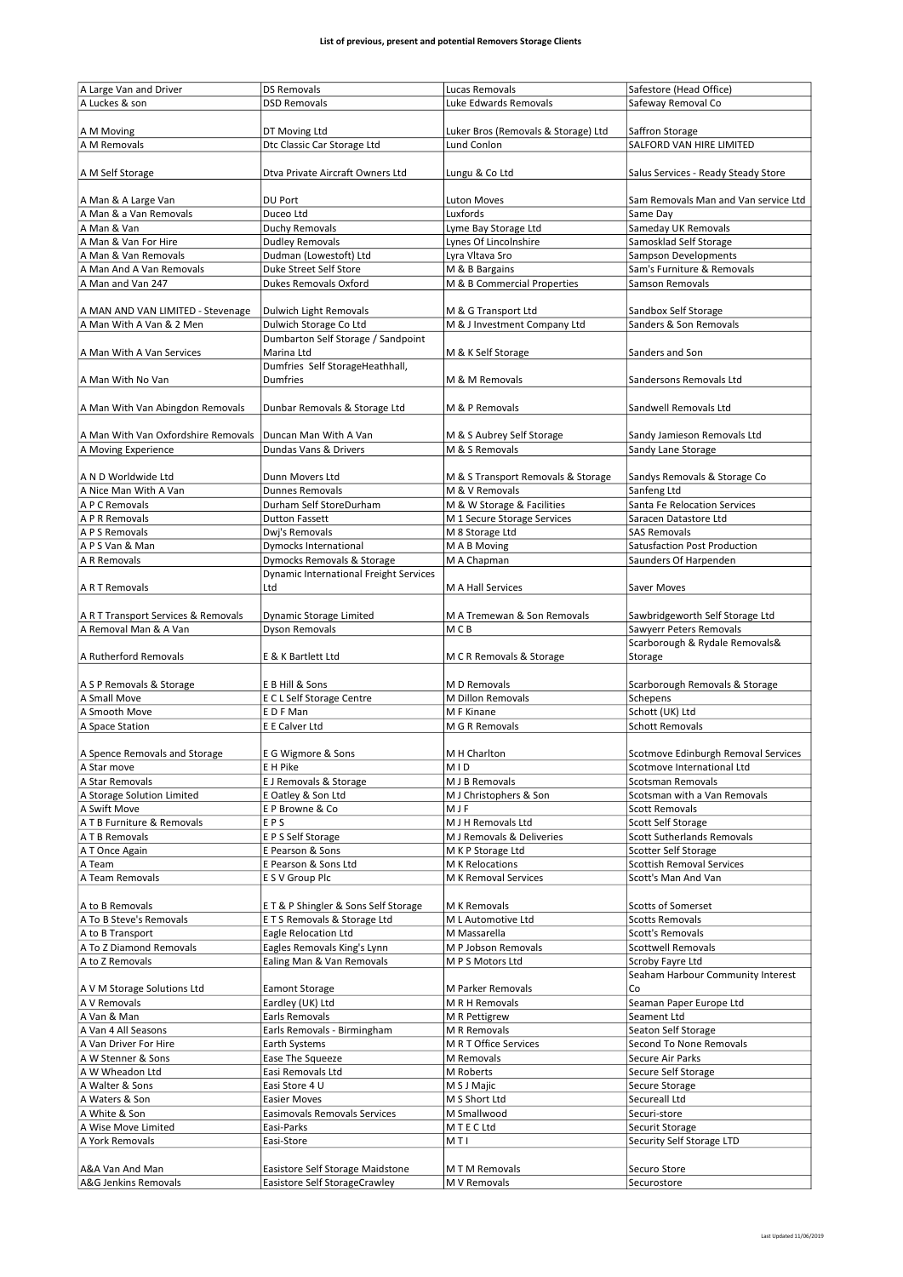| A Large Van and Driver                  | <b>DS Removals</b>                            | Lucas Removals                      | Safestore (Head Office)              |
|-----------------------------------------|-----------------------------------------------|-------------------------------------|--------------------------------------|
| A Luckes & son                          | <b>DSD Removals</b>                           | Luke Edwards Removals               | Safeway Removal Co                   |
|                                         |                                               |                                     |                                      |
|                                         |                                               |                                     |                                      |
| A M Moving                              | DT Moving Ltd                                 | Luker Bros (Removals & Storage) Ltd | Saffron Storage                      |
| A M Removals                            | Dtc Classic Car Storage Ltd                   | Lund Conlon                         | SALFORD VAN HIRE LIMITED             |
|                                         |                                               |                                     |                                      |
| A M Self Storage                        | Dtva Private Aircraft Owners Ltd              | Lungu & Co Ltd                      | Salus Services - Ready Steady Store  |
|                                         |                                               |                                     |                                      |
|                                         |                                               |                                     |                                      |
| A Man & A Large Van                     | DU Port                                       | <b>Luton Moves</b>                  | Sam Removals Man and Van service Ltd |
| A Man & a Van Removals                  | Duceo Ltd                                     | Luxfords                            | Same Day                             |
| A Man & Van                             | Duchy Removals                                | Lyme Bay Storage Ltd                | Sameday UK Removals                  |
| A Man & Van For Hire                    | <b>Dudley Removals</b>                        | Lynes Of Lincolnshire               | Samosklad Self Storage               |
| A Man & Van Removals                    | Dudman (Lowestoft) Ltd                        | Lyra Vltava Sro                     | Sampson Developments                 |
|                                         | Duke Street Self Store                        |                                     |                                      |
| A Man And A Van Removals                |                                               | M & B Bargains                      | Sam's Furniture & Removals           |
| A Man and Van 247                       | <b>Dukes Removals Oxford</b>                  | M & B Commercial Properties         | Samson Removals                      |
|                                         |                                               |                                     |                                      |
| A MAN AND VAN LIMITED - Stevenage       | Dulwich Light Removals                        | M & G Transport Ltd                 | Sandbox Self Storage                 |
| A Man With A Van & 2 Men                | Dulwich Storage Co Ltd                        | M & J Investment Company Ltd        | Sanders & Son Removals               |
|                                         | Dumbarton Self Storage / Sandpoint            |                                     |                                      |
|                                         |                                               |                                     |                                      |
| A Man With A Van Services               | Marina Ltd                                    | M & K Self Storage                  | Sanders and Son                      |
|                                         | Dumfries Self StorageHeathhall,               |                                     |                                      |
| A Man With No Van                       | <b>Dumfries</b>                               | M & M Removals                      | Sandersons Removals Ltd              |
|                                         |                                               |                                     |                                      |
| A Man With Van Abingdon Removals        | Dunbar Removals & Storage Ltd                 | M & P Removals                      | Sandwell Removals Ltd                |
|                                         |                                               |                                     |                                      |
|                                         | Duncan Man With A Van                         | M & S Aubrey Self Storage           |                                      |
| A Man With Van Oxfordshire Removals     |                                               |                                     | Sandy Jamieson Removals Ltd          |
| A Moving Experience                     | Dundas Vans & Drivers                         | M & S Removals                      | Sandy Lane Storage                   |
|                                         |                                               |                                     |                                      |
| A N D Worldwide Ltd                     | Dunn Movers Ltd                               | M & S Transport Removals & Storage  | Sandys Removals & Storage Co         |
| A Nice Man With A Van                   | <b>Dunnes Removals</b>                        | M & V Removals                      | Sanfeng Ltd                          |
| A P C Removals                          | Durham Self StoreDurham                       | M & W Storage & Facilities          | Santa Fe Relocation Services         |
| A P R Removals                          | <b>Dutton Fassett</b>                         | M 1 Secure Storage Services         | Saracen Datastore Ltd                |
|                                         |                                               |                                     |                                      |
| A P S Removals                          | Dwj's Removals                                | M 8 Storage Ltd                     | <b>SAS Removals</b>                  |
| A P S Van & Man                         | Dymocks International                         | M A B Moving                        | Satusfaction Post Production         |
| A R Removals                            | Dymocks Removals & Storage                    | M A Chapman                         | Saunders Of Harpenden                |
|                                         | <b>Dynamic International Freight Services</b> |                                     |                                      |
| A R T Removals                          | Ltd                                           | M A Hall Services                   | Saver Moves                          |
|                                         |                                               |                                     |                                      |
| A R T Transport Services & Removals     | Dynamic Storage Limited                       | M A Tremewan & Son Removals         | Sawbridgeworth Self Storage Ltd      |
| A Removal Man & A Van                   | Dyson Removals                                | M C B                               | Sawyerr Peters Removals              |
|                                         |                                               |                                     |                                      |
|                                         |                                               |                                     | Scarborough & Rydale Removals&       |
| A Rutherford Removals                   | E & K Bartlett Ltd                            | M C R Removals & Storage            | Storage                              |
|                                         |                                               |                                     |                                      |
| A S P Removals & Storage                | E B Hill & Sons                               | M D Removals                        | Scarborough Removals & Storage       |
| A Small Move                            | E C L Self Storage Centre                     | M Dillon Removals                   | Schepens                             |
| A Smooth Move                           | EDFMan                                        | M F Kinane                          | Schott (UK) Ltd                      |
| A Space Station                         | E E Calver Ltd                                | M G R Removals                      | <b>Schott Removals</b>               |
|                                         |                                               |                                     |                                      |
|                                         |                                               |                                     |                                      |
| A Spence Removals and Storage           | E G Wigmore & Sons                            | M H Charlton                        | Scotmove Edinburgh Removal Services  |
| A Star move                             | E H Pike                                      | MID                                 | Scotmove International Ltd           |
| A Star Removals                         | E J Removals & Storage                        | M J B Removals                      | Scotsman Removals                    |
| A Storage Solution Limited              | E Oatley & Son Ltd                            | M J Christophers & Son              | Scotsman with a Van Removals         |
| A Swift Move                            | E P Browne & Co                               | MJF                                 | <b>Scott Removals</b>                |
|                                         |                                               |                                     |                                      |
| A T B Furniture & Removals              | EPS                                           | M J H Removals Ltd                  | Scott Self Storage                   |
| A T B Removals                          | E P S Self Storage                            | M J Removals & Deliveries           | Scott Sutherlands Removals           |
| A T Once Again                          | E Pearson & Sons                              | M K P Storage Ltd                   | <b>Scotter Self Storage</b>          |
| A Team                                  | E Pearson & Sons Ltd                          | M K Relocations                     | <b>Scottish Removal Services</b>     |
| A Team Removals                         | E S V Group Plc                               | M K Removal Services                | Scott's Man And Van                  |
|                                         |                                               |                                     |                                      |
| A to B Removals                         | ET&P Shingler & Sons Self Storage             | M K Removals                        | Scotts of Somerset                   |
| A To B Steve's Removals                 | E T S Removals & Storage Ltd                  | M L Automotive Ltd                  | <b>Scotts Removals</b>               |
|                                         |                                               |                                     |                                      |
| A to B Transport                        | <b>Eagle Relocation Ltd</b>                   | M Massarella                        | Scott's Removals                     |
| A To Z Diamond Removals                 | Eagles Removals King's Lynn                   | M P Jobson Removals                 | <b>Scottwell Removals</b>            |
| A to Z Removals                         | Ealing Man & Van Removals                     | M P S Motors Ltd                    | Scroby Fayre Ltd                     |
|                                         |                                               |                                     | Seaham Harbour Community Interest    |
| A V M Storage Solutions Ltd             | <b>Eamont Storage</b>                         | M Parker Removals                   | Co                                   |
| A V Removals                            | Eardley (UK) Ltd                              | M R H Removals                      | Seaman Paper Europe Ltd              |
| A Van & Man                             | Earls Removals                                | M R Pettigrew                       | Seament Ltd                          |
| A Van 4 All Seasons                     | Earls Removals - Birmingham                   | M R Removals                        | Seaton Self Storage                  |
|                                         |                                               |                                     |                                      |
| A Van Driver For Hire                   | Earth Systems                                 | M R T Office Services               | Second To None Removals              |
| A W Stenner & Sons                      | Ease The Squeeze                              | M Removals                          | Secure Air Parks                     |
| A W Wheadon Ltd                         | Easi Removals Ltd                             | M Roberts                           | Secure Self Storage                  |
| A Walter & Sons                         | Easi Store 4 U                                | M S J Majic                         | Secure Storage                       |
| A Waters & Son                          | <b>Easier Moves</b>                           | M S Short Ltd                       | Secureall Ltd                        |
| A White & Son                           | Easimovals Removals Services                  | M Smallwood                         | Securi-store                         |
| A Wise Move Limited                     | Easi-Parks                                    | M T E C Ltd                         | Securit Storage                      |
| A York Removals                         | Easi-Store                                    | MTI                                 | Security Self Storage LTD            |
|                                         |                                               |                                     |                                      |
|                                         |                                               |                                     |                                      |
| A&A Van And Man<br>A&G Jenkins Removals | Easistore Self Storage Maidstone              | M T M Removals                      | Securo Store                         |
|                                         | Easistore Self StorageCrawley                 | M V Removals                        | Securostore                          |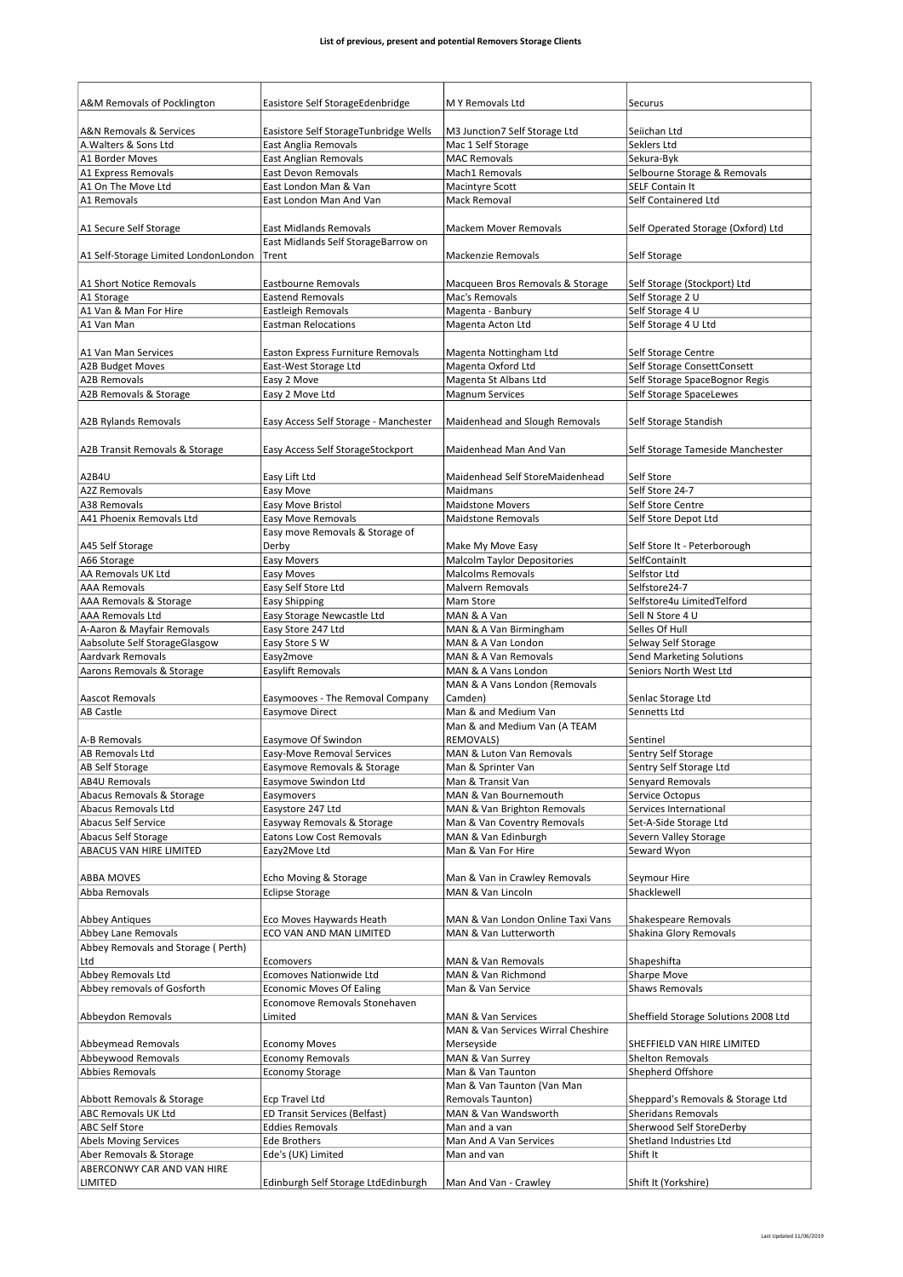| A&M Removals of Pocklington          | Easistore Self StorageEdenbridge      | M Y Removals Ltd                   | Securus                                  |
|--------------------------------------|---------------------------------------|------------------------------------|------------------------------------------|
|                                      |                                       |                                    |                                          |
| A&N Removals & Services              | Easistore Self StorageTunbridge Wells | M3 Junction7 Self Storage Ltd      | Seiichan Ltd                             |
| A. Walters & Sons Ltd                | East Anglia Removals                  | Mac 1 Self Storage                 | Seklers Ltd                              |
| A1 Border Moves                      | <b>East Anglian Removals</b>          | MAC Removals                       | Sekura-Byk                               |
| A1 Express Removals                  | <b>East Devon Removals</b>            | Mach1 Removals                     | Selbourne Storage & Removals             |
| A1 On The Move Ltd                   | East London Man & Van                 | Macintyre Scott                    | <b>SELF Contain It</b>                   |
| A1 Removals                          | East London Man And Van               | Mack Removal                       | Self Containered Ltd                     |
|                                      |                                       |                                    |                                          |
| A1 Secure Self Storage               | <b>East Midlands Removals</b>         | <b>Mackem Mover Removals</b>       | Self Operated Storage (Oxford) Ltd       |
|                                      | East Midlands Self StorageBarrow on   |                                    |                                          |
| A1 Self-Storage Limited LondonLondon | Trent                                 | Mackenzie Removals                 | Self Storage                             |
|                                      |                                       |                                    |                                          |
| A1 Short Notice Removals             | Eastbourne Removals                   | Macqueen Bros Removals & Storage   | Self Storage (Stockport) Ltd             |
| A1 Storage                           | <b>Eastend Removals</b>               | Mac's Removals                     | Self Storage 2 U                         |
| A1 Van & Man For Hire                | Eastleigh Removals                    | Magenta - Banbury                  | Self Storage 4 U<br>Self Storage 4 U Ltd |
| A1 Van Man                           | <b>Eastman Relocations</b>            | Magenta Acton Ltd                  |                                          |
| A1 Van Man Services                  | Easton Express Furniture Removals     | Magenta Nottingham Ltd             | Self Storage Centre                      |
| A2B Budget Moves                     | East-West Storage Ltd                 | Magenta Oxford Ltd                 | Self Storage ConsettConsett              |
| <b>A2B Removals</b>                  | Easy 2 Move                           | Magenta St Albans Ltd              | Self Storage SpaceBognor Regis           |
| A2B Removals & Storage               | Easy 2 Move Ltd                       | Magnum Services                    | Self Storage SpaceLewes                  |
|                                      |                                       |                                    |                                          |
| <b>A2B Rylands Removals</b>          | Easy Access Self Storage - Manchester | Maidenhead and Slough Removals     | Self Storage Standish                    |
|                                      |                                       |                                    |                                          |
| A2B Transit Removals & Storage       | Easy Access Self StorageStockport     | Maidenhead Man And Van             | Self Storage Tameside Manchester         |
|                                      |                                       |                                    |                                          |
| A2B4U                                | Easy Lift Ltd                         | Maidenhead Self StoreMaidenhead    | Self Store                               |
| <b>A2Z Removals</b>                  | Easy Move                             | Maidmans                           | Self Store 24-7                          |
| A38 Removals                         | Easy Move Bristol                     | Maidstone Movers                   | Self Store Centre                        |
| A41 Phoenix Removals Ltd             | <b>Easy Move Removals</b>             | <b>Maidstone Removals</b>          | Self Store Depot Ltd                     |
|                                      | Easy move Removals & Storage of       |                                    |                                          |
| A45 Self Storage                     | Derby                                 | Make My Move Easy                  | Self Store It - Peterborough             |
| A66 Storage                          | <b>Easy Movers</b>                    | <b>Malcolm Taylor Depositories</b> | SelfContainIt                            |
| AA Removals UK Ltd                   | Easy Moves                            | <b>Malcolms Removals</b>           | Selfstor Ltd                             |
| <b>AAA Removals</b>                  | Easy Self Store Ltd                   | <b>Malvern Removals</b>            | Selfstore24-7                            |
| AAA Removals & Storage               | <b>Easy Shipping</b>                  | Mam Store                          | Selfstore4u LimitedTelford               |
| AAA Removals Ltd                     | Easy Storage Newcastle Ltd            | MAN & A Van                        | Sell N Store 4 U                         |
| A-Aaron & Mayfair Removals           | Easy Store 247 Ltd                    | MAN & A Van Birmingham             | Selles Of Hull                           |
| Aabsolute Self StorageGlasgow        | Easy Store S W                        | MAN & A Van London                 | Selway Self Storage                      |
| <b>Aardvark Removals</b>             | Easy2move                             | MAN & A Van Removals               | Send Marketing Solutions                 |
| Aarons Removals & Storage            | Easylift Removals                     | MAN & A Vans London                | Seniors North West Ltd                   |
|                                      |                                       | MAN & A Vans London (Removals      |                                          |
| Aascot Removals                      | Easymooves - The Removal Company      | Camden)                            | Senlac Storage Ltd                       |
| <b>AB Castle</b>                     | Easymove Direct                       | Man & and Medium Van               | Sennetts Ltd                             |
|                                      |                                       | Man & and Medium Van (A TEAM       |                                          |
| A-B Removals                         | Easymove Of Swindon                   | <b>REMOVALS)</b>                   | Sentinel                                 |
| <b>AB Removals Ltd</b>               | <b>Easy-Move Removal Services</b>     | MAN & Luton Van Removals           | Sentry Self Storage                      |
| AB Self Storage                      | Easymove Removals & Storage           | Man & Sprinter Van                 | Sentry Self Storage Ltd                  |
| <b>AB4U Removals</b>                 | Easymove Swindon Ltd                  | Man & Transit Van                  | Senyard Removals                         |
| Abacus Removals & Storage            | Easymovers                            | MAN & Van Bournemouth              | Service Octopus                          |
| Abacus Removals Ltd                  | Easystore 247 Ltd                     | MAN & Van Brighton Removals        | Services International                   |
| <b>Abacus Self Service</b>           | Easyway Removals & Storage            | Man & Van Coventry Removals        | Set-A-Side Storage Ltd                   |
| Abacus Self Storage                  | <b>Eatons Low Cost Removals</b>       | MAN & Van Edinburgh                | Severn Valley Storage                    |
| ABACUS VAN HIRE LIMITED              | Eazy2Move Ltd                         | Man & Van For Hire                 | Seward Wyon                              |
|                                      |                                       |                                    |                                          |
| ABBA MOVES                           | Echo Moving & Storage                 | Man & Van in Crawley Removals      | Seymour Hire                             |
| Abba Removals                        | <b>Eclipse Storage</b>                | MAN & Van Lincoln                  | Shacklewell                              |
|                                      |                                       |                                    |                                          |
| <b>Abbey Antiques</b>                | Eco Moves Haywards Heath              | MAN & Van London Online Taxi Vans  | Shakespeare Removals                     |
| Abbey Lane Removals                  | ECO VAN AND MAN LIMITED               | MAN & Van Lutterworth              | Shakina Glory Removals                   |
| Abbey Removals and Storage (Perth)   |                                       |                                    |                                          |
| Ltd                                  | Ecomovers                             | MAN & Van Removals                 | Shapeshifta                              |
| Abbey Removals Ltd                   | Ecomoves Nationwide Ltd               | MAN & Van Richmond                 | <b>Sharpe Move</b>                       |
| Abbey removals of Gosforth           | <b>Economic Moves Of Ealing</b>       | Man & Van Service                  | <b>Shaws Removals</b>                    |
|                                      | Economove Removals Stonehaven         |                                    |                                          |
| Abbeydon Removals                    | Limited                               | MAN & Van Services                 | Sheffield Storage Solutions 2008 Ltd     |
|                                      |                                       | MAN & Van Services Wirral Cheshire |                                          |
| Abbeymead Removals                   | <b>Economy Moves</b>                  | Merseyside                         | SHEFFIELD VAN HIRE LIMITED               |
| Abbeywood Removals                   | <b>Economy Removals</b>               | MAN & Van Surrey                   | Shelton Removals                         |
| <b>Abbies Removals</b>               | <b>Economy Storage</b>                | Man & Van Taunton                  | Shepherd Offshore                        |
|                                      |                                       | Man & Van Taunton (Van Man         |                                          |
| Abbott Removals & Storage            | Ecp Travel Ltd                        | Removals Taunton)                  | Sheppard's Removals & Storage Ltd        |
| ABC Removals UK Ltd                  | <b>ED Transit Services (Belfast)</b>  | MAN & Van Wandsworth               | <b>Sheridans Removals</b>                |
| ABC Self Store                       | <b>Eddies Removals</b>                | Man and a van                      | Sherwood Self StoreDerby                 |
| <b>Abels Moving Services</b>         | Ede Brothers                          | Man And A Van Services             | Shetland Industries Ltd                  |
| Aber Removals & Storage              | Ede's (UK) Limited                    | Man and van                        | Shift It                                 |
| ABERCONWY CAR AND VAN HIRE           |                                       |                                    |                                          |
| <b>LIMITED</b>                       | Edinburgh Self Storage LtdEdinburgh   | Man And Van - Crawley              | Shift It (Yorkshire)                     |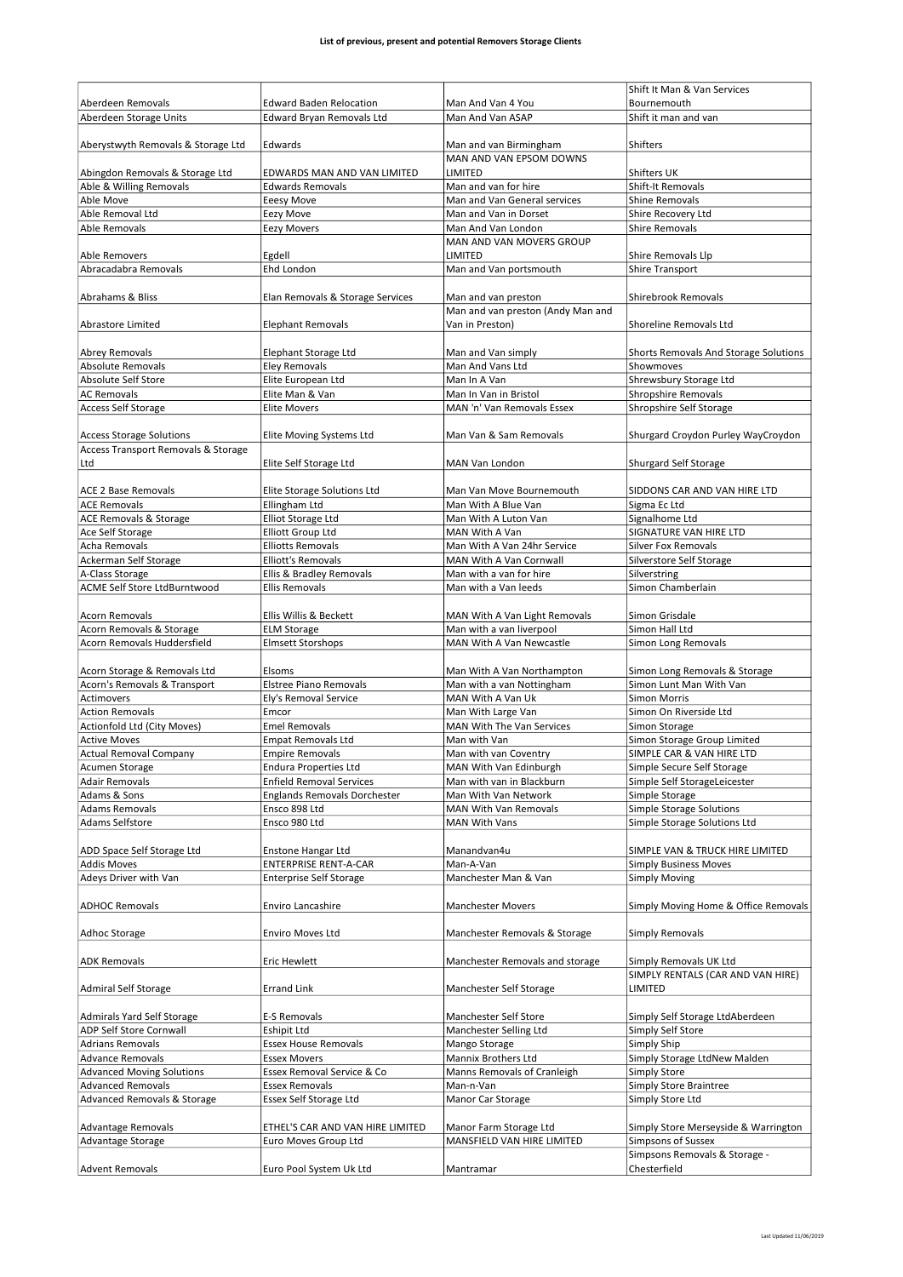|                                     |                                     |                                   | Shift It Man & Van Services                   |
|-------------------------------------|-------------------------------------|-----------------------------------|-----------------------------------------------|
| Aberdeen Removals                   | <b>Edward Baden Relocation</b>      | Man And Van 4 You                 | Bournemouth                                   |
| Aberdeen Storage Units              | Edward Bryan Removals Ltd           | Man And Van ASAP                  | Shift it man and van                          |
|                                     |                                     |                                   |                                               |
| Aberystwyth Removals & Storage Ltd  | Edwards                             | Man and van Birmingham            | Shifters                                      |
|                                     |                                     | MAN AND VAN EPSOM DOWNS           |                                               |
| Abingdon Removals & Storage Ltd     | EDWARDS MAN AND VAN LIMITED         | LIMITED                           | Shifters UK                                   |
| Able & Willing Removals             | <b>Edwards Removals</b>             | Man and van for hire              | Shift-It Removals                             |
| Able Move                           | <b>Eeesy Move</b>                   | Man and Van General services      | <b>Shine Removals</b>                         |
| Able Removal Ltd                    | Eezy Move                           | Man and Van in Dorset             | Shire Recovery Ltd                            |
| <b>Able Removals</b>                | <b>Eezy Movers</b>                  | Man And Van London                | <b>Shire Removals</b>                         |
|                                     |                                     | MAN AND VAN MOVERS GROUP          |                                               |
| Able Removers                       | Egdell                              | LIMITED                           | Shire Removals Llp                            |
| Abracadabra Removals                | Ehd London                          | Man and Van portsmouth            | <b>Shire Transport</b>                        |
|                                     |                                     |                                   |                                               |
| Abrahams & Bliss                    | Elan Removals & Storage Services    | Man and van preston               | Shirebrook Removals                           |
|                                     |                                     | Man and van preston (Andy Man and |                                               |
| Abrastore Limited                   | Elephant Removals                   | Van in Preston)                   | Shoreline Removals Ltd                        |
|                                     |                                     |                                   |                                               |
| <b>Abrey Removals</b>               | Elephant Storage Ltd                | Man and Van simply                | Shorts Removals And Storage Solutions         |
| <b>Absolute Removals</b>            | <b>Eley Removals</b>                | Man And Vans Ltd                  | Showmoves                                     |
| <b>Absolute Self Store</b>          | Elite European Ltd                  | Man In A Van                      | Shrewsbury Storage Ltd                        |
| <b>AC Removals</b>                  | Elite Man & Van                     | Man In Van in Bristol             | <b>Shropshire Removals</b>                    |
| Access Self Storage                 | Elite Movers                        | MAN 'n' Van Removals Essex        | Shropshire Self Storage                       |
|                                     |                                     |                                   |                                               |
| <b>Access Storage Solutions</b>     | Elite Moving Systems Ltd            | Man Van & Sam Removals            | Shurgard Croydon Purley WayCroydon            |
| Access Transport Removals & Storage |                                     |                                   |                                               |
| Ltd                                 | Elite Self Storage Ltd              | MAN Van London                    | Shurgard Self Storage                         |
|                                     |                                     |                                   |                                               |
| <b>ACE 2 Base Removals</b>          | Elite Storage Solutions Ltd         | Man Van Move Bournemouth          | SIDDONS CAR AND VAN HIRE LTD                  |
| <b>ACE Removals</b>                 | Ellingham Ltd                       | Man With A Blue Van               | Sigma Ec Ltd                                  |
| ACE Removals & Storage              | Elliot Storage Ltd                  | Man With A Luton Van              | Signalhome Ltd                                |
| Ace Self Storage                    | Elliott Group Ltd                   | MAN With A Van                    | SIGNATURE VAN HIRE LTD                        |
| Acha Removals                       | <b>Elliotts Removals</b>            | Man With A Van 24hr Service       | <b>Silver Fox Removals</b>                    |
| Ackerman Self Storage               | <b>Elliott's Removals</b>           | MAN With A Van Cornwall           | Silverstore Self Storage                      |
| A-Class Storage                     | Ellis & Bradley Removals            | Man with a van for hire           | Silverstring                                  |
| ACME Self Store LtdBurntwood        | <b>Ellis Removals</b>               | Man with a Van leeds              | Simon Chamberlain                             |
|                                     |                                     |                                   |                                               |
| Acorn Removals                      | Ellis Willis & Beckett              | MAN With A Van Light Removals     | Simon Grisdale                                |
| Acorn Removals & Storage            | <b>ELM Storage</b>                  | Man with a van liverpool          | Simon Hall Ltd                                |
|                                     |                                     |                                   |                                               |
|                                     |                                     |                                   |                                               |
| Acorn Removals Huddersfield         | <b>Elmsett Storshops</b>            | MAN With A Van Newcastle          | Simon Long Removals                           |
|                                     |                                     |                                   |                                               |
| Acorn Storage & Removals Ltd        | Elsoms                              | Man With A Van Northampton        | Simon Long Removals & Storage                 |
| Acorn's Removals & Transport        | <b>Elstree Piano Removals</b>       | Man with a van Nottingham         | Simon Lunt Man With Van                       |
| Actimovers                          | Ely's Removal Service               | MAN With A Van Uk                 | <b>Simon Morris</b>                           |
| <b>Action Removals</b>              | Emcor                               | Man With Large Van                | Simon On Riverside Ltd                        |
| Actionfold Ltd (City Moves)         | <b>Emel Removals</b>                | MAN With The Van Services         | Simon Storage                                 |
| <b>Active Moves</b>                 | <b>Empat Removals Ltd</b>           | Man with Van                      | Simon Storage Group Limited                   |
| <b>Actual Removal Company</b>       | <b>Empire Removals</b>              | Man with van Coventry             | SIMPLE CAR & VAN HIRE LTD                     |
| Acumen Storage                      | <b>Endura Properties Ltd</b>        | MAN With Van Edinburgh            | Simple Secure Self Storage                    |
| <b>Adair Removals</b>               | <b>Enfield Removal Services</b>     | Man with van in Blackburn         | Simple Self StorageLeicester                  |
| Adams & Sons                        | <b>Englands Removals Dorchester</b> | Man With Van Network              | Simple Storage                                |
| <b>Adams Removals</b>               | Ensco 898 Ltd                       | MAN With Van Removals             | <b>Simple Storage Solutions</b>               |
| Adams Selfstore                     | Ensco 980 Ltd                       | <b>MAN With Vans</b>              | Simple Storage Solutions Ltd                  |
|                                     |                                     |                                   |                                               |
| ADD Space Self Storage Ltd          | <b>Enstone Hangar Ltd</b>           | Manandvan4u                       | SIMPLE VAN & TRUCK HIRE LIMITED               |
| <b>Addis Moves</b>                  | <b>ENTERPRISE RENT-A-CAR</b>        | Man-A-Van                         | <b>Simply Business Moves</b>                  |
| Adeys Driver with Van               | <b>Enterprise Self Storage</b>      | Manchester Man & Van              | <b>Simply Moving</b>                          |
|                                     |                                     |                                   |                                               |
| <b>ADHOC Removals</b>               | Enviro Lancashire                   | <b>Manchester Movers</b>          | Simply Moving Home & Office Removals          |
|                                     |                                     |                                   |                                               |
| Adhoc Storage                       | <b>Enviro Moves Ltd</b>             | Manchester Removals & Storage     | <b>Simply Removals</b>                        |
|                                     |                                     |                                   |                                               |
| <b>ADK Removals</b>                 | <b>Eric Hewlett</b>                 | Manchester Removals and storage   | Simply Removals UK Ltd                        |
|                                     |                                     |                                   | SIMPLY RENTALS (CAR AND VAN HIRE)             |
| <b>Admiral Self Storage</b>         | <b>Errand Link</b>                  | Manchester Self Storage           | LIMITED                                       |
|                                     |                                     |                                   |                                               |
| Admirals Yard Self Storage          | E-S Removals                        | Manchester Self Store             | Simply Self Storage LtdAberdeen               |
| ADP Self Store Cornwall             | <b>Eshipit Ltd</b>                  | Manchester Selling Ltd            | Simply Self Store                             |
| <b>Adrians Removals</b>             | <b>Essex House Removals</b>         | Mango Storage                     | Simply Ship                                   |
| <b>Advance Removals</b>             | <b>Essex Movers</b>                 | <b>Mannix Brothers Ltd</b>        | Simply Storage LtdNew Malden                  |
| <b>Advanced Moving Solutions</b>    | Essex Removal Service & Co          | Manns Removals of Cranleigh       | <b>Simply Store</b>                           |
| <b>Advanced Removals</b>            | <b>Essex Removals</b>               | Man-n-Van                         | <b>Simply Store Braintree</b>                 |
| Advanced Removals & Storage         | Essex Self Storage Ltd              | Manor Car Storage                 | Simply Store Ltd                              |
|                                     |                                     |                                   |                                               |
|                                     |                                     |                                   |                                               |
| Advantage Removals                  | ETHEL'S CAR AND VAN HIRE LIMITED    | Manor Farm Storage Ltd            | Simply Store Merseyside & Warrington          |
| Advantage Storage                   | Euro Moves Group Ltd                | MANSFIELD VAN HIRE LIMITED        | <b>Simpsons of Sussex</b>                     |
| <b>Advent Removals</b>              | Euro Pool System Uk Ltd             | Mantramar                         | Simpsons Removals & Storage -<br>Chesterfield |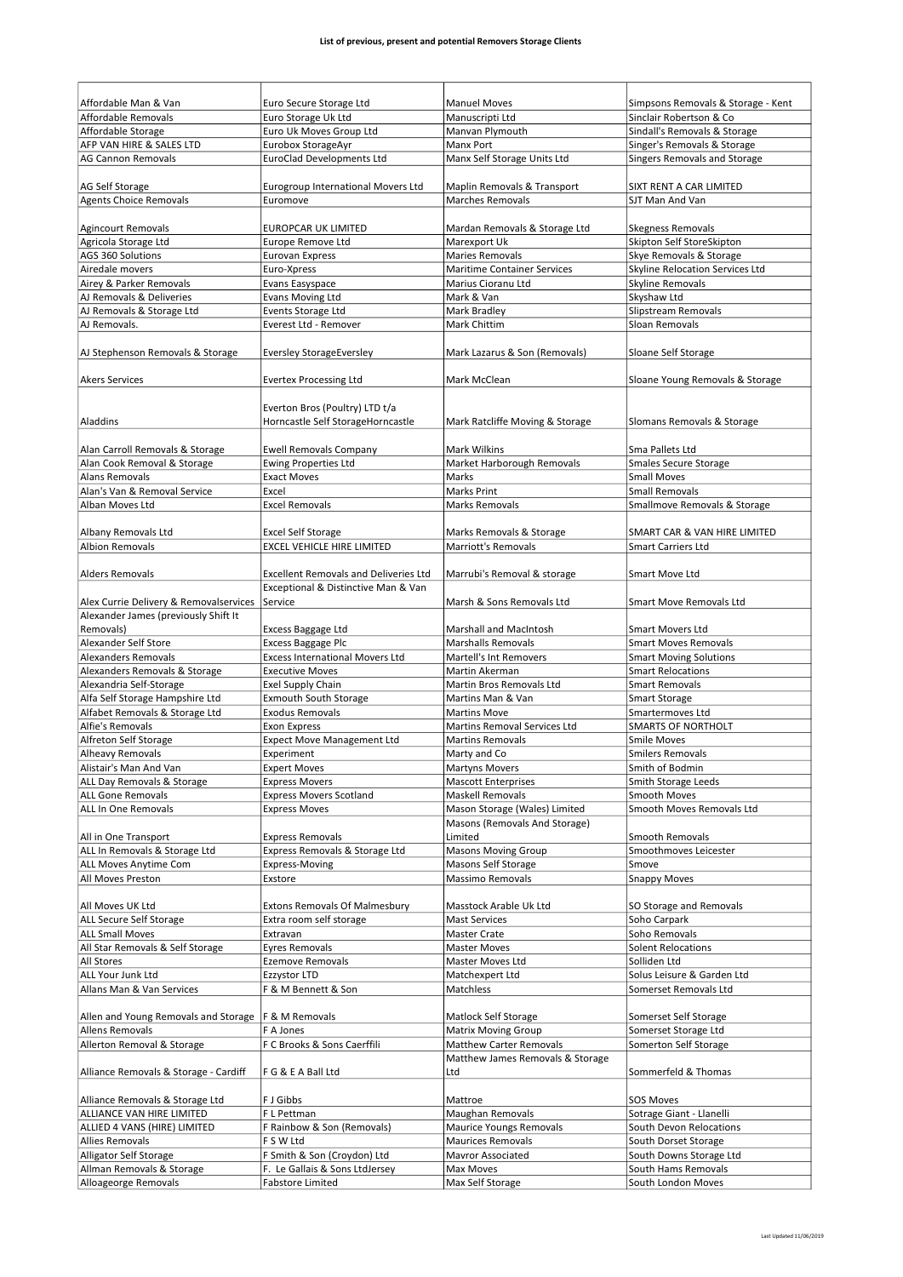| Affordable Man & Van                   | Euro Secure Storage Ltd                      | <b>Manuel Moves</b>                                 | Simpsons Removals & Storage - Kent            |
|----------------------------------------|----------------------------------------------|-----------------------------------------------------|-----------------------------------------------|
| <b>Affordable Removals</b>             | Euro Storage Uk Ltd                          | Manuscripti Ltd                                     | Sinclair Robertson & Co                       |
| Affordable Storage                     | Euro Uk Moves Group Ltd                      | Manvan Plymouth                                     | Sindall's Removals & Storage                  |
| AFP VAN HIRE & SALES LTD               | Eurobox StorageAyr                           | Manx Port                                           | Singer's Removals & Storage                   |
| <b>AG Cannon Removals</b>              | <b>EuroClad Developments Ltd</b>             | Manx Self Storage Units Ltd                         | Singers Removals and Storage                  |
|                                        |                                              |                                                     |                                               |
|                                        |                                              |                                                     |                                               |
| AG Self Storage                        | Eurogroup International Movers Ltd           | Maplin Removals & Transport                         | SIXT RENT A CAR LIMITED                       |
| <b>Agents Choice Removals</b>          | Euromove                                     | <b>Marches Removals</b>                             | SJT Man And Van                               |
|                                        |                                              |                                                     |                                               |
| <b>Agincourt Removals</b>              | EUROPCAR UK LIMITED                          | Mardan Removals & Storage Ltd                       | <b>Skegness Removals</b>                      |
| Agricola Storage Ltd                   | Europe Remove Ltd                            | Marexport Uk                                        | Skipton Self StoreSkipton                     |
| AGS 360 Solutions                      | <b>Eurovan Express</b>                       | <b>Maries Removals</b>                              | Skye Removals & Storage                       |
| Airedale movers                        | Euro-Xpress                                  | <b>Maritime Container Services</b>                  | Skyline Relocation Services Ltd               |
| Airey & Parker Removals                | Evans Easyspace                              | Marius Cioranu Ltd                                  | Skyline Removals                              |
| AJ Removals & Deliveries               | Evans Moving Ltd                             | Mark & Van                                          | Skyshaw Ltd                                   |
| AJ Removals & Storage Ltd              | Events Storage Ltd                           | Mark Bradley                                        | Slipstream Removals                           |
| AJ Removals.                           | Everest Ltd - Remover                        | Mark Chittim                                        | Sloan Removals                                |
|                                        |                                              |                                                     |                                               |
| AJ Stephenson Removals & Storage       | <b>Eversley StorageEversley</b>              | Mark Lazarus & Son (Removals)                       | Sloane Self Storage                           |
|                                        |                                              |                                                     |                                               |
| <b>Akers Services</b>                  | <b>Evertex Processing Ltd</b>                | Mark McClean                                        | Sloane Young Removals & Storage               |
|                                        |                                              |                                                     |                                               |
|                                        | Everton Bros (Poultry) LTD t/a               |                                                     |                                               |
| Aladdins                               | Horncastle Self StorageHorncastle            | Mark Ratcliffe Moving & Storage                     | Slomans Removals & Storage                    |
|                                        |                                              |                                                     |                                               |
| Alan Carroll Removals & Storage        | <b>Ewell Removals Company</b>                | <b>Mark Wilkins</b>                                 | Sma Pallets Ltd                               |
| Alan Cook Removal & Storage            | <b>Ewing Properties Ltd</b>                  | Market Harborough Removals                          | <b>Smales Secure Storage</b>                  |
|                                        |                                              |                                                     |                                               |
| <b>Alans Removals</b>                  | <b>Exact Moves</b>                           | Marks                                               | <b>Small Moves</b>                            |
| Alan's Van & Removal Service           | Excel                                        | <b>Marks Print</b>                                  | <b>Small Removals</b>                         |
| Alban Moves Ltd                        | <b>Excel Removals</b>                        | <b>Marks Removals</b>                               | Smallmove Removals & Storage                  |
|                                        |                                              |                                                     |                                               |
| Albany Removals Ltd                    | <b>Excel Self Storage</b>                    | Marks Removals & Storage                            | SMART CAR & VAN HIRE LIMITED                  |
| <b>Albion Removals</b>                 | EXCEL VEHICLE HIRE LIMITED                   | <b>Marriott's Removals</b>                          | Smart Carriers Ltd                            |
|                                        |                                              |                                                     |                                               |
| <b>Alders Removals</b>                 | <b>Excellent Removals and Deliveries Ltd</b> | Marrubi's Removal & storage                         | Smart Move Ltd                                |
|                                        | Exceptional & Distinctive Man & Van          |                                                     |                                               |
| Alex Currie Delivery & Removalservices | Service                                      | Marsh & Sons Removals Ltd                           | <b>Smart Move Removals Ltd</b>                |
| Alexander James (previously Shift It   |                                              |                                                     |                                               |
| Removals)                              | Excess Baggage Ltd                           | <b>Marshall and MacIntosh</b>                       | <b>Smart Movers Ltd</b>                       |
| Alexander Self Store                   | <b>Excess Baggage Plc</b>                    | <b>Marshalls Removals</b>                           | <b>Smart Moves Removals</b>                   |
| <b>Alexanders Removals</b>             | <b>Excess International Movers Ltd</b>       |                                                     |                                               |
|                                        |                                              | Martell's Int Removers                              | <b>Smart Moving Solutions</b>                 |
| Alexanders Removals & Storage          | <b>Executive Moves</b>                       | Martin Akerman                                      | <b>Smart Relocations</b>                      |
| Alexandria Self-Storage                | <b>Exel Supply Chain</b>                     | Martin Bros Removals Ltd                            | <b>Smart Removals</b>                         |
| Alfa Self Storage Hampshire Ltd        | <b>Exmouth South Storage</b>                 | Martins Man & Van                                   | <b>Smart Storage</b>                          |
| Alfabet Removals & Storage Ltd         | <b>Exodus Removals</b>                       | <b>Martins Move</b>                                 | Smartermoves Ltd                              |
|                                        | Exon Express                                 | Martins Removal Services Ltd                        | <b>SMARTS OF NORTHOLT</b>                     |
| Alfie's Removals                       |                                              |                                                     |                                               |
| Alfreton Self Storage                  | <b>Expect Move Management Ltd</b>            | <b>Martins Removals</b>                             | <b>Smile Moves</b>                            |
| Alheavy Removals                       | Experiment                                   | Marty and Co                                        | <b>Smilers Removals</b>                       |
|                                        |                                              |                                                     |                                               |
| Alistair's Man And Van                 | <b>Expert Moves</b>                          | <b>Martyns Movers</b><br><b>Mascott Enterprises</b> | Smith of Bodmin<br><b>Smith Storage Leeds</b> |
| ALL Day Removals & Storage             | <b>Express Movers</b>                        |                                                     |                                               |
| <b>ALL Gone Removals</b>               | <b>Express Movers Scotland</b>               | <b>Maskell Removals</b>                             | Smooth Moves                                  |
| ALL In One Removals                    | <b>Express Moves</b>                         | Mason Storage (Wales) Limited                       | Smooth Moves Removals Ltd                     |
|                                        |                                              | Masons (Removals And Storage)                       |                                               |
| All in One Transport                   | <b>Express Removals</b>                      | Limited                                             | <b>Smooth Removals</b>                        |
| ALL In Removals & Storage Ltd          | Express Removals & Storage Ltd               | Masons Moving Group                                 | Smoothmoves Leicester                         |
| ALL Moves Anytime Com                  | <b>Express-Moving</b>                        | Masons Self Storage                                 | Smove                                         |
| All Moves Preston                      | Exstore                                      | Massimo Removals                                    | <b>Snappy Moves</b>                           |
|                                        |                                              |                                                     |                                               |
| All Moves UK Ltd                       | <b>Extons Removals Of Malmesbury</b>         | Masstock Arable Uk Ltd                              | SO Storage and Removals                       |
| ALL Secure Self Storage                | Extra room self storage                      | <b>Mast Services</b>                                | Soho Carpark                                  |
| <b>ALL Small Moves</b>                 | Extravan                                     | Master Crate                                        | Soho Removals                                 |
| All Star Removals & Self Storage       | <b>Eyres Removals</b>                        | <b>Master Moves</b>                                 | <b>Solent Relocations</b>                     |
| All Stores                             | <b>Ezemove Removals</b>                      | Master Moves Ltd                                    | Solliden Ltd                                  |
| ALL Your Junk Ltd                      | Ezzystor LTD                                 | Matchexpert Ltd                                     | Solus Leisure & Garden Ltd                    |
| Allans Man & Van Services              | F & M Bennett & Son                          | Matchless                                           | Somerset Removals Ltd                         |
|                                        |                                              |                                                     |                                               |
|                                        |                                              |                                                     |                                               |
| Allen and Young Removals and Storage   | F & M Removals                               | Matlock Self Storage                                | Somerset Self Storage                         |
| <b>Allens Removals</b>                 | F A Jones                                    | <b>Matrix Moving Group</b>                          | Somerset Storage Ltd                          |
| Allerton Removal & Storage             | F C Brooks & Sons Caerffili                  | <b>Matthew Carter Removals</b>                      | Somerton Self Storage                         |
|                                        |                                              | Matthew James Removals & Storage                    |                                               |
| Alliance Removals & Storage - Cardiff  | F G & E A Ball Ltd                           | Ltd                                                 | Sommerfeld & Thomas                           |
|                                        |                                              |                                                     |                                               |
| Alliance Removals & Storage Ltd        | F J Gibbs                                    | Mattroe                                             | <b>SOS Moves</b>                              |
| ALLIANCE VAN HIRE LIMITED              | F L Pettman                                  | Maughan Removals                                    | Sotrage Giant - Llanelli                      |
| ALLIED 4 VANS (HIRE) LIMITED           | F Rainbow & Son (Removals)                   | Maurice Youngs Removals                             | South Devon Relocations                       |
| <b>Allies Removals</b>                 | F S W Ltd                                    | <b>Maurices Removals</b>                            | South Dorset Storage                          |
| Alligator Self Storage                 | F Smith & Son (Croydon) Ltd                  | <b>Mavror Associated</b>                            | South Downs Storage Ltd                       |
| Allman Removals & Storage              | F. Le Gallais & Sons LtdJersey               | Max Moves                                           | South Hams Removals                           |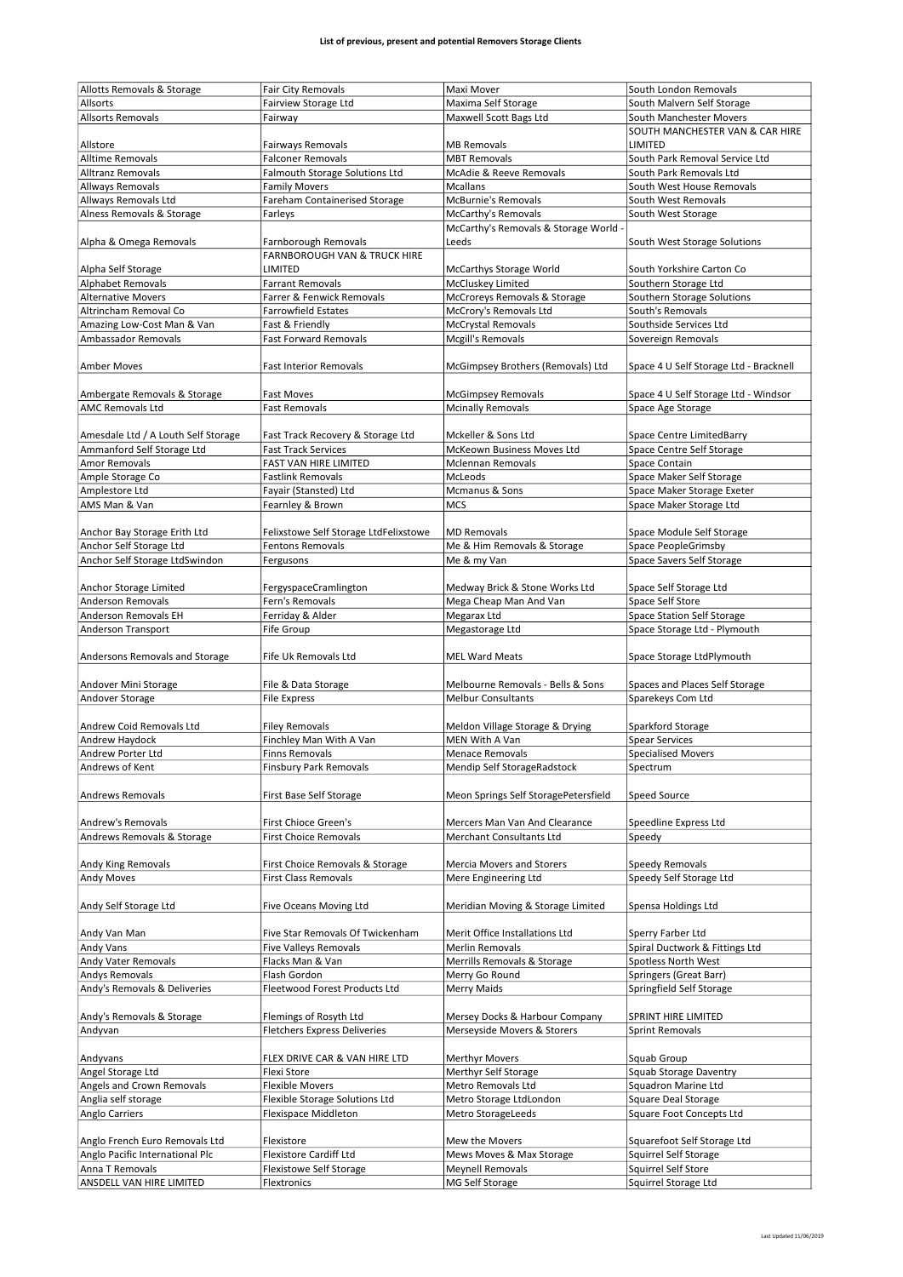| Allotts Removals & Storage          | Fair City Removals                      | Maxi Mover                           | South London Removals                       |
|-------------------------------------|-----------------------------------------|--------------------------------------|---------------------------------------------|
| Allsorts                            | Fairview Storage Ltd                    | Maxima Self Storage                  | South Malvern Self Storage                  |
|                                     |                                         |                                      |                                             |
| <b>Allsorts Removals</b>            | Fairway                                 | Maxwell Scott Bags Ltd               | South Manchester Movers                     |
|                                     |                                         |                                      | SOUTH MANCHESTER VAN & CAR HIRE             |
| Allstore                            | Fairways Removals                       | <b>MB Removals</b>                   | LIMITED                                     |
| Alltime Removals                    | <b>Falconer Removals</b>                | <b>MBT Removals</b>                  | South Park Removal Service Ltd              |
|                                     |                                         | McAdie & Reeve Removals              |                                             |
| <b>Alltranz Removals</b>            | Falmouth Storage Solutions Ltd          |                                      | South Park Removals Ltd                     |
| Allways Removals                    | <b>Family Movers</b>                    | <b>Mcallans</b>                      | South West House Removals                   |
| Allways Removals Ltd                | Fareham Containerised Storage           | <b>McBurnie's Removals</b>           | South West Removals                         |
| Alness Removals & Storage           | Farleys                                 | <b>McCarthy's Removals</b>           | South West Storage                          |
|                                     |                                         | McCarthy's Removals & Storage World  |                                             |
|                                     |                                         |                                      |                                             |
| Alpha & Omega Removals              | Farnborough Removals                    | Leeds                                | South West Storage Solutions                |
|                                     | <b>FARNBOROUGH VAN &amp; TRUCK HIRE</b> |                                      |                                             |
| Alpha Self Storage                  | LIMITED                                 | <b>McCarthys Storage World</b>       | South Yorkshire Carton Co                   |
| <b>Alphabet Removals</b>            | <b>Farrant Removals</b>                 | McCluskey Limited                    | Southern Storage Ltd                        |
|                                     | Farrer & Fenwick Removals               |                                      |                                             |
| <b>Alternative Movers</b>           |                                         | McCroreys Removals & Storage         | Southern Storage Solutions                  |
| Altrincham Removal Co               | <b>Farrowfield Estates</b>              | McCrory's Removals Ltd               | South's Removals                            |
| Amazing Low-Cost Man & Van          | Fast & Friendly                         | <b>McCrystal Removals</b>            | Southside Services Ltd                      |
| Ambassador Removals                 | <b>Fast Forward Removals</b>            | Mcgill's Removals                    | Sovereign Removals                          |
|                                     |                                         |                                      |                                             |
|                                     |                                         |                                      |                                             |
| <b>Amber Moves</b>                  | <b>Fast Interior Removals</b>           | McGimpsey Brothers (Removals) Ltd    | Space 4 U Self Storage Ltd - Bracknell      |
|                                     |                                         |                                      |                                             |
| Ambergate Removals & Storage        | <b>Fast Moves</b>                       | <b>McGimpsey Removals</b>            | Space 4 U Self Storage Ltd - Windsor        |
| <b>AMC Removals Ltd</b>             | <b>Fast Removals</b>                    | <b>Mcinally Removals</b>             | Space Age Storage                           |
|                                     |                                         |                                      |                                             |
|                                     |                                         |                                      |                                             |
| Amesdale Ltd / A Louth Self Storage | Fast Track Recovery & Storage Ltd       | Mckeller & Sons Ltd                  | Space Centre LimitedBarry                   |
| Ammanford Self Storage Ltd          | <b>Fast Track Services</b>              | McKeown Business Moves Ltd           | Space Centre Self Storage                   |
| Amor Removals                       | FAST VAN HIRE LIMITED                   | <b>Mclennan Removals</b>             | Space Contain                               |
| Ample Storage Co                    | <b>Fastlink Removals</b>                | McLeods                              | Space Maker Self Storage                    |
|                                     |                                         |                                      |                                             |
| Amplestore Ltd                      | Fayair (Stansted) Ltd                   | Mcmanus & Sons                       | Space Maker Storage Exeter                  |
| AMS Man & Van                       | Fearnley & Brown                        | <b>MCS</b>                           | Space Maker Storage Ltd                     |
|                                     |                                         |                                      |                                             |
| Anchor Bay Storage Erith Ltd        | Felixstowe Self Storage LtdFelixstowe   | <b>MD Removals</b>                   | Space Module Self Storage                   |
| Anchor Self Storage Ltd             | Fentons Removals                        | Me & Him Removals & Storage          | Space PeopleGrimsby                         |
|                                     |                                         |                                      |                                             |
| Anchor Self Storage LtdSwindon      | Fergusons                               | Me & my Van                          | Space Savers Self Storage                   |
|                                     |                                         |                                      |                                             |
| Anchor Storage Limited              | FergyspaceCramlington                   | Medway Brick & Stone Works Ltd       | Space Self Storage Ltd                      |
| <b>Anderson Removals</b>            | Fern's Removals                         | Mega Cheap Man And Van               | Space Self Store                            |
|                                     |                                         |                                      |                                             |
| Anderson Removals EH                | Ferriday & Alder                        | Megarax Ltd                          | Space Station Self Storage                  |
| Anderson Transport                  | Fife Group                              | Megastorage Ltd                      | Space Storage Ltd - Plymouth                |
|                                     |                                         |                                      |                                             |
| Andersons Removals and Storage      | Fife Uk Removals Ltd                    | <b>MEL Ward Meats</b>                | Space Storage LtdPlymouth                   |
|                                     |                                         |                                      |                                             |
|                                     |                                         |                                      |                                             |
| Andover Mini Storage                | File & Data Storage                     | Melbourne Removals - Bells & Sons    | Spaces and Places Self Storage              |
| Andover Storage                     | <b>File Express</b>                     | <b>Melbur Consultants</b>            | Sparekeys Com Ltd                           |
|                                     |                                         |                                      |                                             |
| Andrew Coid Removals Ltd            | <b>Filey Removals</b>                   | Meldon Village Storage & Drying      | Sparkford Storage                           |
|                                     |                                         |                                      |                                             |
| Andrew Haydock                      | Finchley Man With A Van                 | MEN With A Van                       | <b>Spear Services</b>                       |
| Andrew Porter Ltd                   | <b>Finns Removals</b>                   | <b>Menace Removals</b>               | <b>Specialised Movers</b>                   |
| Andrews of Kent                     | <b>Finsbury Park Removals</b>           | Mendip Self StorageRadstock          | Spectrum                                    |
|                                     |                                         |                                      |                                             |
| Andrews Removals                    | First Base Self Storage                 | Meon Springs Self StoragePetersfield | <b>Speed Source</b>                         |
|                                     |                                         |                                      |                                             |
|                                     |                                         |                                      |                                             |
| Andrew's Removals                   | First Chioce Green's                    | Mercers Man Van And Clearance        | Speedline Express Ltd                       |
| Andrews Removals & Storage          | <b>First Choice Removals</b>            | Merchant Consultants Ltd             | Speedy                                      |
|                                     |                                         |                                      |                                             |
|                                     |                                         |                                      |                                             |
| Andy King Removals                  | First Choice Removals & Storage         | Mercia Movers and Storers            | Speedy Removals                             |
| <b>Andy Moves</b>                   | <b>First Class Removals</b>             | Mere Engineering Ltd                 | Speedy Self Storage Ltd                     |
|                                     |                                         |                                      |                                             |
| Andy Self Storage Ltd               |                                         |                                      |                                             |
|                                     | Five Oceans Moving Ltd                  | Meridian Moving & Storage Limited    |                                             |
|                                     |                                         |                                      | Spensa Holdings Ltd                         |
|                                     |                                         |                                      |                                             |
| Andy Van Man                        | Five Star Removals Of Twickenham        | Merit Office Installations Ltd       | Sperry Farber Ltd                           |
| Andy Vans                           | <b>Five Valleys Removals</b>            | <b>Merlin Removals</b>               | Spiral Ductwork & Fittings Ltd              |
| Andy Vater Removals                 | Flacks Man & Van                        | Merrills Removals & Storage          | Spotless North West                         |
| Andys Removals                      | Flash Gordon                            | Merry Go Round                       |                                             |
|                                     |                                         |                                      | Springers (Great Barr)                      |
| Andy's Removals & Deliveries        | Fleetwood Forest Products Ltd           | <b>Merry Maids</b>                   | Springfield Self Storage                    |
|                                     |                                         |                                      |                                             |
| Andy's Removals & Storage           | Flemings of Rosyth Ltd                  | Mersey Docks & Harbour Company       | SPRINT HIRE LIMITED                         |
| Andyvan                             | <b>Fletchers Express Deliveries</b>     | Merseyside Movers & Storers          | <b>Sprint Removals</b>                      |
|                                     |                                         |                                      |                                             |
|                                     |                                         |                                      |                                             |
| Andyvans                            | FLEX DRIVE CAR & VAN HIRE LTD           | <b>Merthyr Movers</b>                | Squab Group                                 |
| Angel Storage Ltd                   | Flexi Store                             | Merthyr Self Storage                 | Squab Storage Daventry                      |
| Angels and Crown Removals           | <b>Flexible Movers</b>                  | Metro Removals Ltd                   | Squadron Marine Ltd                         |
| Anglia self storage                 | Flexible Storage Solutions Ltd          | Metro Storage LtdLondon              | Square Deal Storage                         |
|                                     |                                         |                                      |                                             |
| Anglo Carriers                      | Flexispace Middleton                    | Metro StorageLeeds                   | Square Foot Concepts Ltd                    |
|                                     |                                         |                                      |                                             |
| Anglo French Euro Removals Ltd      | Flexistore                              | Mew the Movers                       | Squarefoot Self Storage Ltd                 |
| Anglo Pacific International Plc     | <b>Flexistore Cardiff Ltd</b>           | Mews Moves & Max Storage             | Squirrel Self Storage                       |
| Anna T Removals                     |                                         |                                      |                                             |
| ANSDELL VAN HIRE LIMITED            | Flexistowe Self Storage<br>Flextronics  | Meynell Removals<br>MG Self Storage  | Squirrel Self Store<br>Squirrel Storage Ltd |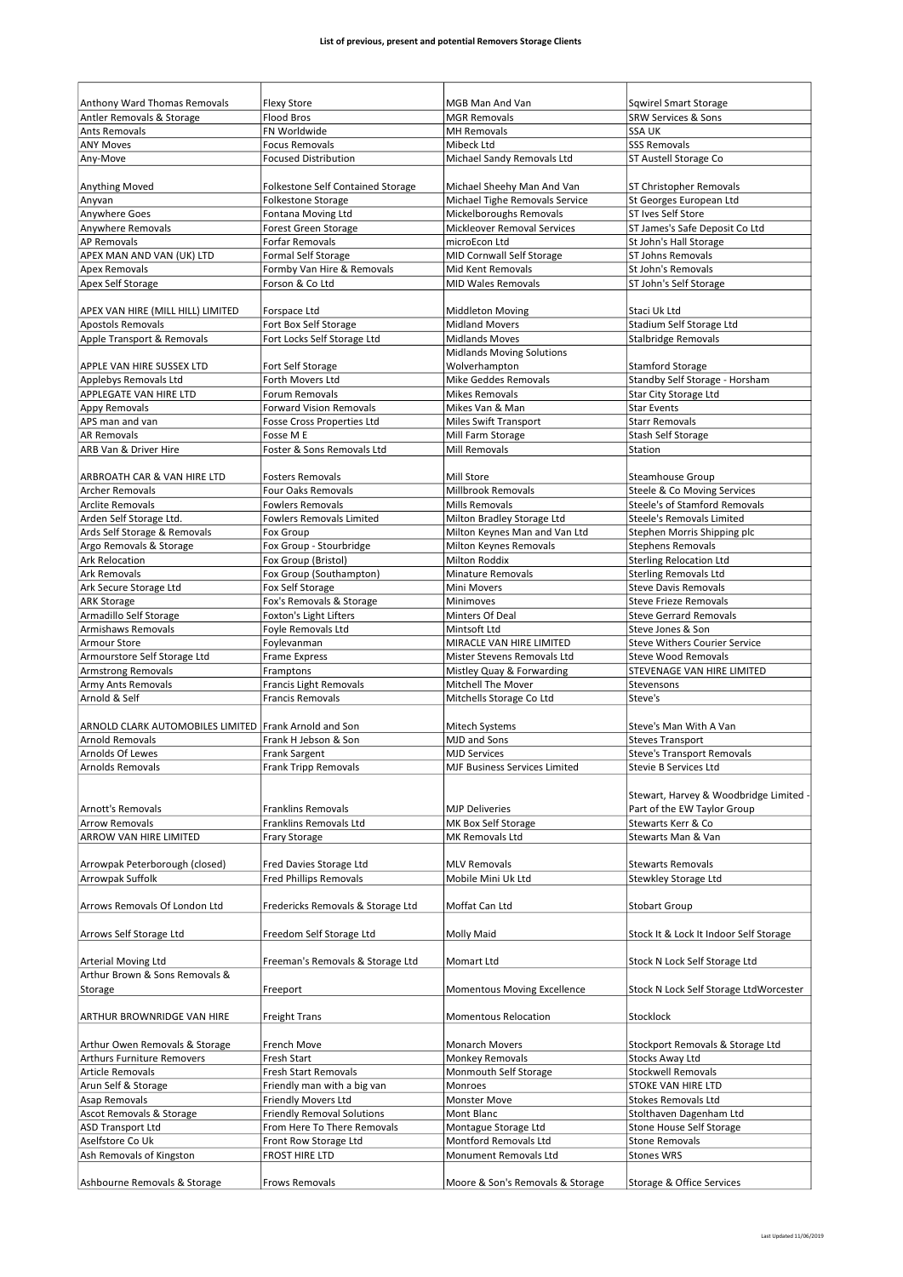| Anthony Ward Thomas Removals                           | <b>Flexy Store</b>                                       | MGB Man And Van                                | <b>Sqwirel Smart Storage</b>                    |
|--------------------------------------------------------|----------------------------------------------------------|------------------------------------------------|-------------------------------------------------|
| Antler Removals & Storage<br><b>Ants Removals</b>      | <b>Flood Bros</b><br>FN Worldwide                        | <b>MGR Removals</b><br><b>MH Removals</b>      | <b>SRW Services &amp; Sons</b><br><b>SSA UK</b> |
| <b>ANY Moves</b>                                       | <b>Focus Removals</b>                                    | Mibeck Ltd                                     | <b>SSS Removals</b>                             |
| Any-Move                                               | <b>Focused Distribution</b>                              | Michael Sandy Removals Ltd                     | ST Austell Storage Co                           |
|                                                        |                                                          |                                                |                                                 |
| Anything Moved                                         | <b>Folkestone Self Contained Storage</b>                 | Michael Sheehy Man And Van                     | ST Christopher Removals                         |
| Anyvan                                                 | <b>Folkestone Storage</b>                                | Michael Tighe Removals Service                 | St Georges European Ltd                         |
| Anywhere Goes                                          | Fontana Moving Ltd                                       | Mickelboroughs Removals                        | ST Ives Self Store                              |
| Anywhere Removals                                      | Forest Green Storage                                     | Mickleover Removal Services                    | ST James's Safe Deposit Co Ltd                  |
| <b>AP Removals</b>                                     | Forfar Removals                                          | microEcon Ltd                                  | St John's Hall Storage                          |
| APEX MAN AND VAN (UK) LTD                              | Formal Self Storage                                      | <b>MID Cornwall Self Storage</b>               | <b>ST Johns Removals</b>                        |
| <b>Apex Removals</b>                                   | Formby Van Hire & Removals                               | Mid Kent Removals                              | St John's Removals                              |
| Apex Self Storage                                      | Forson & Co Ltd                                          | <b>MID Wales Removals</b>                      | ST John's Self Storage                          |
|                                                        |                                                          |                                                |                                                 |
| APEX VAN HIRE (MILL HILL) LIMITED                      | Forspace Ltd                                             | <b>Middleton Moving</b>                        | Staci Uk Ltd                                    |
| <b>Apostols Removals</b>                               | Fort Box Self Storage                                    | <b>Midland Movers</b><br><b>Midlands Moves</b> | Stadium Self Storage Ltd                        |
| Apple Transport & Removals                             | Fort Locks Self Storage Ltd                              | <b>Midlands Moving Solutions</b>               | <b>Stalbridge Removals</b>                      |
| APPLE VAN HIRE SUSSEX LTD                              | Fort Self Storage                                        | Wolverhampton                                  | <b>Stamford Storage</b>                         |
| Applebys Removals Ltd                                  | Forth Movers Ltd                                         | <b>Mike Geddes Removals</b>                    | Standby Self Storage - Horsham                  |
| APPLEGATE VAN HIRE LTD                                 | <b>Forum Removals</b>                                    | <b>Mikes Removals</b>                          | <b>Star City Storage Ltd</b>                    |
| Appy Removals                                          | <b>Forward Vision Removals</b>                           | Mikes Van & Man                                | <b>Star Events</b>                              |
| APS man and van                                        | <b>Fosse Cross Properties Ltd</b>                        | <b>Miles Swift Transport</b>                   | <b>Starr Removals</b>                           |
| <b>AR Removals</b>                                     | Fosse M E                                                | Mill Farm Storage                              | <b>Stash Self Storage</b>                       |
| ARB Van & Driver Hire                                  | Foster & Sons Removals Ltd                               | <b>Mill Removals</b>                           | Station                                         |
|                                                        |                                                          |                                                |                                                 |
| ARBROATH CAR & VAN HIRE LTD                            | <b>Fosters Removals</b>                                  | Mill Store                                     | Steamhouse Group                                |
| <b>Archer Removals</b>                                 | <b>Four Oaks Removals</b>                                | <b>Millbrook Removals</b>                      | Steele & Co Moving Services                     |
| <b>Arclite Removals</b>                                | <b>Fowlers Removals</b>                                  | Mills Removals                                 | Steele's of Stamford Removals                   |
| Arden Self Storage Ltd.                                | <b>Fowlers Removals Limited</b>                          | Milton Bradley Storage Ltd                     | <b>Steele's Removals Limited</b>                |
| Ards Self Storage & Removals                           | Fox Group                                                | Milton Keynes Man and Van Ltd                  | Stephen Morris Shipping plc                     |
| Argo Removals & Storage                                | Fox Group - Stourbridge                                  | Milton Keynes Removals                         | <b>Stephens Removals</b>                        |
| <b>Ark Relocation</b>                                  | Fox Group (Bristol)                                      | <b>Milton Roddix</b>                           | <b>Sterling Relocation Ltd</b>                  |
| <b>Ark Removals</b>                                    | Fox Group (Southampton)                                  | <b>Minature Removals</b>                       | <b>Sterling Removals Ltd</b>                    |
| Ark Secure Storage Ltd                                 | Fox Self Storage                                         | Mini Movers                                    | <b>Steve Davis Removals</b>                     |
| <b>ARK Storage</b>                                     | Fox's Removals & Storage                                 | Minimoves                                      | <b>Steve Frieze Removals</b>                    |
| Armadillo Self Storage                                 | Foxton's Light Lifters                                   | Minters Of Deal                                | <b>Steve Gerrard Removals</b>                   |
| <b>Armishaws Removals</b>                              | Foyle Removals Ltd                                       | Mintsoft Ltd                                   | Steve Jones & Son                               |
| Armour Store                                           | Foylevanman                                              | MIRACLE VAN HIRE LIMITED                       | <b>Steve Withers Courier Service</b>            |
| Armourstore Self Storage Ltd                           | <b>Frame Express</b>                                     | Mister Stevens Removals Ltd                    | <b>Steve Wood Removals</b>                      |
| <b>Armstrong Removals</b><br><b>Army Ants Removals</b> | Framptons                                                | Mistley Quay & Forwarding                      | STEVENAGE VAN HIRE LIMITED                      |
| Arnold & Self                                          | <b>Francis Light Removals</b><br><b>Francis Removals</b> | Mitchell The Mover<br>Mitchells Storage Co Ltd | Stevensons<br>Steve's                           |
|                                                        |                                                          |                                                |                                                 |
| ARNOLD CLARK AUTOMOBILES LIMITED Frank Arnold and Son  |                                                          | <b>Mitech Systems</b>                          | Steve's Man With A Van                          |
| <b>Arnold Removals</b>                                 | Frank H Jebson & Son                                     | MJD and Sons                                   | <b>Steves Transport</b>                         |
| Arnolds Of Lewes                                       | <b>Frank Sargent</b>                                     | <b>MJD Services</b>                            | <b>Steve's Transport Removals</b>               |
| Arnolds Removals                                       | <b>Frank Tripp Removals</b>                              | MJF Business Services Limited                  | Stevie B Services Ltd                           |
|                                                        |                                                          |                                                |                                                 |
|                                                        |                                                          |                                                | Stewart, Harvey & Woodbridge Limited            |
| <b>Arnott's Removals</b>                               | <b>Franklins Removals</b>                                | <b>MJP Deliveries</b>                          | Part of the EW Taylor Group                     |
| <b>Arrow Removals</b>                                  | Franklins Removals Ltd                                   | MK Box Self Storage                            | Stewarts Kerr & Co                              |
| ARROW VAN HIRE LIMITED                                 | Frary Storage                                            | MK Removals Ltd                                | Stewarts Man & Van                              |
|                                                        |                                                          |                                                |                                                 |
| Arrowpak Peterborough (closed)                         | Fred Davies Storage Ltd                                  | <b>MLV Removals</b>                            | <b>Stewarts Removals</b>                        |
| Arrowpak Suffolk                                       | <b>Fred Phillips Removals</b>                            | Mobile Mini Uk Ltd                             | Stewkley Storage Ltd                            |
|                                                        |                                                          |                                                |                                                 |
| Arrows Removals Of London Ltd                          | Fredericks Removals & Storage Ltd                        | Moffat Can Ltd                                 | <b>Stobart Group</b>                            |
|                                                        |                                                          |                                                |                                                 |
| Arrows Self Storage Ltd                                | Freedom Self Storage Ltd                                 | Molly Maid                                     | Stock It & Lock It Indoor Self Storage          |
| Arterial Moving Ltd                                    | Freeman's Removals & Storage Ltd                         | Momart Ltd                                     | Stock N Lock Self Storage Ltd                   |
| Arthur Brown & Sons Removals &                         |                                                          |                                                |                                                 |
| Storage                                                | Freeport                                                 | <b>Momentous Moving Excellence</b>             | Stock N Lock Self Storage LtdWorcester          |
|                                                        |                                                          |                                                |                                                 |
| ARTHUR BROWNRIDGE VAN HIRE                             | <b>Freight Trans</b>                                     | <b>Momentous Relocation</b>                    | Stocklock                                       |
|                                                        |                                                          |                                                |                                                 |
| Arthur Owen Removals & Storage                         | French Move                                              | Monarch Movers                                 | Stockport Removals & Storage Ltd                |
| <b>Arthurs Furniture Removers</b>                      | Fresh Start                                              | Monkey Removals                                | <b>Stocks Away Ltd</b>                          |
| <b>Article Removals</b>                                | <b>Fresh Start Removals</b>                              | Monmouth Self Storage                          | <b>Stockwell Removals</b>                       |
| Arun Self & Storage                                    | Friendly man with a big van                              | Monroes                                        | STOKE VAN HIRE LTD                              |
| Asap Removals                                          | <b>Friendly Movers Ltd</b>                               | Monster Move                                   | <b>Stokes Removals Ltd</b>                      |
| Ascot Removals & Storage                               | <b>Friendly Removal Solutions</b>                        | Mont Blanc                                     | Stolthaven Dagenham Ltd                         |
| <b>ASD Transport Ltd</b>                               | From Here To There Removals                              | Montague Storage Ltd                           | Stone House Self Storage                        |
| Aselfstore Co Uk                                       | Front Row Storage Ltd                                    | Montford Removals Ltd                          | <b>Stone Removals</b>                           |
| Ash Removals of Kingston                               | FROST HIRE LTD                                           | Monument Removals Ltd                          | <b>Stones WRS</b>                               |
|                                                        |                                                          |                                                |                                                 |
| Ashbourne Removals & Storage                           | Frows Removals                                           | Moore & Son's Removals & Storage               | Storage & Office Services                       |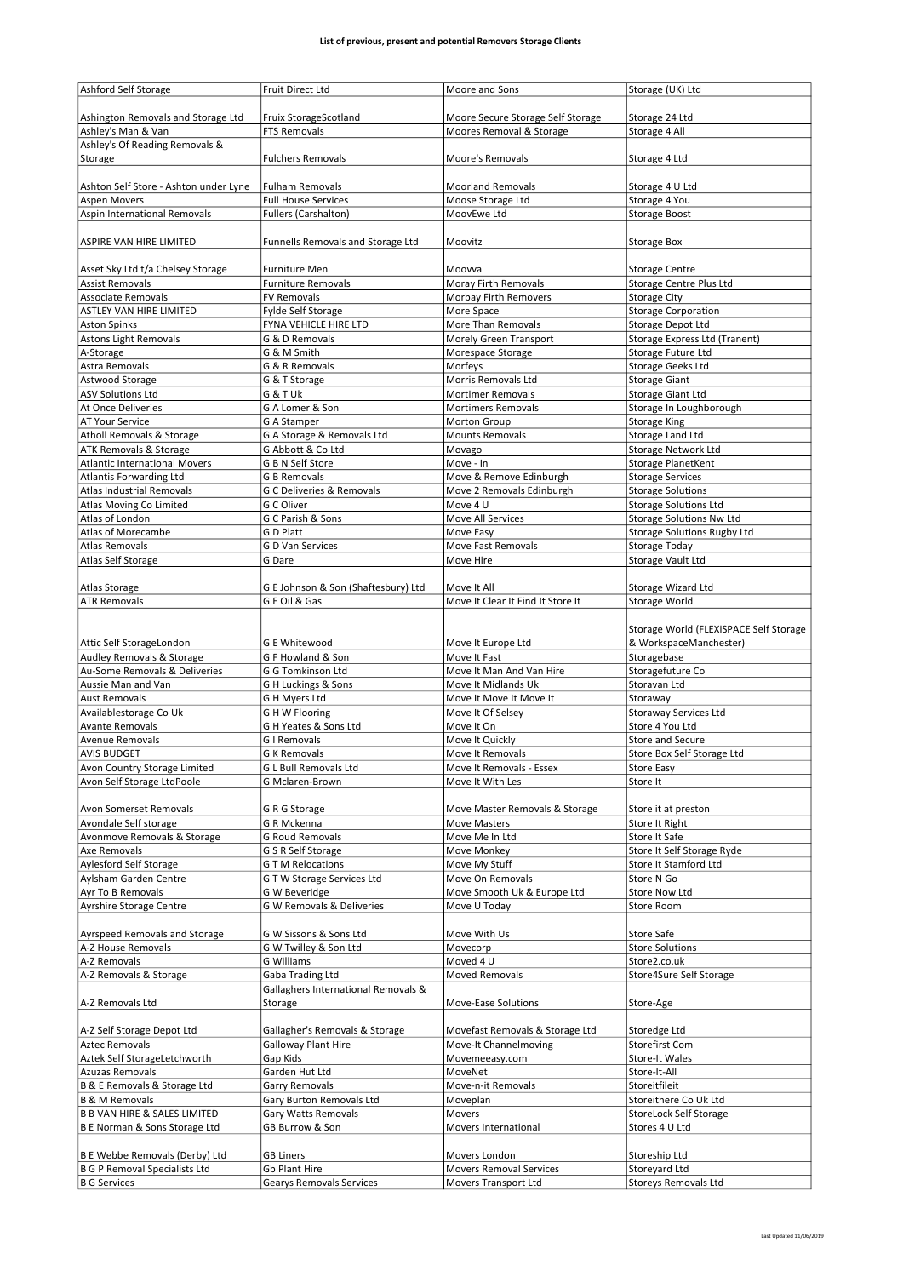| <b>Ashford Self Storage</b>             | Fruit Direct Ltd                     | Moore and Sons                    | Storage (UK) Ltd                       |
|-----------------------------------------|--------------------------------------|-----------------------------------|----------------------------------------|
|                                         |                                      |                                   |                                        |
|                                         |                                      |                                   |                                        |
| Ashington Removals and Storage Ltd      | Fruix StorageScotland                | Moore Secure Storage Self Storage | Storage 24 Ltd                         |
| Ashley's Man & Van                      | <b>FTS Removals</b>                  | Moores Removal & Storage          | Storage 4 All                          |
| Ashley's Of Reading Removals &          |                                      |                                   |                                        |
| Storage                                 | <b>Fulchers Removals</b>             | Moore's Removals                  | Storage 4 Ltd                          |
|                                         |                                      |                                   |                                        |
| Ashton Self Store - Ashton under Lyne   | <b>Fulham Removals</b>               | <b>Moorland Removals</b>          | Storage 4 U Ltd                        |
| <b>Aspen Movers</b>                     | <b>Full House Services</b>           | Moose Storage Ltd                 | Storage 4 You                          |
|                                         |                                      |                                   |                                        |
| Aspin International Removals            | <b>Fullers (Carshalton)</b>          | MoovEwe Ltd                       | <b>Storage Boost</b>                   |
|                                         |                                      |                                   |                                        |
| ASPIRE VAN HIRE LIMITED                 | Funnells Removals and Storage Ltd    | Moovitz                           | <b>Storage Box</b>                     |
|                                         |                                      |                                   |                                        |
| Asset Sky Ltd t/a Chelsey Storage       | <b>Furniture Men</b>                 | Moovva                            | <b>Storage Centre</b>                  |
|                                         |                                      |                                   |                                        |
| <b>Assist Removals</b>                  | <b>Furniture Removals</b>            | <b>Moray Firth Removals</b>       | Storage Centre Plus Ltd                |
| <b>Associate Removals</b>               | <b>FV Removals</b>                   | Morbay Firth Removers             | <b>Storage City</b>                    |
| <b>ASTLEY VAN HIRE LIMITED</b>          | Fylde Self Storage                   | More Space                        | <b>Storage Corporation</b>             |
| <b>Aston Spinks</b>                     | FYNA VEHICLE HIRE LTD                | More Than Removals                | <b>Storage Depot Ltd</b>               |
| <b>Astons Light Removals</b>            | G & D Removals                       | Morely Green Transport            | Storage Express Ltd (Tranent)          |
|                                         |                                      |                                   |                                        |
| A-Storage                               | G & M Smith                          | Morespace Storage                 | Storage Future Ltd                     |
| Astra Removals                          | G & R Removals                       | Morfeys                           | <b>Storage Geeks Ltd</b>               |
| Astwood Storage                         | G & T Storage                        | Morris Removals Ltd               | <b>Storage Giant</b>                   |
| <b>ASV Solutions Ltd</b>                | G & T Uk                             | <b>Mortimer Removals</b>          | Storage Giant Ltd                      |
| At Once Deliveries                      | G A Lomer & Son                      | <b>Mortimers Removals</b>         | Storage In Loughborough                |
|                                         |                                      |                                   |                                        |
| AT Your Service                         | G A Stamper                          | Morton Group                      | <b>Storage King</b>                    |
| Atholl Removals & Storage               | G A Storage & Removals Ltd           | Mounts Removals                   | Storage Land Ltd                       |
| ATK Removals & Storage                  | G Abbott & Co Ltd                    | Movago                            | Storage Network Ltd                    |
| <b>Atlantic International Movers</b>    | G B N Self Store                     | Move - In                         | Storage PlanetKent                     |
| Atlantis Forwarding Ltd                 | <b>G B Removals</b>                  | Move & Remove Edinburgh           | <b>Storage Services</b>                |
|                                         |                                      |                                   |                                        |
| Atlas Industrial Removals               | <b>G C Deliveries &amp; Removals</b> | Move 2 Removals Edinburgh         | <b>Storage Solutions</b>               |
| Atlas Moving Co Limited                 | G C Oliver                           | Move 4 U                          | <b>Storage Solutions Ltd</b>           |
| Atlas of London                         | G C Parish & Sons                    | Move All Services                 | <b>Storage Solutions Nw Ltd</b>        |
| Atlas of Morecambe                      | G D Platt                            | Move Easy                         | <b>Storage Solutions Rugby Ltd</b>     |
| <b>Atlas Removals</b>                   | G D Van Services                     | <b>Move Fast Removals</b>         | Storage Today                          |
|                                         |                                      |                                   |                                        |
| Atlas Self Storage                      | G Dare                               | Move Hire                         | Storage Vault Ltd                      |
|                                         |                                      |                                   |                                        |
| <b>Atlas Storage</b>                    | G E Johnson & Son (Shaftesbury) Ltd  | Move It All                       | Storage Wizard Ltd                     |
| <b>ATR Removals</b>                     | G E Oil & Gas                        | Move It Clear It Find It Store It | Storage World                          |
|                                         |                                      |                                   |                                        |
|                                         |                                      |                                   |                                        |
|                                         |                                      |                                   | Storage World (FLEXiSPACE Self Storage |
| Attic Self StorageLondon                | <b>G E Whitewood</b>                 | Move It Europe Ltd                | & WorkspaceManchester)                 |
| Audley Removals & Storage               | G F Howland & Son                    | Move It Fast                      | Storagebase                            |
| Au-Some Removals & Deliveries           | G G Tomkinson Ltd                    | Move It Man And Van Hire          | Storagefuture Co                       |
|                                         |                                      |                                   |                                        |
| Aussie Man and Van                      | G H Luckings & Sons                  | Move It Midlands Uk               | Storavan Ltd                           |
| Aust Removals                           | G H Myers Ltd                        | Move It Move It Move It           | Storaway                               |
| Availablestorage Co Uk                  | <b>GHW Flooring</b>                  | Move It Of Selsey                 | Storaway Services Ltd                  |
| <b>Avante Removals</b>                  | G H Yeates & Sons Ltd                | Move It On                        | Store 4 You Ltd                        |
| <b>Avenue Removals</b>                  | <b>G</b> I Removals                  | Move It Quickly                   | Store and Secure                       |
|                                         |                                      |                                   |                                        |
| <b>AVIS BUDGET</b>                      | <b>G K Removals</b>                  | Move It Removals                  | Store Box Self Storage Ltd             |
| Avon Country Storage Limited            | <b>GL Bull Removals Ltd</b>          | Move It Removals - Essex          | <b>Store Easy</b>                      |
| Avon Self Storage LtdPoole              | G Mclaren-Brown                      | Move It With Les                  | Store It                               |
|                                         |                                      |                                   |                                        |
|                                         |                                      |                                   |                                        |
| Avon Somerset Removals                  | G R G Storage                        | Move Master Removals & Storage    | Store it at preston                    |
| Avondale Self storage                   | G R Mckenna                          | <b>Move Masters</b>               | Store It Right                         |
| Avonmove Removals & Storage             | <b>G Roud Removals</b>               | Move Me In Ltd                    | Store It Safe                          |
| Axe Removals                            | G S R Self Storage                   | Move Monkey                       | Store It Self Storage Ryde             |
| <b>Aylesford Self Storage</b>           | <b>GTM Relocations</b>               | Move My Stuff                     | Store It Stamford Ltd                  |
| Aylsham Garden Centre                   | G T W Storage Services Ltd           | Move On Removals                  | Store N Go                             |
|                                         |                                      |                                   |                                        |
| Ayr To B Removals                       | G W Beveridge                        | Move Smooth Uk & Europe Ltd       | <b>Store Now Ltd</b>                   |
| <b>Ayrshire Storage Centre</b>          | G W Removals & Deliveries            | Move U Today                      | Store Room                             |
|                                         |                                      |                                   |                                        |
| Ayrspeed Removals and Storage           | G W Sissons & Sons Ltd               | Move With Us                      | Store Safe                             |
| A-Z House Removals                      |                                      |                                   |                                        |
|                                         | G W Twilley & Son Ltd                | Movecorp                          | <b>Store Solutions</b>                 |
| A-Z Removals                            | G Williams                           | Moved 4 U                         | Store2.co.uk                           |
| A-Z Removals & Storage                  | Gaba Trading Ltd                     | Moved Removals                    | Store4Sure Self Storage                |
|                                         | Gallaghers International Removals &  |                                   |                                        |
| A-Z Removals Ltd                        | Storage                              | Move-Ease Solutions               | Store-Age                              |
|                                         |                                      |                                   |                                        |
|                                         |                                      |                                   |                                        |
| A-Z Self Storage Depot Ltd              | Gallagher's Removals & Storage       | Movefast Removals & Storage Ltd   | Storedge Ltd                           |
| <b>Aztec Removals</b>                   | <b>Galloway Plant Hire</b>           | Move-It Channelmoving             | Storefirst Com                         |
| Aztek Self StorageLetchworth            | Gap Kids                             | Movemeeasy.com                    | <b>Store-It Wales</b>                  |
|                                         |                                      |                                   |                                        |
| Azuzas Removals                         | Garden Hut Ltd                       | MoveNet                           | Store-It-All                           |
| B & E Removals & Storage Ltd            | Garry Removals                       | Move-n-it Removals                | Storeitfileit                          |
| <b>B &amp; M Removals</b>               | Gary Burton Removals Ltd             | Moveplan                          | Storeithere Co Uk Ltd                  |
| <b>B B VAN HIRE &amp; SALES LIMITED</b> | Gary Watts Removals                  | Movers                            | <b>StoreLock Self Storage</b>          |
| B E Norman & Sons Storage Ltd           | GB Burrow & Son                      | Movers International              | Stores 4 U Ltd                         |
|                                         |                                      |                                   |                                        |
|                                         |                                      |                                   |                                        |
| B E Webbe Removals (Derby) Ltd          |                                      |                                   |                                        |
|                                         | <b>GB Liners</b>                     | Movers London                     | Storeship Ltd                          |
| <b>B G P Removal Specialists Ltd</b>    | Gb Plant Hire                        | Movers Removal Services           | Storeyard Ltd                          |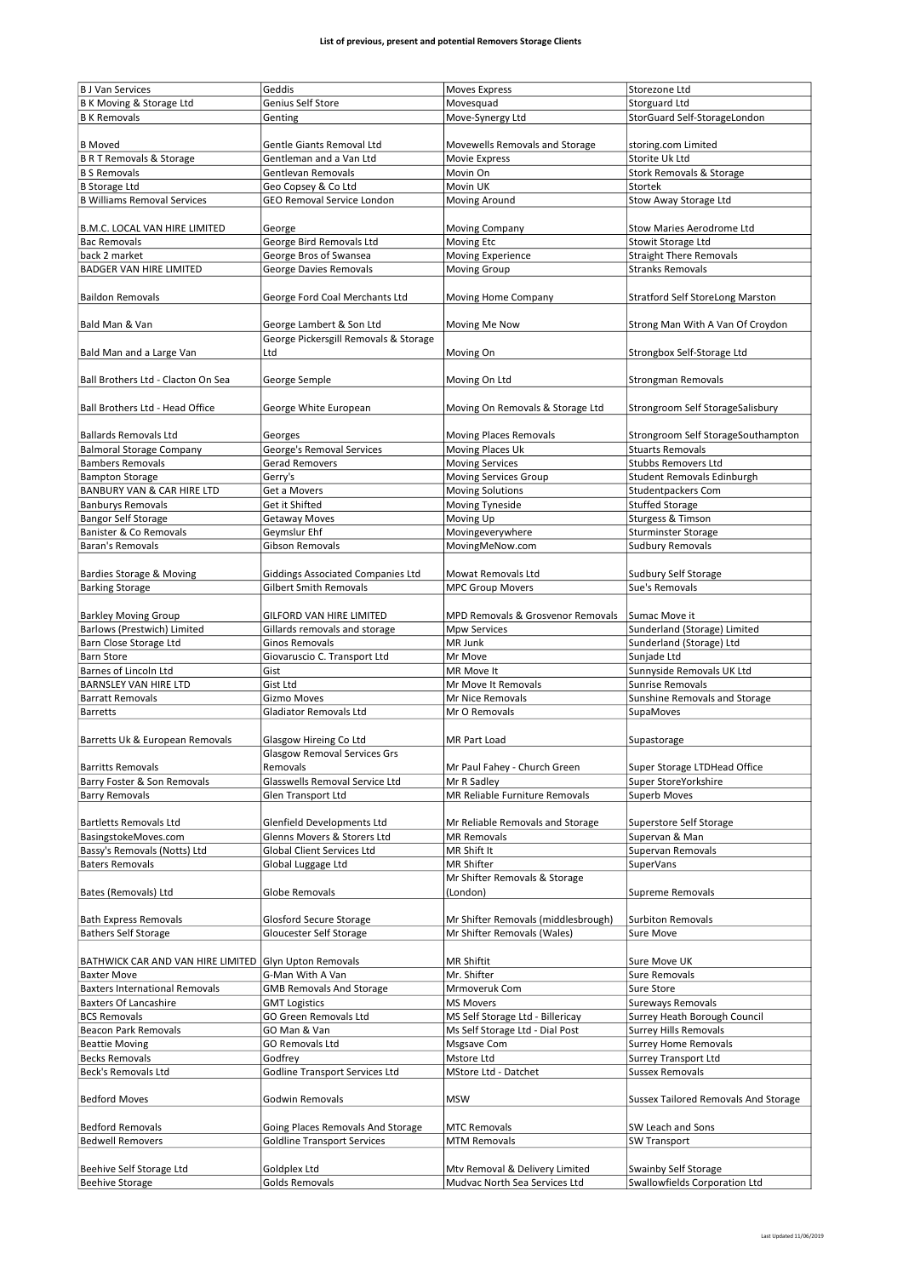| <b>B J Van Services</b>                               | Geddis                                | <b>Moves Express</b>                                            | Storezone Ltd                                         |
|-------------------------------------------------------|---------------------------------------|-----------------------------------------------------------------|-------------------------------------------------------|
|                                                       | Genius Self Store                     | Movesquad                                                       | <b>Storguard Ltd</b>                                  |
| B K Moving & Storage Ltd                              |                                       |                                                                 |                                                       |
| <b>B K Removals</b>                                   | Genting                               | Move-Synergy Ltd                                                | StorGuard Self-StorageLondon                          |
|                                                       |                                       |                                                                 |                                                       |
| <b>B</b> Moved                                        | Gentle Giants Removal Ltd             | Movewells Removals and Storage                                  | storing.com Limited                                   |
| <b>B R T Removals &amp; Storage</b>                   | Gentleman and a Van Ltd               | Movie Express                                                   | Storite Uk Ltd                                        |
| <b>B S Removals</b>                                   | <b>Gentlevan Removals</b>             | Movin On                                                        | Stork Removals & Storage                              |
| <b>B</b> Storage Ltd                                  | Geo Copsey & Co Ltd                   | Movin UK                                                        | Stortek                                               |
| <b>B Williams Removal Services</b>                    | GEO Removal Service London            |                                                                 |                                                       |
|                                                       |                                       | Moving Around                                                   | Stow Away Storage Ltd                                 |
|                                                       |                                       |                                                                 |                                                       |
| B.M.C. LOCAL VAN HIRE LIMITED                         | George                                | <b>Moving Company</b>                                           | Stow Maries Aerodrome Ltd                             |
| <b>Bac Removals</b>                                   | George Bird Removals Ltd              | Moving Etc                                                      | Stowit Storage Ltd                                    |
| back 2 market                                         | George Bros of Swansea                | Moving Experience                                               | <b>Straight There Removals</b>                        |
| <b>BADGER VAN HIRE LIMITED</b>                        | George Davies Removals                | <b>Moving Group</b>                                             | <b>Stranks Removals</b>                               |
|                                                       |                                       |                                                                 |                                                       |
|                                                       |                                       |                                                                 |                                                       |
| <b>Baildon Removals</b>                               | George Ford Coal Merchants Ltd        | Moving Home Company                                             | <b>Stratford Self StoreLong Marston</b>               |
|                                                       |                                       |                                                                 |                                                       |
| Bald Man & Van                                        | George Lambert & Son Ltd              | Moving Me Now                                                   | Strong Man With A Van Of Croydon                      |
|                                                       | George Pickersgill Removals & Storage |                                                                 |                                                       |
| Bald Man and a Large Van                              | Ltd                                   | Moving On                                                       | Strongbox Self-Storage Ltd                            |
|                                                       |                                       |                                                                 |                                                       |
|                                                       |                                       |                                                                 |                                                       |
| Ball Brothers Ltd - Clacton On Sea                    | George Semple                         | Moving On Ltd                                                   | <b>Strongman Removals</b>                             |
|                                                       |                                       |                                                                 |                                                       |
| Ball Brothers Ltd - Head Office                       | George White European                 | Moving On Removals & Storage Ltd                                | Strongroom Self StorageSalisbury                      |
|                                                       |                                       |                                                                 |                                                       |
| <b>Ballards Removals Ltd</b>                          | Georges                               | <b>Moving Places Removals</b>                                   | Strongroom Self StorageSouthampton                    |
| <b>Balmoral Storage Company</b>                       | George's Removal Services             | Moving Places Uk                                                | <b>Stuarts Removals</b>                               |
|                                                       |                                       |                                                                 | <b>Stubbs Removers Ltd</b>                            |
| <b>Bambers Removals</b>                               | Gerad Removers                        | <b>Moving Services</b>                                          |                                                       |
| <b>Bampton Storage</b>                                | Gerry's                               | <b>Moving Services Group</b>                                    | Student Removals Edinburgh                            |
| BANBURY VAN & CAR HIRE LTD                            | Get a Movers                          | <b>Moving Solutions</b>                                         | Studentpackers Com                                    |
| <b>Banburys Removals</b>                              | Get it Shifted                        | Moving Tyneside                                                 | <b>Stuffed Storage</b>                                |
| <b>Bangor Self Storage</b>                            |                                       |                                                                 |                                                       |
|                                                       | <b>Getaway Moves</b>                  | Moving Up                                                       | Sturgess & Timson                                     |
| Banister & Co Removals                                | Geymslur Ehf                          | Movingeverywhere                                                | <b>Sturminster Storage</b>                            |
| <b>Baran's Removals</b>                               | Gibson Removals                       | MovingMeNow.com                                                 | <b>Sudbury Removals</b>                               |
|                                                       |                                       |                                                                 |                                                       |
| Bardies Storage & Moving                              | Giddings Associated Companies Ltd     | Mowat Removals Ltd                                              | Sudbury Self Storage                                  |
|                                                       |                                       |                                                                 |                                                       |
| <b>Barking Storage</b>                                | <b>Gilbert Smith Removals</b>         | <b>MPC Group Movers</b>                                         | Sue's Removals                                        |
|                                                       |                                       |                                                                 |                                                       |
| <b>Barkley Moving Group</b>                           | GILFORD VAN HIRE LIMITED              | MPD Removals & Grosvenor Removals                               | Sumac Move it                                         |
| Barlows (Prestwich) Limited                           | Gillards removals and storage         | <b>Mpw Services</b>                                             | Sunderland (Storage) Limited                          |
| Barn Close Storage Ltd                                | Ginos Removals                        | MR Junk                                                         | Sunderland (Storage) Ltd                              |
|                                                       |                                       |                                                                 |                                                       |
| <b>Barn Store</b>                                     | Giovaruscio C. Transport Ltd          | Mr Move                                                         | Sunjade Ltd                                           |
| Barnes of Lincoln Ltd                                 | Gist                                  | MR Move It                                                      | Sunnyside Removals UK Ltd                             |
| <b>BARNSLEY VAN HIRE LTD</b>                          | Gist Ltd                              | Mr Move It Removals                                             | <b>Sunrise Removals</b>                               |
| <b>Barratt Removals</b>                               | Gizmo Moves                           | Mr Nice Removals                                                | Sunshine Removals and Storage                         |
| <b>Barretts</b>                                       | Gladiator Removals Ltd                | Mr O Removals                                                   | SupaMoves                                             |
|                                                       |                                       |                                                                 |                                                       |
|                                                       |                                       |                                                                 |                                                       |
| Barretts Uk & European Removals                       | Glasgow Hireing Co Ltd                | MR Part Load                                                    | Supastorage                                           |
|                                                       | <b>Glasgow Removal Services Grs</b>   |                                                                 |                                                       |
| <b>Barritts Removals</b>                              | Removals                              | Mr Paul Fahey - Church Green                                    | Super Storage LTDHead Office                          |
| Barry Foster & Son Removals                           | Glasswells Removal Service Ltd        | Mr R Sadley                                                     | Super StoreYorkshire                                  |
| <b>Barry Removals</b>                                 | Glen Transport Ltd                    | MR Reliable Furniture Removals                                  | Superb Moves                                          |
|                                                       |                                       |                                                                 |                                                       |
|                                                       |                                       |                                                                 |                                                       |
| <b>Bartletts Removals Ltd</b>                         | Glenfield Developments Ltd            | Mr Reliable Removals and Storage                                | <b>Superstore Self Storage</b>                        |
| BasingstokeMoves.com                                  | Glenns Movers & Storers Ltd           | <b>MR Removals</b>                                              | Supervan & Man                                        |
| Bassy's Removals (Notts) Ltd                          | <b>Global Client Services Ltd</b>     | MR Shift It                                                     | Supervan Removals                                     |
| <b>Baters Removals</b>                                | Global Luggage Ltd                    | MR Shifter                                                      | SuperVans                                             |
|                                                       |                                       |                                                                 |                                                       |
|                                                       |                                       | Mr Shifter Removals & Storage                                   |                                                       |
| Bates (Removals) Ltd                                  | Globe Removals                        | (London)                                                        | Supreme Removals                                      |
|                                                       |                                       |                                                                 |                                                       |
| <b>Bath Express Removals</b>                          | <b>Glosford Secure Storage</b>        | Mr Shifter Removals (middlesbrough)                             | <b>Surbiton Removals</b>                              |
| <b>Bathers Self Storage</b>                           | Gloucester Self Storage               | Mr Shifter Removals (Wales)                                     | <b>Sure Move</b>                                      |
|                                                       |                                       |                                                                 |                                                       |
|                                                       |                                       |                                                                 |                                                       |
| BATHWICK CAR AND VAN HIRE LIMITED Glyn Upton Removals |                                       | MR Shiftit                                                      | Sure Move UK                                          |
| <b>Baxter Move</b>                                    | G-Man With A Van                      | Mr. Shifter                                                     | Sure Removals                                         |
| <b>Baxters International Removals</b>                 | <b>GMB Removals And Storage</b>       | Mrmoveruk Com                                                   | Sure Store                                            |
| <b>Baxters Of Lancashire</b>                          | <b>GMT Logistics</b>                  | <b>MS Movers</b>                                                | <b>Sureways Removals</b>                              |
| <b>BCS Removals</b>                                   | GO Green Removals Ltd                 | MS Self Storage Ltd - Billericay                                | Surrey Heath Borough Council                          |
|                                                       |                                       |                                                                 |                                                       |
| <b>Beacon Park Removals</b>                           | GO Man & Van                          | Ms Self Storage Ltd - Dial Post                                 | <b>Surrey Hills Removals</b>                          |
| <b>Beattie Moving</b>                                 | GO Removals Ltd                       | Msgsave Com                                                     | <b>Surrey Home Removals</b>                           |
| <b>Becks Removals</b>                                 | Godfrey                               | Mstore Ltd                                                      | <b>Surrey Transport Ltd</b>                           |
| <b>Beck's Removals Ltd</b>                            | <b>Godline Transport Services Ltd</b> | MStore Ltd - Datchet                                            | <b>Sussex Removals</b>                                |
|                                                       |                                       |                                                                 |                                                       |
|                                                       |                                       |                                                                 | <b>Sussex Tailored Removals And Storage</b>           |
| <b>Bedford Moves</b>                                  |                                       |                                                                 |                                                       |
|                                                       | Godwin Removals                       | <b>MSW</b>                                                      |                                                       |
|                                                       |                                       |                                                                 |                                                       |
| <b>Bedford Removals</b>                               | Going Places Removals And Storage     | <b>MTC Removals</b>                                             | SW Leach and Sons                                     |
|                                                       |                                       |                                                                 |                                                       |
| <b>Bedwell Removers</b>                               | <b>Goldline Transport Services</b>    | <b>MTM Removals</b>                                             | <b>SW Transport</b>                                   |
|                                                       |                                       |                                                                 |                                                       |
| Beehive Self Storage Ltd<br><b>Beehive Storage</b>    | Goldplex Ltd<br>Golds Removals        | Mtv Removal & Delivery Limited<br>Mudvac North Sea Services Ltd | Swainby Self Storage<br>Swallowfields Corporation Ltd |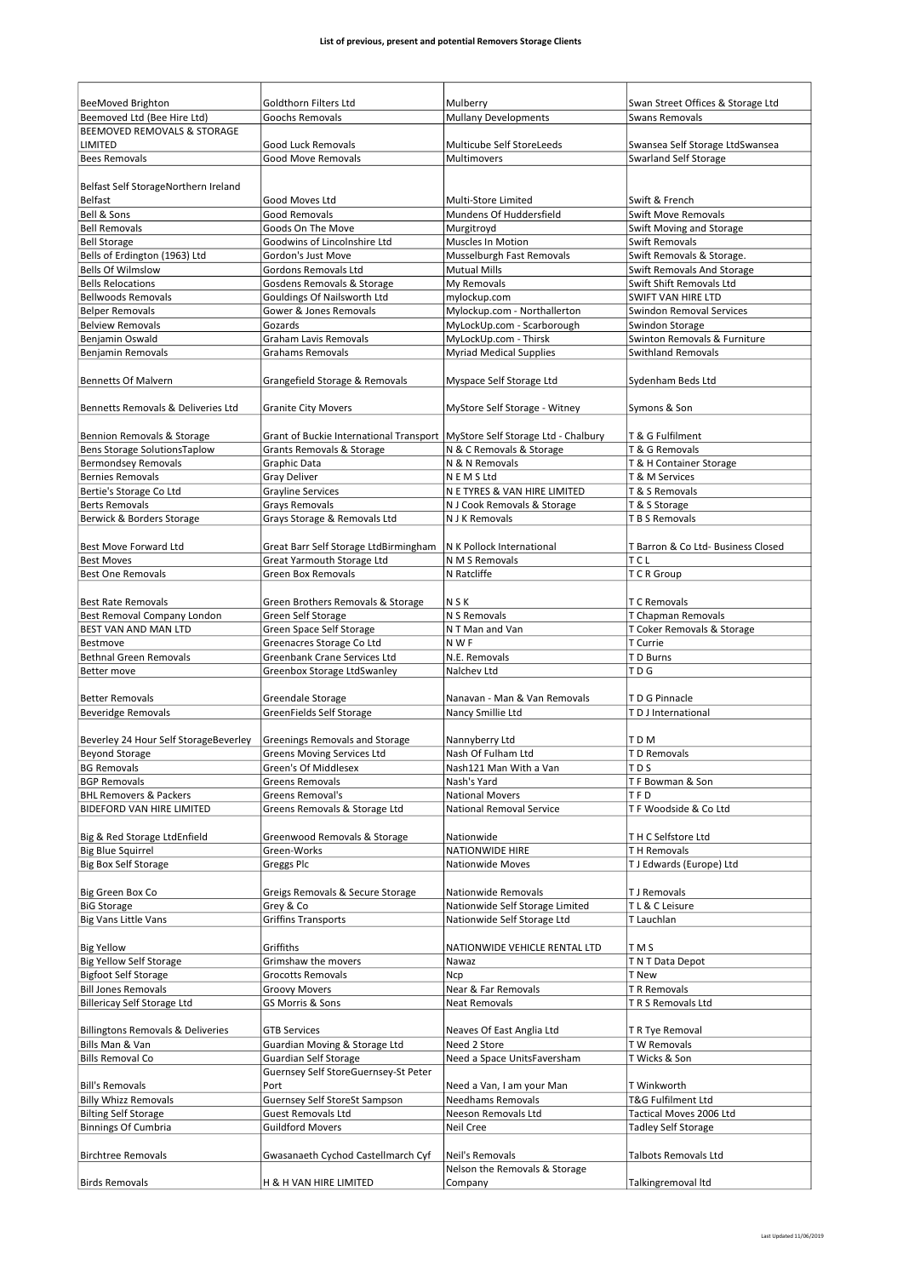| <b>BeeMoved Brighton</b>                             | Goldthorn Filters Ltd                                                         | Mulberry                                                    | Swan Street Offices & Storage Ltd           |
|------------------------------------------------------|-------------------------------------------------------------------------------|-------------------------------------------------------------|---------------------------------------------|
| Beemoved Ltd (Bee Hire Ltd)                          | Goochs Removals                                                               | <b>Mullany Developments</b>                                 | <b>Swans Removals</b>                       |
| <b>BEEMOVED REMOVALS &amp; STORAGE</b>               |                                                                               |                                                             |                                             |
| LIMITED                                              | Good Luck Removals                                                            | <b>Multicube Self StoreLeeds</b>                            | Swansea Self Storage LtdSwansea             |
| <b>Bees Removals</b>                                 | <b>Good Move Removals</b>                                                     | Multimovers                                                 | <b>Swarland Self Storage</b>                |
|                                                      |                                                                               |                                                             |                                             |
| Belfast Self StorageNorthern Ireland                 |                                                                               |                                                             |                                             |
| <b>Belfast</b>                                       | Good Moves Ltd                                                                | Multi-Store Limited                                         | Swift & French                              |
| Bell & Sons                                          | Good Removals                                                                 | Mundens Of Huddersfield                                     | <b>Swift Move Removals</b>                  |
| <b>Bell Removals</b>                                 | Goods On The Move                                                             | Murgitroyd<br>Muscles In Motion                             | Swift Moving and Storage                    |
| <b>Bell Storage</b><br>Bells of Erdington (1963) Ltd | Goodwins of Lincolnshire Ltd<br>Gordon's Just Move                            | Musselburgh Fast Removals                                   | Swift Removals<br>Swift Removals & Storage. |
| <b>Bells Of Wilmslow</b>                             | Gordons Removals Ltd                                                          | <b>Mutual Mills</b>                                         | Swift Removals And Storage                  |
| <b>Bells Relocations</b>                             | Gosdens Removals & Storage                                                    | My Removals                                                 | Swift Shift Removals Ltd                    |
| <b>Bellwoods Removals</b>                            | Gouldings Of Nailsworth Ltd                                                   | mylockup.com                                                | <b>SWIFT VAN HIRE LTD</b>                   |
| <b>Belper Removals</b>                               | Gower & Jones Removals                                                        | Mylockup.com - Northallerton                                | <b>Swindon Removal Services</b>             |
| <b>Belview Removals</b>                              | Gozards                                                                       | MyLockUp.com - Scarborough                                  | Swindon Storage                             |
| Benjamin Oswald                                      | <b>Graham Lavis Removals</b>                                                  | MyLockUp.com - Thirsk                                       | Swinton Removals & Furniture                |
| <b>Benjamin Removals</b>                             | <b>Grahams Removals</b>                                                       | <b>Myriad Medical Supplies</b>                              | <b>Swithland Removals</b>                   |
|                                                      |                                                                               |                                                             |                                             |
| <b>Bennetts Of Malvern</b>                           | Grangefield Storage & Removals                                                | Myspace Self Storage Ltd                                    | Sydenham Beds Ltd                           |
| Bennetts Removals & Deliveries Ltd                   | <b>Granite City Movers</b>                                                    | MyStore Self Storage - Witney                               | Symons & Son                                |
|                                                      |                                                                               |                                                             |                                             |
| Bennion Removals & Storage                           | Grant of Buckie International Transport   MyStore Self Storage Ltd - Chalbury |                                                             | T & G Fulfilment                            |
| Bens Storage SolutionsTaplow                         | Grants Removals & Storage                                                     | N & C Removals & Storage                                    | T & G Removals                              |
| <b>Bermondsey Removals</b>                           | Graphic Data                                                                  | N & N Removals                                              | T & H Container Storage                     |
| <b>Bernies Removals</b>                              | <b>Gray Deliver</b>                                                           | N E M S Ltd                                                 | T & M Services                              |
| Bertie's Storage Co Ltd<br><b>Berts Removals</b>     | <b>Grayline Services</b>                                                      | N E TYRES & VAN HIRE LIMITED<br>N J Cook Removals & Storage | T & S Removals                              |
| Berwick & Borders Storage                            | <b>Grays Removals</b><br>Grays Storage & Removals Ltd                         | N J K Removals                                              | T & S Storage<br>T B S Removals             |
|                                                      |                                                                               |                                                             |                                             |
| Best Move Forward Ltd                                | Great Barr Self Storage LtdBirmingham                                         | N K Pollock International                                   | T Barron & Co Ltd- Business Closed          |
| <b>Best Moves</b>                                    | Great Yarmouth Storage Ltd                                                    | N M S Removals                                              | <b>TCL</b>                                  |
| <b>Best One Removals</b>                             | <b>Green Box Removals</b>                                                     | N Ratcliffe                                                 | T C R Group                                 |
|                                                      |                                                                               |                                                             |                                             |
| <b>Best Rate Removals</b>                            | Green Brothers Removals & Storage                                             | <b>NSK</b>                                                  | T C Removals                                |
| Best Removal Company London                          | Green Self Storage                                                            | N S Removals                                                | T Chapman Removals                          |
| BEST VAN AND MAN LTD                                 | Green Space Self Storage                                                      | N T Man and Van                                             | T Coker Removals & Storage                  |
| Bestmove                                             | Greenacres Storage Co Ltd                                                     | N W F                                                       | T Currie                                    |
| <b>Bethnal Green Removals</b>                        | Greenbank Crane Services Ltd                                                  | N.E. Removals                                               | T D Burns                                   |
| Better move                                          | Greenbox Storage LtdSwanley                                                   | Nalchev Ltd                                                 | TD <sub>G</sub>                             |
|                                                      |                                                                               |                                                             |                                             |
| <b>Better Removals</b>                               | Greendale Storage                                                             | Nanavan - Man & Van Removals<br>Nancy Smillie Ltd           | TD G Pinnacle<br>T D J International        |
| <b>Beveridge Removals</b>                            | GreenFields Self Storage                                                      |                                                             |                                             |
| Beverley 24 Hour Self StorageBeverley                | Greenings Removals and Storage                                                | Nannyberry Ltd                                              | T D M                                       |
| <b>Beyond Storage</b>                                | <b>Greens Moving Services Ltd</b>                                             | Nash Of Fulham Ltd                                          | T D Removals                                |
| <b>BG Removals</b>                                   | Green's Of Middlesex                                                          | Nash121 Man With a Van                                      | TD <sub>S</sub>                             |
| <b>BGP Removals</b>                                  | <b>Greens Removals</b>                                                        | Nash's Yard                                                 | TF Bowman & Son                             |
| <b>BHL Removers &amp; Packers</b>                    | Greens Removal's                                                              | <b>National Movers</b>                                      | TFD                                         |
| <b>BIDEFORD VAN HIRE LIMITED</b>                     | Greens Removals & Storage Ltd                                                 | National Removal Service                                    | TF Woodside & Co Ltd                        |
|                                                      |                                                                               |                                                             |                                             |
| Big & Red Storage LtdEnfield                         | Greenwood Removals & Storage                                                  | Nationwide                                                  | TH C Selfstore Ltd                          |
| <b>Big Blue Squirrel</b>                             | Green-Works                                                                   | <b>NATIONWIDE HIRE</b>                                      | T H Removals                                |
| <b>Big Box Self Storage</b>                          | Greggs Plc                                                                    | Nationwide Moves                                            | T J Edwards (Europe) Ltd                    |
|                                                      |                                                                               |                                                             |                                             |
| Big Green Box Co                                     | Greigs Removals & Secure Storage                                              | Nationwide Removals<br>Nationwide Self Storage Limited      | T J Removals<br>TL & C Leisure              |
| <b>BiG Storage</b><br><b>Big Vans Little Vans</b>    | Grey & Co<br>Griffins Transports                                              | Nationwide Self Storage Ltd                                 | T Lauchlan                                  |
|                                                      |                                                                               |                                                             |                                             |
| <b>Big Yellow</b>                                    | Griffiths                                                                     | NATIONWIDE VEHICLE RENTAL LTD                               | T M S                                       |
| <b>Big Yellow Self Storage</b>                       | Grimshaw the movers                                                           | Nawaz                                                       | T N T Data Depot                            |
| <b>Bigfoot Self Storage</b>                          | Grocotts Removals                                                             | Ncp                                                         | T New                                       |
| <b>Bill Jones Removals</b>                           | <b>Groovy Movers</b>                                                          | Near & Far Removals                                         | TR Removals                                 |
| <b>Billericay Self Storage Ltd</b>                   | GS Morris & Sons                                                              | <b>Neat Removals</b>                                        | TRS Removals Ltd                            |
|                                                      |                                                                               |                                                             |                                             |
| <b>Billingtons Removals &amp; Deliveries</b>         | <b>GTB Services</b>                                                           | Neaves Of East Anglia Ltd                                   | T R Tye Removal                             |
| Bills Man & Van                                      | Guardian Moving & Storage Ltd                                                 | Need 2 Store                                                | T W Removals                                |
| <b>Bills Removal Co</b>                              | Guardian Self Storage                                                         | Need a Space UnitsFaversham                                 | T Wicks & Son                               |
|                                                      | Guernsey Self StoreGuernsey-St Peter                                          |                                                             |                                             |
| <b>Bill's Removals</b>                               | Port                                                                          | Need a Van, I am your Man                                   | T Winkworth                                 |
| <b>Billy Whizz Removals</b>                          | <b>Guernsey Self StoreSt Sampson</b>                                          | <b>Needhams Removals</b>                                    | T&G Fulfilment Ltd                          |
| <b>Bilting Self Storage</b>                          | <b>Guest Removals Ltd</b>                                                     | Neeson Removals Ltd                                         | Tactical Moves 2006 Ltd                     |
| <b>Binnings Of Cumbria</b>                           | <b>Guildford Movers</b>                                                       | Neil Cree                                                   | <b>Tadley Self Storage</b>                  |
| <b>Birchtree Removals</b>                            | Gwasanaeth Cychod Castellmarch Cyf                                            | Neil's Removals                                             | <b>Talbots Removals Ltd</b>                 |
|                                                      |                                                                               | Nelson the Removals & Storage                               |                                             |
| <b>Birds Removals</b>                                | H & H VAN HIRE LIMITED                                                        | Company                                                     | Talkingremoval Itd                          |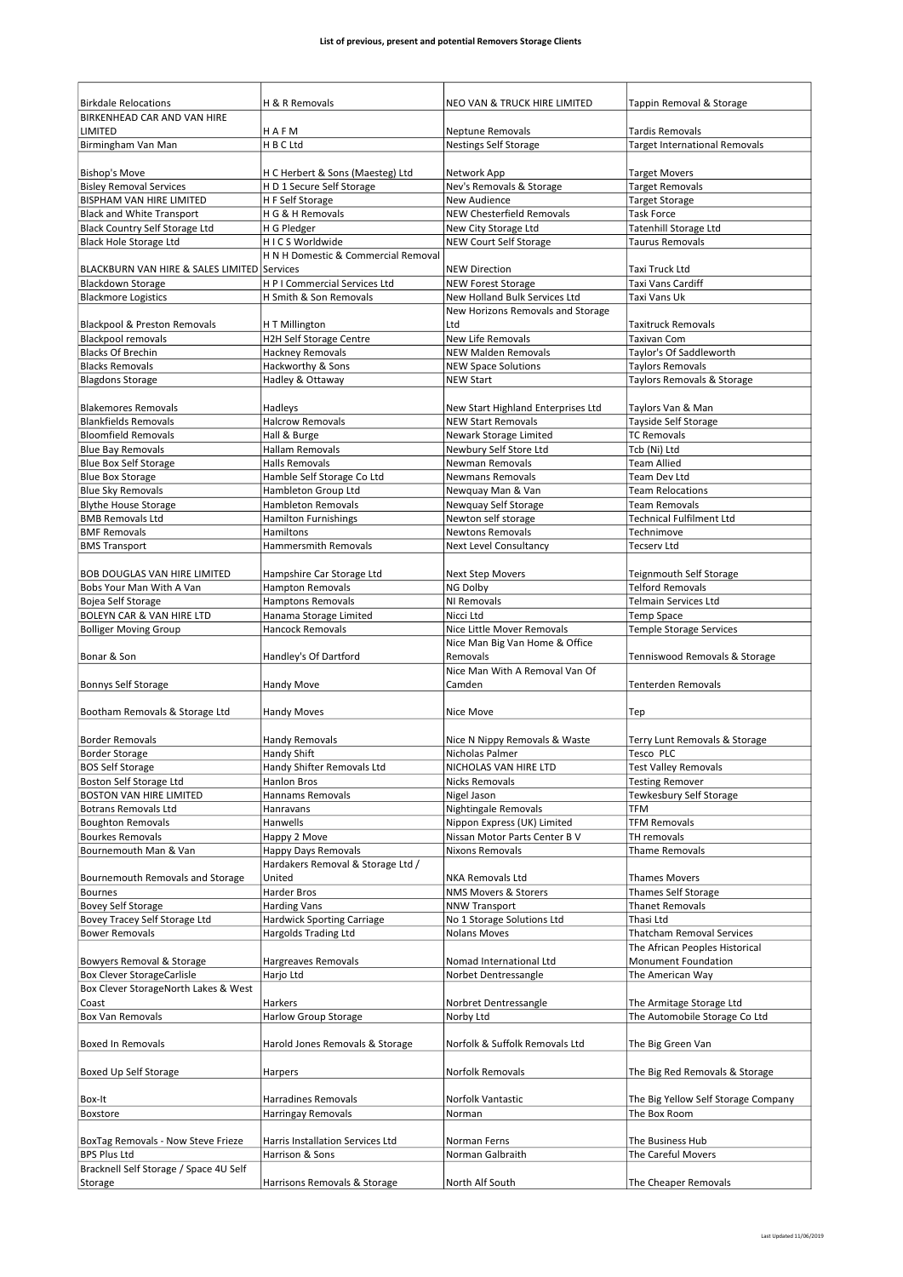| <b>Birkdale Relocations</b>                 | H & R Removals                      | NEO VAN & TRUCK HIRE LIMITED               |                                     |
|---------------------------------------------|-------------------------------------|--------------------------------------------|-------------------------------------|
| BIRKENHEAD CAR AND VAN HIRE                 |                                     |                                            | Tappin Removal & Storage            |
| LIMITED                                     | HAFM                                | <b>Neptune Removals</b>                    | <b>Tardis Removals</b>              |
| Birmingham Van Man                          | H B C Ltd                           | <b>Nestings Self Storage</b>               | Target International Removals       |
|                                             |                                     |                                            |                                     |
| <b>Bishop's Move</b>                        | H C Herbert & Sons (Maesteg) Ltd    | Network App                                | <b>Target Movers</b>                |
| <b>Bisley Removal Services</b>              | H D 1 Secure Self Storage           | Nev's Removals & Storage                   | <b>Target Removals</b>              |
| BISPHAM VAN HIRE LIMITED                    | H F Self Storage                    | <b>New Audience</b>                        | <b>Target Storage</b>               |
| <b>Black and White Transport</b>            | H G & H Removals                    | <b>NEW Chesterfield Removals</b>           | <b>Task Force</b>                   |
| Black Country Self Storage Ltd              | H G Pledger                         | New City Storage Ltd                       | Tatenhill Storage Ltd               |
| <b>Black Hole Storage Ltd</b>               | HICS Worldwide                      | NEW Court Self Storage                     | <b>Taurus Removals</b>              |
| BLACKBURN VAN HIRE & SALES LIMITED Services | H N H Domestic & Commercial Removal | <b>NEW Direction</b>                       | Taxi Truck Ltd                      |
| <b>Blackdown Storage</b>                    | H P I Commercial Services Ltd       | <b>NEW Forest Storage</b>                  | Taxi Vans Cardiff                   |
| <b>Blackmore Logistics</b>                  | H Smith & Son Removals              | New Holland Bulk Services Ltd              | Taxi Vans Uk                        |
|                                             |                                     | New Horizons Removals and Storage          |                                     |
| Blackpool & Preston Removals                | H T Millington                      | Ltd                                        | <b>Taxitruck Removals</b>           |
| <b>Blackpool removals</b>                   | <b>H2H Self Storage Centre</b>      | New Life Removals                          | <b>Taxivan Com</b>                  |
| <b>Blacks Of Brechin</b>                    | Hackney Removals                    | <b>NEW Malden Removals</b>                 | Taylor's Of Saddleworth             |
| <b>Blacks Removals</b>                      | Hackworthy & Sons                   | <b>NEW Space Solutions</b>                 | <b>Taylors Removals</b>             |
| <b>Blagdons Storage</b>                     | Hadley & Ottaway                    | <b>NEW Start</b>                           | Taylors Removals & Storage          |
|                                             |                                     |                                            |                                     |
| <b>Blakemores Removals</b>                  | Hadleys                             | New Start Highland Enterprises Ltd         | Taylors Van & Man                   |
| <b>Blankfields Removals</b>                 | <b>Halcrow Removals</b>             | <b>NEW Start Removals</b>                  | Tayside Self Storage                |
| <b>Bloomfield Removals</b>                  | Hall & Burge                        | Newark Storage Limited                     | <b>TC Removals</b>                  |
| <b>Blue Bay Removals</b>                    | <b>Hallam Removals</b>              | Newbury Self Store Ltd                     | Tcb (Ni) Ltd                        |
| <b>Blue Box Self Storage</b>                | <b>Halls Removals</b>               | Newman Removals                            | <b>Team Allied</b>                  |
| <b>Blue Box Storage</b>                     | Hamble Self Storage Co Ltd          | <b>Newmans Removals</b>                    | <b>Team Dev Ltd</b>                 |
| <b>Blue Sky Removals</b>                    | Hambleton Group Ltd                 | Newquay Man & Van                          | <b>Team Relocations</b>             |
| <b>Blythe House Storage</b>                 | <b>Hambleton Removals</b>           | Newquay Self Storage                       | <b>Team Removals</b>                |
| <b>BMB Removals Ltd</b>                     |                                     | Newton self storage                        | <b>Technical Fulfilment Ltd</b>     |
|                                             | Hamilton Furnishings                |                                            |                                     |
| <b>BMF Removals</b>                         | Hamiltons                           | <b>Newtons Removals</b>                    | Technimove                          |
| <b>BMS Transport</b>                        | Hammersmith Removals                | Next Level Consultancy                     | <b>Tecserv Ltd</b>                  |
|                                             |                                     |                                            |                                     |
| BOB DOUGLAS VAN HIRE LIMITED                | Hampshire Car Storage Ltd           | Next Step Movers                           | Teignmouth Self Storage             |
| Bobs Your Man With A Van                    | <b>Hampton Removals</b>             | NG Dolby                                   | <b>Telford Removals</b>             |
| Bojea Self Storage                          | <b>Hamptons Removals</b>            | NI Removals                                | <b>Telmain Services Ltd</b>         |
| BOLEYN CAR & VAN HIRE LTD                   | Hanama Storage Limited              | Nicci Ltd                                  | Temp Space                          |
| <b>Bolliger Moving Group</b>                | <b>Hancock Removals</b>             | Nice Little Mover Removals                 | Temple Storage Services             |
| Bonar & Son                                 | Handley's Of Dartford               | Nice Man Big Van Home & Office<br>Removals | Tenniswood Removals & Storage       |
|                                             |                                     | Nice Man With A Removal Van Of             |                                     |
| <b>Bonnys Self Storage</b>                  | <b>Handy Move</b>                   | Camden                                     | Tenterden Removals                  |
|                                             |                                     |                                            |                                     |
| Bootham Removals & Storage Ltd              | Handy Moves                         | Nice Move                                  | Tep                                 |
|                                             |                                     |                                            |                                     |
| <b>Border Removals</b>                      | <b>Handy Removals</b>               | Nice N Nippy Removals & Waste              | Terry Lunt Removals & Storage       |
| <b>Border Storage</b>                       | Handy Shift                         | Nicholas Palmer                            | Tesco PLC                           |
| <b>BOS Self Storage</b>                     | Handy Shifter Removals Ltd          | NICHOLAS VAN HIRE LTD                      | <b>Test Valley Removals</b>         |
| Boston Self Storage Ltd                     | Hanlon Bros                         | <b>Nicks Removals</b>                      | <b>Testing Remover</b>              |
| <b>BOSTON VAN HIRE LIMITED</b>              | Hannams Removals                    | Nigel Jason                                | Tewkesbury Self Storage             |
| <b>Botrans Removals Ltd</b>                 | Hanravans                           | Nightingale Removals                       | TFM                                 |
| <b>Boughton Removals</b>                    | Hanwells                            | Nippon Express (UK) Limited                | <b>TFM Removals</b>                 |
| <b>Bourkes Removals</b>                     | Happy 2 Move                        | Nissan Motor Parts Center B V              | TH removals                         |
| Bournemouth Man & Van                       | Happy Days Removals                 | <b>Nixons Removals</b>                     | Thame Removals                      |
|                                             | Hardakers Removal & Storage Ltd /   |                                            |                                     |
| Bournemouth Removals and Storage            | United                              | <b>NKA Removals Ltd</b>                    | <b>Thames Movers</b>                |
| <b>Bournes</b>                              | Harder Bros                         | NMS Movers & Storers                       | Thames Self Storage                 |
| <b>Bovey Self Storage</b>                   | <b>Harding Vans</b>                 | NNW Transport                              | <b>Thanet Removals</b>              |
| Bovey Tracey Self Storage Ltd               | <b>Hardwick Sporting Carriage</b>   | No 1 Storage Solutions Ltd                 | Thasi Ltd                           |
| <b>Bower Removals</b>                       | Hargolds Trading Ltd                | Nolans Moves                               | <b>Thatcham Removal Services</b>    |
|                                             |                                     |                                            | The African Peoples Historical      |
| Bowyers Removal & Storage                   | Hargreaves Removals                 | Nomad International Ltd                    | Monument Foundation                 |
| <b>Box Clever StorageCarlisle</b>           | Harjo Ltd                           | Norbet Dentressangle                       | The American Way                    |
| Box Clever StorageNorth Lakes & West        |                                     |                                            |                                     |
| Coast                                       | Harkers                             | Norbret Dentressangle                      | The Armitage Storage Ltd            |
| <b>Box Van Removals</b>                     | <b>Harlow Group Storage</b>         | Norby Ltd                                  | The Automobile Storage Co Ltd       |
|                                             |                                     |                                            |                                     |
| Boxed In Removals                           | Harold Jones Removals & Storage     | Norfolk & Suffolk Removals Ltd             | The Big Green Van                   |
|                                             |                                     |                                            |                                     |
| Boxed Up Self Storage                       | Harpers                             | Norfolk Removals                           | The Big Red Removals & Storage      |
|                                             |                                     |                                            |                                     |
| Box-It                                      | Harradines Removals                 | Norfolk Vantastic                          | The Big Yellow Self Storage Company |
| Boxstore                                    | Harringay Removals                  | Norman                                     | The Box Room                        |
|                                             |                                     |                                            |                                     |
| BoxTag Removals - Now Steve Frieze          | Harris Installation Services Ltd    | Norman Ferns                               | The Business Hub                    |
| <b>BPS Plus Ltd</b>                         | Harrison & Sons                     | Norman Galbraith                           | The Careful Movers                  |
| Bracknell Self Storage / Space 4U Self      |                                     |                                            |                                     |
| Storage                                     | Harrisons Removals & Storage        | North Alf South                            | The Cheaper Removals                |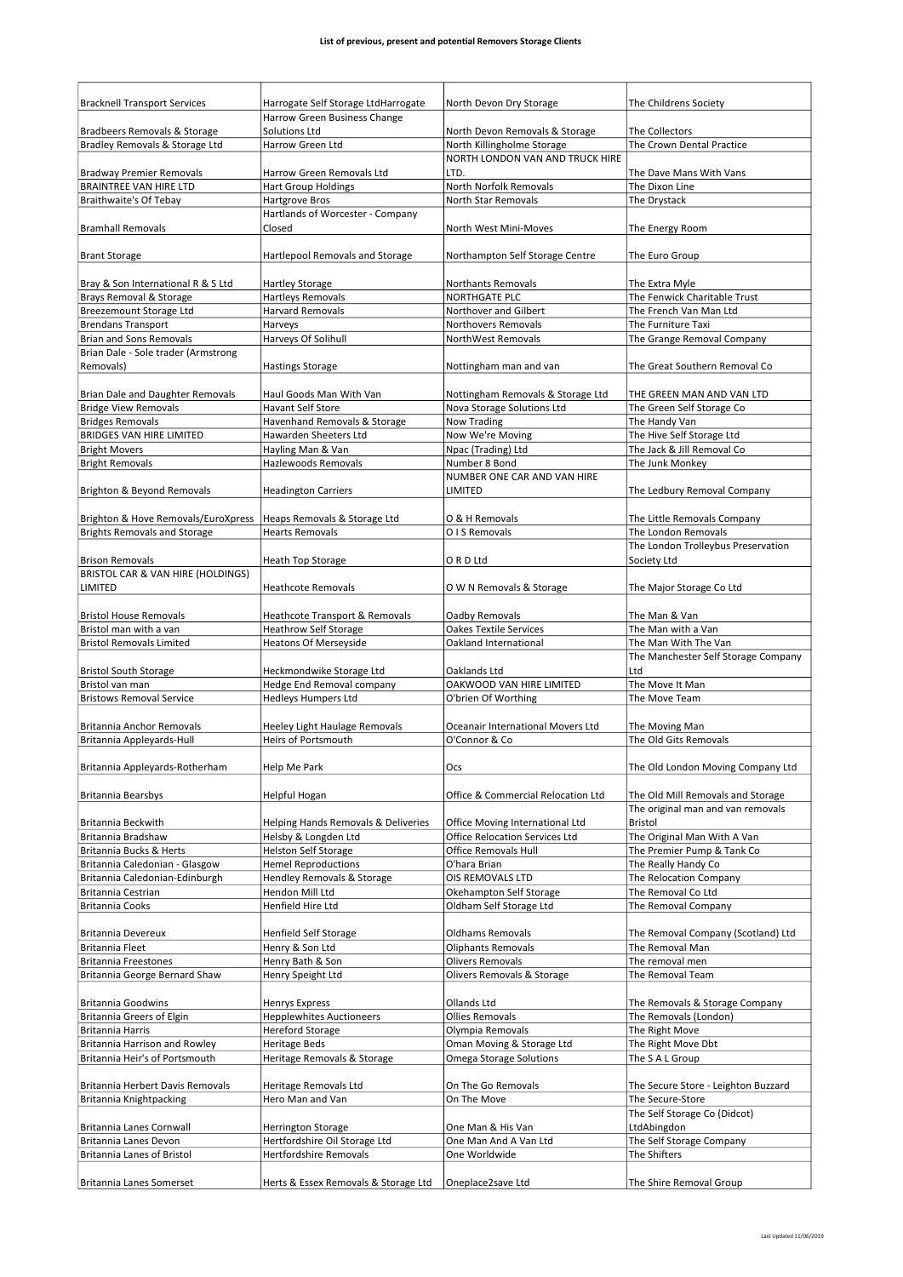| <b>Bracknell Transport Services</b>                         | Harrogate Self Storage LtdHarrogate                          | North Devon Dry Storage                                | The Childrens Society                                   |
|-------------------------------------------------------------|--------------------------------------------------------------|--------------------------------------------------------|---------------------------------------------------------|
|                                                             | Harrow Green Business Change                                 |                                                        |                                                         |
| Bradbeers Removals & Storage                                | Solutions Ltd                                                | North Devon Removals & Storage                         | The Collectors                                          |
| Bradley Removals & Storage Ltd                              | Harrow Green Ltd                                             | North Killingholme Storage                             | The Crown Dental Practice                               |
| <b>Bradway Premier Removals</b>                             | Harrow Green Removals Ltd                                    | NORTH LONDON VAN AND TRUCK HIRE<br>LTD.                | The Dave Mans With Vans                                 |
| <b>BRAINTREE VAN HIRE LTD</b>                               | <b>Hart Group Holdings</b>                                   | North Norfolk Removals                                 | The Dixon Line                                          |
| Braithwaite's Of Tebay                                      | Hartgrove Bros                                               | <b>North Star Removals</b>                             | The Drystack                                            |
|                                                             | Hartlands of Worcester - Company                             |                                                        |                                                         |
| <b>Bramhall Removals</b>                                    | Closed                                                       | North West Mini-Moves                                  | The Energy Room                                         |
|                                                             |                                                              |                                                        |                                                         |
| <b>Brant Storage</b>                                        | Hartlepool Removals and Storage                              | Northampton Self Storage Centre                        | The Euro Group                                          |
| Bray & Son International R & S Ltd                          | <b>Hartley Storage</b>                                       | Northants Removals                                     | The Extra Myle                                          |
| Brays Removal & Storage                                     | <b>Hartleys Removals</b>                                     | <b>NORTHGATE PLC</b>                                   | The Fenwick Charitable Trust                            |
| Breezemount Storage Ltd                                     | Harvard Removals                                             | Northover and Gilbert                                  | The French Van Man Ltd                                  |
| <b>Brendans Transport</b>                                   | Harveys                                                      | <b>Northovers Removals</b>                             | The Furniture Taxi                                      |
| <b>Brian and Sons Removals</b>                              | Harveys Of Solihull                                          | NorthWest Removals                                     | The Grange Removal Company                              |
| Brian Dale - Sole trader (Armstrong                         |                                                              |                                                        |                                                         |
| Removals)                                                   | <b>Hastings Storage</b>                                      | Nottingham man and van                                 | The Great Southern Removal Co                           |
|                                                             |                                                              |                                                        |                                                         |
| Brian Dale and Daughter Removals                            | Haul Goods Man With Van                                      | Nottingham Removals & Storage Ltd                      | THE GREEN MAN AND VAN LTD                               |
| <b>Bridge View Removals</b>                                 | <b>Havant Self Store</b>                                     | Nova Storage Solutions Ltd                             | The Green Self Storage Co                               |
| <b>Bridges Removals</b>                                     | Havenhand Removals & Storage                                 | Now Trading                                            | The Handy Van                                           |
| <b>BRIDGES VAN HIRE LIMITED</b>                             | Hawarden Sheeters Ltd<br>Hayling Man & Van                   | Now We're Moving<br>Npac (Trading) Ltd                 | The Hive Self Storage Ltd<br>The Jack & Jill Removal Co |
| <b>Bright Movers</b><br><b>Bright Removals</b>              | Hazlewoods Removals                                          | Number 8 Bond                                          | The Junk Monkey                                         |
|                                                             |                                                              | NUMBER ONE CAR AND VAN HIRE                            |                                                         |
| Brighton & Beyond Removals                                  | <b>Headington Carriers</b>                                   | LIMITED                                                | The Ledbury Removal Company                             |
|                                                             |                                                              |                                                        |                                                         |
| Brighton & Hove Removals/EuroXpress                         | Heaps Removals & Storage Ltd                                 | O & H Removals                                         | The Little Removals Company                             |
| <b>Brights Removals and Storage</b>                         | <b>Hearts Removals</b>                                       | O I S Removals                                         | The London Removals                                     |
|                                                             |                                                              |                                                        | The London Trolleybus Preservation                      |
| <b>Brison Removals</b>                                      | Heath Top Storage                                            | ORD Ltd                                                | Society Ltd                                             |
| BRISTOL CAR & VAN HIRE (HOLDINGS)                           |                                                              |                                                        |                                                         |
| LIMITED                                                     | <b>Heathcote Removals</b>                                    | O W N Removals & Storage                               | The Major Storage Co Ltd                                |
| <b>Bristol House Removals</b>                               | Heathcote Transport & Removals                               | Oadby Removals                                         | The Man & Van                                           |
| Bristol man with a van                                      |                                                              |                                                        | The Man with a Van                                      |
|                                                             |                                                              |                                                        |                                                         |
| <b>Bristol Removals Limited</b>                             | <b>Heathrow Self Storage</b><br><b>Heatons Of Merseyside</b> | <b>Oakes Textile Services</b><br>Oakland International | The Man With The Van                                    |
|                                                             |                                                              |                                                        | The Manchester Self Storage Company                     |
| <b>Bristol South Storage</b>                                | Heckmondwike Storage Ltd                                     | Oaklands Ltd                                           | Ltd                                                     |
| Bristol van man                                             | Hedge End Removal company                                    | OAKWOOD VAN HIRE LIMITED                               | The Move It Man                                         |
| <b>Bristows Removal Service</b>                             | <b>Hedleys Humpers Ltd</b>                                   | O'brien Of Worthing                                    | The Move Team                                           |
|                                                             |                                                              |                                                        |                                                         |
| Britannia Anchor Removals                                   | <b>Heeley Light Haulage Removals</b>                         | Oceanair International Movers Ltd                      | The Moving Man                                          |
| Britannia Appleyards-Hull                                   | <b>Heirs of Portsmouth</b>                                   | O'Connor & Co                                          | The Old Gits Removals                                   |
|                                                             |                                                              |                                                        |                                                         |
| Britannia Appleyards-Rotherham                              | Help Me Park                                                 | Ocs                                                    | The Old London Moving Company Ltd                       |
| <b>Britannia Bearsbys</b>                                   | Helpful Hogan                                                | Office & Commercial Relocation Ltd                     | The Old Mill Removals and Storage                       |
|                                                             |                                                              |                                                        | The original man and van removals                       |
| Britannia Beckwith                                          | Helping Hands Removals & Deliveries                          | Office Moving International Ltd                        | <b>Bristol</b>                                          |
| Britannia Bradshaw                                          | Helsby & Longden Ltd                                         | <b>Office Relocation Services Ltd</b>                  | The Original Man With A Van                             |
| Britannia Bucks & Herts                                     | <b>Helston Self Storage</b>                                  | <b>Office Removals Hull</b>                            | The Premier Pump & Tank Co                              |
| Britannia Caledonian - Glasgow                              | <b>Hemel Reproductions</b>                                   | O'hara Brian                                           | The Really Handy Co                                     |
| Britannia Caledonian-Edinburgh                              | Hendley Removals & Storage                                   | OIS REMOVALS LTD                                       | The Relocation Company                                  |
| Britannia Cestrian                                          | Hendon Mill Ltd                                              | Okehampton Self Storage                                | The Removal Co Ltd                                      |
| Britannia Cooks                                             | Henfield Hire Ltd                                            | Oldham Self Storage Ltd                                | The Removal Company                                     |
| Britannia Devereux                                          |                                                              | <b>Oldhams Removals</b>                                |                                                         |
| Britannia Fleet                                             | Henfield Self Storage<br>Henry & Son Ltd                     | <b>Oliphants Removals</b>                              | The Removal Company (Scotland) Ltd<br>The Removal Man   |
| Britannia Freestones                                        | Henry Bath & Son                                             | <b>Olivers Removals</b>                                | The removal men                                         |
| Britannia George Bernard Shaw                               | Henry Speight Ltd                                            | Olivers Removals & Storage                             | The Removal Team                                        |
|                                                             |                                                              |                                                        |                                                         |
| <b>Britannia Goodwins</b>                                   | Henrys Express                                               | Ollands Ltd                                            | The Removals & Storage Company                          |
| Britannia Greers of Elgin                                   | <b>Hepplewhites Auctioneers</b>                              | <b>Ollies Removals</b>                                 | The Removals (London)                                   |
| Britannia Harris                                            | <b>Hereford Storage</b>                                      | Olympia Removals                                       | The Right Move                                          |
| Britannia Harrison and Rowley                               | <b>Heritage Beds</b>                                         | Oman Moving & Storage Ltd                              | The Right Move Dbt                                      |
| Britannia Heir's of Portsmouth                              | Heritage Removals & Storage                                  | Omega Storage Solutions                                | The S A L Group                                         |
|                                                             |                                                              |                                                        |                                                         |
| Britannia Herbert Davis Removals<br>Britannia Knightpacking | Heritage Removals Ltd<br>Hero Man and Van                    | On The Go Removals<br>On The Move                      | The Secure Store - Leighton Buzzard<br>The Secure-Store |
|                                                             |                                                              |                                                        | The Self Storage Co (Didcot)                            |
| Britannia Lanes Cornwall                                    | <b>Herrington Storage</b>                                    | One Man & His Van                                      | LtdAbingdon                                             |
| Britannia Lanes Devon                                       | Hertfordshire Oil Storage Ltd                                | One Man And A Van Ltd                                  | The Self Storage Company                                |
| Britannia Lanes of Bristol                                  | Hertfordshire Removals                                       | One Worldwide                                          | The Shifters                                            |
| Britannia Lanes Somerset                                    | Herts & Essex Removals & Storage Ltd                         | Oneplace2save Ltd                                      | The Shire Removal Group                                 |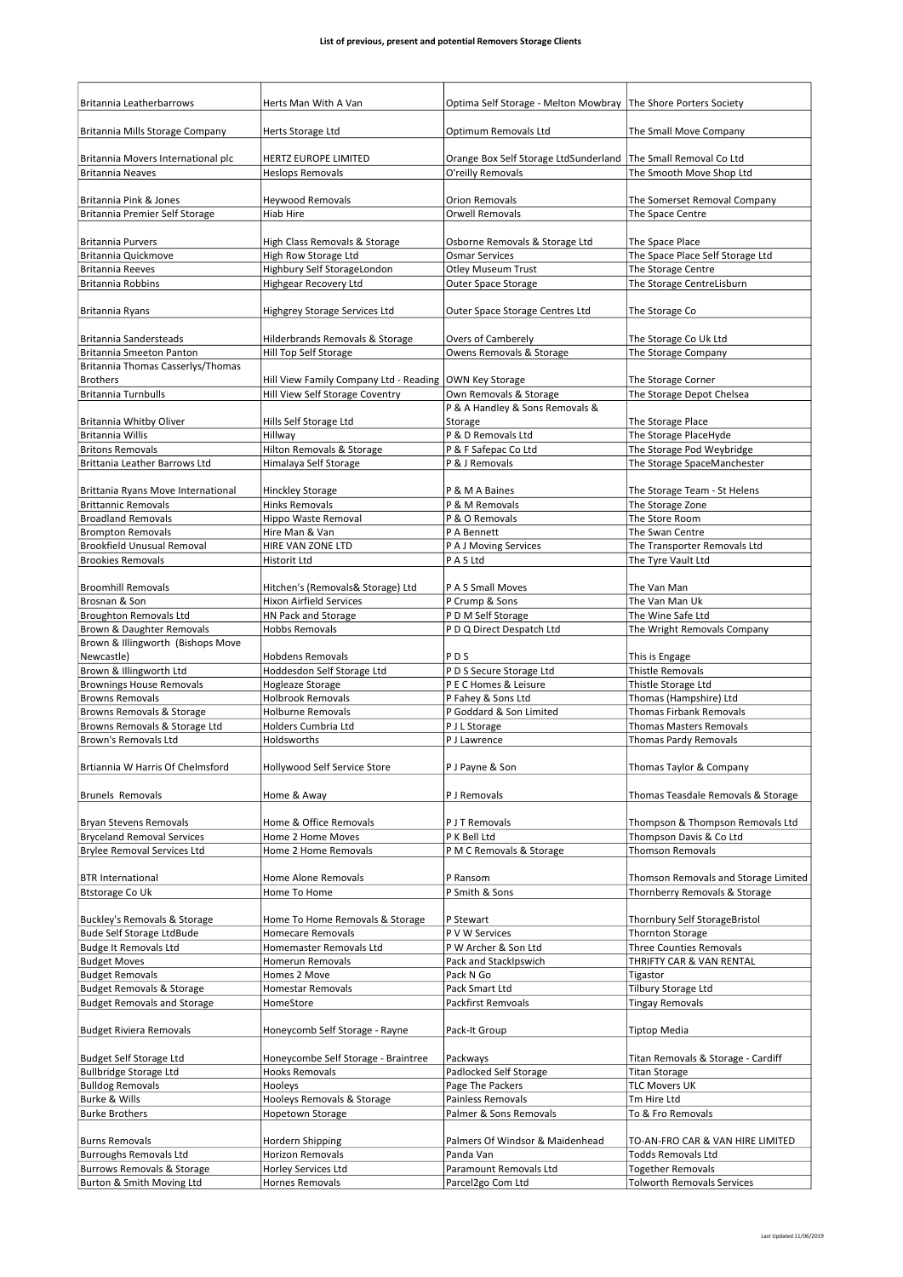| Britannia Leatherbarrows                                        | Herts Man With A Van                                         | Optima Self Storage - Melton Mowbray   The Shore Porters Society                    |                                                               |
|-----------------------------------------------------------------|--------------------------------------------------------------|-------------------------------------------------------------------------------------|---------------------------------------------------------------|
| Britannia Mills Storage Company                                 | Herts Storage Ltd                                            | Optimum Removals Ltd                                                                | The Small Move Company                                        |
|                                                                 |                                                              |                                                                                     |                                                               |
| Britannia Movers International plc<br><b>Britannia Neaves</b>   | HERTZ EUROPE LIMITED<br><b>Heslops Removals</b>              | Orange Box Self Storage LtdSunderland The Small Removal Co Ltd<br>O'reilly Removals | The Smooth Move Shop Ltd                                      |
|                                                                 |                                                              |                                                                                     |                                                               |
| Britannia Pink & Jones                                          | <b>Heywood Removals</b>                                      | <b>Orion Removals</b>                                                               | The Somerset Removal Company                                  |
| Britannia Premier Self Storage                                  | <b>Hiab Hire</b>                                             | <b>Orwell Removals</b>                                                              | The Space Centre                                              |
|                                                                 |                                                              |                                                                                     |                                                               |
| <b>Britannia Purvers</b>                                        | High Class Removals & Storage                                | Osborne Removals & Storage Ltd                                                      | The Space Place                                               |
| Britannia Quickmove<br><b>Britannia Reeves</b>                  | High Row Storage Ltd<br>Highbury Self StorageLondon          | <b>Osmar Services</b><br><b>Otley Museum Trust</b>                                  | The Space Place Self Storage Ltd<br>The Storage Centre        |
| Britannia Robbins                                               | Highgear Recovery Ltd                                        | Outer Space Storage                                                                 | The Storage CentreLisburn                                     |
| Britannia Ryans                                                 | Highgrey Storage Services Ltd                                | Outer Space Storage Centres Ltd                                                     | The Storage Co                                                |
|                                                                 |                                                              |                                                                                     |                                                               |
| Britannia Sandersteads<br>Britannia Smeeton Panton              | Hilderbrands Removals & Storage<br>Hill Top Self Storage     | Overs of Camberely<br>Owens Removals & Storage                                      | The Storage Co Uk Ltd<br>The Storage Company                  |
| Britannia Thomas Casserlys/Thomas                               |                                                              |                                                                                     |                                                               |
| <b>Brothers</b>                                                 | Hill View Family Company Ltd - Reading   OWN Key Storage     |                                                                                     | The Storage Corner                                            |
| <b>Britannia Turnbulls</b>                                      | Hill View Self Storage Coventry                              | Own Removals & Storage                                                              | The Storage Depot Chelsea                                     |
|                                                                 |                                                              | P & A Handley & Sons Removals &                                                     |                                                               |
| Britannia Whitby Oliver                                         | Hills Self Storage Ltd                                       | Storage                                                                             | The Storage Place                                             |
| Britannia Willis                                                | Hillway                                                      | P & D Removals Ltd                                                                  | The Storage PlaceHyde                                         |
| <b>Britons Removals</b>                                         | Hilton Removals & Storage                                    | P & F Safepac Co Ltd                                                                | The Storage Pod Weybridge                                     |
| Brittania Leather Barrows Ltd                                   | Himalaya Self Storage                                        | P & J Removals                                                                      | The Storage SpaceManchester                                   |
| Brittania Ryans Move International                              | <b>Hinckley Storage</b>                                      | P & M A Baines                                                                      | The Storage Team - St Helens                                  |
| <b>Brittannic Removals</b>                                      | <b>Hinks Removals</b>                                        | P & M Removals                                                                      | The Storage Zone                                              |
| <b>Broadland Removals</b>                                       | Hippo Waste Removal                                          | P & O Removals                                                                      | The Store Room                                                |
| <b>Brompton Removals</b>                                        | Hire Man & Van                                               | P A Bennett                                                                         | The Swan Centre                                               |
| <b>Brookfield Unusual Removal</b>                               | HIRE VAN ZONE LTD                                            | P A J Moving Services                                                               | The Transporter Removals Ltd                                  |
| <b>Brookies Removals</b>                                        | <b>Historit Ltd</b>                                          | P A S Ltd                                                                           | The Tyre Vault Ltd                                            |
| <b>Broomhill Removals</b>                                       | Hitchen's (Removals& Storage) Ltd                            | P A S Small Moves                                                                   | The Van Man                                                   |
| Brosnan & Son                                                   | <b>Hixon Airfield Services</b>                               | P Crump & Sons                                                                      | The Van Man Uk                                                |
| <b>Broughton Removals Ltd</b>                                   | HN Pack and Storage                                          | P D M Self Storage                                                                  | The Wine Safe Ltd                                             |
| Brown & Daughter Removals                                       | <b>Hobbs Removals</b>                                        | P D Q Direct Despatch Ltd                                                           | The Wright Removals Company                                   |
| Brown & Illingworth (Bishops Move                               |                                                              |                                                                                     |                                                               |
| Newcastle)                                                      | <b>Hobdens Removals</b>                                      | PDS                                                                                 | This is Engage                                                |
| Brown & Illingworth Ltd                                         | Hoddesdon Self Storage Ltd                                   | P D S Secure Storage Ltd                                                            | Thistle Removals                                              |
| <b>Brownings House Removals</b>                                 | Hogleaze Storage                                             | P E C Homes & Leisure                                                               | Thistle Storage Ltd                                           |
| <b>Browns Removals</b>                                          | <b>Holbrook Removals</b>                                     | P Fahey & Sons Ltd                                                                  | Thomas (Hampshire) Ltd                                        |
| Browns Removals & Storage                                       | <b>Holburne Removals</b>                                     | P Goddard & Son Limited                                                             | <b>Thomas Firbank Removals</b>                                |
| Browns Removals & Storage Ltd                                   | <b>Holders Cumbria Ltd</b>                                   | P J L Storage                                                                       | <b>Thomas Masters Removals</b>                                |
| Brown's Removals Ltd                                            | Holdsworths                                                  | P J Lawrence                                                                        | Thomas Pardy Removals                                         |
|                                                                 |                                                              |                                                                                     |                                                               |
| Brtiannia W Harris Of Chelmsford                                | Hollywood Self Service Store                                 | P J Payne & Son                                                                     | Thomas Taylor & Company                                       |
| <b>Brunels Removals</b>                                         | Home & Away                                                  | P J Removals                                                                        | Thomas Teasdale Removals & Storage                            |
| Bryan Stevens Removals                                          | Home & Office Removals                                       | P J T Removals                                                                      | Thompson & Thompson Removals Ltd                              |
| <b>Bryceland Removal Services</b>                               | Home 2 Home Moves                                            | P K Bell Ltd                                                                        | Thompson Davis & Co Ltd                                       |
| <b>Brylee Removal Services Ltd</b>                              | Home 2 Home Removals                                         | P M C Removals & Storage                                                            | <b>Thomson Removals</b>                                       |
|                                                                 |                                                              |                                                                                     |                                                               |
| <b>BTR International</b>                                        | Home Alone Removals                                          | P Ransom                                                                            | Thomson Removals and Storage Limited                          |
| <b>Btstorage Co Uk</b>                                          | Home To Home                                                 | P Smith & Sons                                                                      | Thornberry Removals & Storage                                 |
| <b>Buckley's Removals &amp; Storage</b>                         | Home To Home Removals & Storage                              | P Stewart                                                                           | Thornbury Self StorageBristol                                 |
| <b>Bude Self Storage LtdBude</b>                                | <b>Homecare Removals</b>                                     | P V W Services                                                                      | <b>Thornton Storage</b>                                       |
| <b>Budge It Removals Ltd</b>                                    | Homemaster Removals Ltd                                      | P W Archer & Son Ltd                                                                | <b>Three Counties Removals</b>                                |
| <b>Budget Moves</b>                                             | Homerun Removals                                             | Pack and StackIpswich                                                               | THRIFTY CAR & VAN RENTAL                                      |
| <b>Budget Removals</b>                                          | Homes 2 Move                                                 | Pack N Go                                                                           | Tigastor                                                      |
| <b>Budget Removals &amp; Storage</b>                            | <b>Homestar Removals</b>                                     | Pack Smart Ltd                                                                      | Tilbury Storage Ltd                                           |
| <b>Budget Removals and Storage</b>                              | HomeStore                                                    | <b>Packfirst Remvoals</b>                                                           | Tingay Removals                                               |
|                                                                 |                                                              |                                                                                     |                                                               |
| <b>Budget Riviera Removals</b>                                  | Honeycomb Self Storage - Rayne                               | Pack-It Group                                                                       | Tiptop Media                                                  |
|                                                                 |                                                              |                                                                                     |                                                               |
| <b>Budget Self Storage Ltd</b><br><b>Bullbridge Storage Ltd</b> | Honeycombe Self Storage - Braintree<br><b>Hooks Removals</b> | Packways<br>Padlocked Self Storage                                                  | Titan Removals & Storage - Cardiff<br><b>Titan Storage</b>    |
| <b>Bulldog Removals</b>                                         | Hooleys                                                      | Page The Packers                                                                    | <b>TLC Movers UK</b>                                          |
| Burke & Wills                                                   | Hooleys Removals & Storage                                   | Painless Removals                                                                   | Tm Hire Ltd                                                   |
| <b>Burke Brothers</b>                                           | Hopetown Storage                                             | Palmer & Sons Removals                                                              | To & Fro Removals                                             |
|                                                                 |                                                              |                                                                                     |                                                               |
| <b>Burns Removals</b>                                           |                                                              |                                                                                     |                                                               |
|                                                                 | Hordern Shipping                                             | Palmers Of Windsor & Maidenhead                                                     | TO-AN-FRO CAR & VAN HIRE LIMITED                              |
| <b>Burroughs Removals Ltd</b>                                   | Horizon Removals                                             | Panda Van                                                                           | <b>Todds Removals Ltd</b>                                     |
| Burrows Removals & Storage<br>Burton & Smith Moving Ltd         | Horley Services Ltd<br>Hornes Removals                       | Paramount Removals Ltd<br>Parcel2go Com Ltd                                         | <b>Together Removals</b><br><b>Tolworth Removals Services</b> |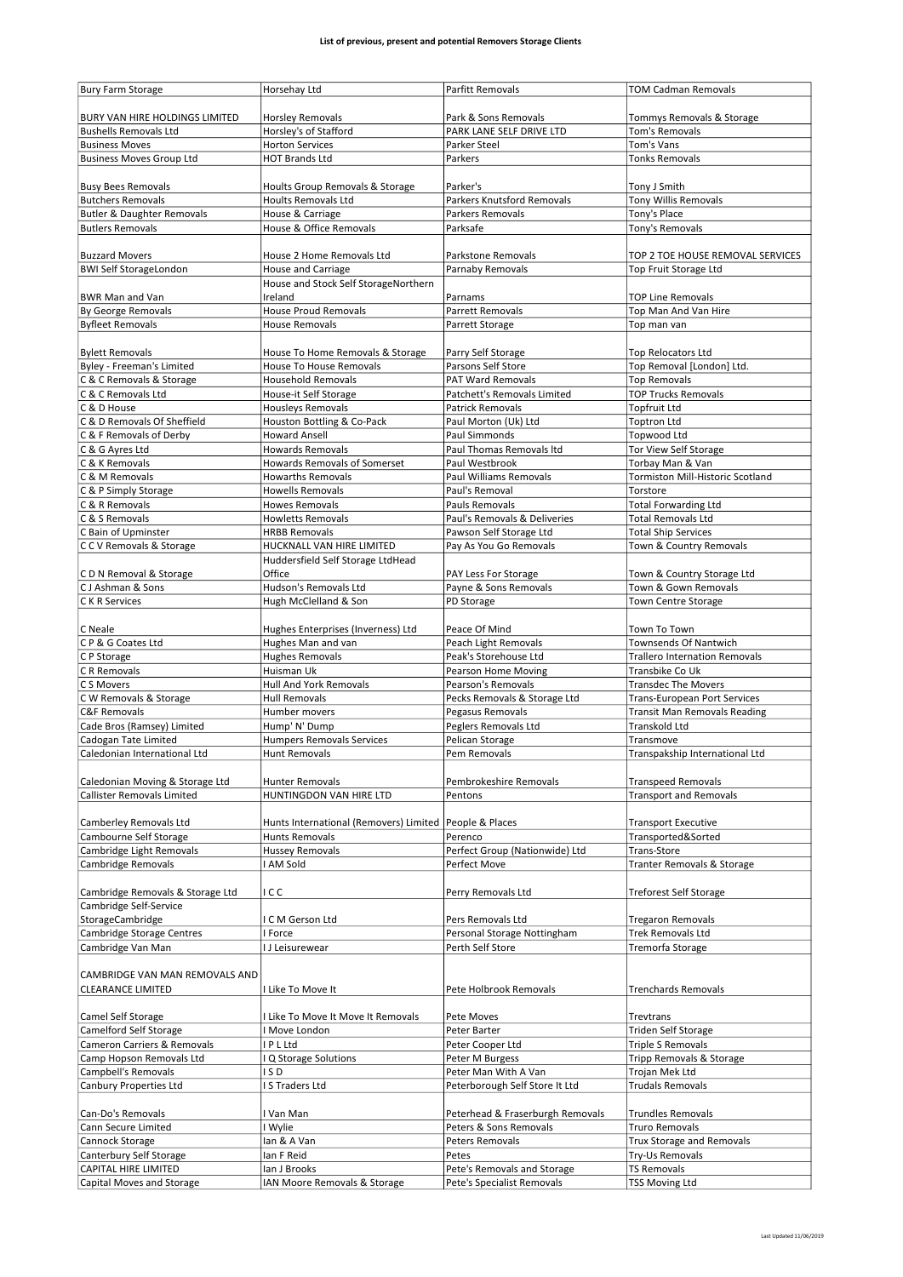| BURY VAN HIRE HOLDINGS LIMITED<br><b>Horsley Removals</b><br>Park & Sons Removals<br>Tommys Removals & Storage<br>Horsley's of Stafford<br>PARK LANE SELF DRIVE LTD<br><b>Tom's Removals</b><br><b>Bushells Removals Ltd</b><br><b>Business Moves</b><br><b>Horton Services</b><br>Parker Steel<br>Tom's Vans<br><b>Business Moves Group Ltd</b><br><b>HOT Brands Ltd</b><br>Parkers<br><b>Tonks Removals</b><br>Parker's<br><b>Busy Bees Removals</b><br>Hoults Group Removals & Storage<br>Tony J Smith<br><b>Butchers Removals</b><br>Parkers Knutsford Removals<br><b>Tony Willis Removals</b><br><b>Hoults Removals Ltd</b><br>Tony's Place<br>Butler & Daughter Removals<br>House & Carriage<br>Parkers Removals<br><b>Butlers Removals</b><br>House & Office Removals<br>Tony's Removals<br>Parksafe<br><b>Buzzard Movers</b><br>House 2 Home Removals Ltd<br>Parkstone Removals<br>TOP 2 TOE HOUSE REMOVAL SERVICES<br><b>BWI Self StorageLondon</b><br>House and Carriage<br>Parnaby Removals<br>Top Fruit Storage Ltd<br>House and Stock Self StorageNorthern<br>Ireland<br><b>BWR Man and Van</b><br>Parnams<br><b>TOP Line Removals</b><br><b>House Proud Removals</b><br>By George Removals<br>Parrett Removals<br>Top Man And Van Hire<br><b>Byfleet Removals</b><br><b>House Removals</b><br>Parrett Storage<br>Top man van<br><b>Bylett Removals</b><br>House To Home Removals & Storage<br>Parry Self Storage<br><b>Top Relocators Ltd</b><br>Byley - Freeman's Limited<br>House To House Removals<br>Parsons Self Store<br>Top Removal [London] Ltd.<br>C & C Removals & Storage<br><b>Household Removals</b><br>PAT Ward Removals<br><b>Top Removals</b><br><b>TOP Trucks Removals</b><br>C & C Removals Ltd<br>House-it Self Storage<br>Patchett's Removals Limited<br>C & D House<br><b>Housleys Removals</b><br><b>Patrick Removals</b><br><b>Topfruit Ltd</b><br>C & D Removals Of Sheffield<br>Houston Bottling & Co-Pack<br>Paul Morton (Uk) Ltd<br><b>Toptron Ltd</b><br><b>Howard Ansell</b><br>C & F Removals of Derby<br>Paul Simmonds<br><b>Topwood Ltd</b><br><b>Howards Removals</b><br>C & G Ayres Ltd<br>Paul Thomas Removals Itd<br>Tor View Self Storage<br>C & K Removals<br>Howards Removals of Somerset<br>Paul Westbrook<br>Torbay Man & Van<br>C & M Removals<br><b>Howarths Removals</b><br>Paul Williams Removals<br>Tormiston Mill-Historic Scotland<br>Torstore<br>C & P Simply Storage<br><b>Howells Removals</b><br>Paul's Removal<br>C & R Removals<br><b>Howes Removals</b><br>Pauls Removals<br><b>Total Forwarding Ltd</b><br>Paul's Removals & Deliveries<br><b>Total Removals Ltd</b><br>C & S Removals<br><b>Howletts Removals</b><br>C Bain of Upminster<br><b>HRBB Removals</b><br>Pawson Self Storage Ltd<br><b>Total Ship Services</b><br>CCV Removals & Storage<br>HUCKNALL VAN HIRE LIMITED<br>Pay As You Go Removals<br>Town & Country Removals<br>Huddersfield Self Storage LtdHead<br>Office<br>CDN Removal & Storage<br>PAY Less For Storage<br>Town & Country Storage Ltd<br>CJ Ashman & Sons<br>Hudson's Removals Ltd<br>Payne & Sons Removals<br>Town & Gown Removals<br>C K R Services<br>Hugh McClelland & Son<br>PD Storage<br>Town Centre Storage<br>Peace Of Mind<br>C Neale<br>Hughes Enterprises (Inverness) Ltd<br>Town To Town<br>CP & G Coates Ltd<br>Hughes Man and van<br>Peach Light Removals<br>Townsends Of Nantwich<br>C P Storage<br><b>Hughes Removals</b><br>Peak's Storehouse Ltd<br><b>Trallero Internation Removals</b><br>C R Removals<br>Huisman Uk<br>Pearson Home Moving<br>Transbike Co Uk<br>C S Movers<br><b>Hull And York Removals</b><br>Pearson's Removals<br><b>Transdec The Movers</b><br>Pecks Removals & Storage Ltd<br>C W Removals & Storage<br><b>Hull Removals</b><br><b>Trans-European Port Services</b><br>Pegasus Removals<br><b>C&amp;F Removals</b><br>Humber movers<br><b>Transit Man Removals Reading</b><br>Peglers Removals Ltd<br>Cade Bros (Ramsey) Limited<br>Hump' N' Dump<br>Transkold Ltd<br>Pelican Storage<br>Cadogan Tate Limited<br><b>Humpers Removals Services</b><br>Transmove<br>Caledonian International Ltd<br>Pem Removals<br>Transpakship International Ltd<br><b>Hunt Removals</b><br>Caledonian Moving & Storage Ltd<br>Pembrokeshire Removals<br><b>Transpeed Removals</b><br>Hunter Removals<br><b>Callister Removals Limited</b><br>HUNTINGDON VAN HIRE LTD<br>Pentons<br><b>Transport and Removals</b><br>Camberley Removals Ltd<br>Hunts International (Removers) Limited   People & Places<br><b>Transport Executive</b><br>Cambourne Self Storage<br><b>Hunts Removals</b><br>Perenco<br>Transported&Sorted<br>Cambridge Light Removals<br><b>Hussey Removals</b><br>Perfect Group (Nationwide) Ltd<br>Trans-Store<br>Cambridge Removals<br>I AM Sold<br>Perfect Move<br>Tranter Removals & Storage<br>Cambridge Removals & Storage Ltd<br>ICC<br>Perry Removals Ltd<br><b>Treforest Self Storage</b><br>Cambridge Self-Service<br>StorageCambridge<br>Pers Removals Ltd<br>I C M Gerson Ltd<br><b>Tregaron Removals</b><br>Trek Removals Ltd<br>Cambridge Storage Centres<br>I Force<br>Personal Storage Nottingham<br>Cambridge Van Man<br>I J Leisurewear<br>Perth Self Store<br>Tremorfa Storage<br>CAMBRIDGE VAN MAN REMOVALS AND<br>Pete Holbrook Removals<br><b>Trenchards Removals</b><br><b>CLEARANCE LIMITED</b><br>I Like To Move It<br>Camel Self Storage<br>I Like To Move It Move It Removals<br>Pete Moves<br>Trevtrans<br>Camelford Self Storage<br>I Move London<br>Peter Barter<br>Triden Self Storage<br>Cameron Carriers & Removals<br>I P L Ltd<br>Peter Cooper Ltd<br><b>Triple S Removals</b><br>Camp Hopson Removals Ltd<br>Q Storage Solutions<br>Tripp Removals & Storage<br>Peter M Burgess<br>Campbell's Removals<br>ISD<br>Peter Man With A Van<br>Trojan Mek Ltd<br>Canbury Properties Ltd<br>I S Traders Ltd<br>Peterborough Self Store It Ltd<br><b>Trudals Removals</b><br>Peterhead & Fraserburgh Removals<br><b>Trundles Removals</b><br>Can-Do's Removals<br>I Van Man<br>Cann Secure Limited<br>I Wylie<br>Peters & Sons Removals<br><b>Truro Removals</b><br>Cannock Storage<br>Peters Removals<br>Trux Storage and Removals<br>lan & A Van<br>Canterbury Self Storage<br>Ian F Reid<br>Try-Us Removals<br>Petes<br>CAPITAL HIRE LIMITED<br>lan J Brooks<br>Pete's Removals and Storage<br><b>TS Removals</b><br>Capital Moves and Storage<br>IAN Moore Removals & Storage<br>Pete's Specialist Removals<br><b>TSS Moving Ltd</b> | <b>Bury Farm Storage</b> | Horsehay Ltd | Parfitt Removals | <b>TOM Cadman Removals</b> |
|------------------------------------------------------------------------------------------------------------------------------------------------------------------------------------------------------------------------------------------------------------------------------------------------------------------------------------------------------------------------------------------------------------------------------------------------------------------------------------------------------------------------------------------------------------------------------------------------------------------------------------------------------------------------------------------------------------------------------------------------------------------------------------------------------------------------------------------------------------------------------------------------------------------------------------------------------------------------------------------------------------------------------------------------------------------------------------------------------------------------------------------------------------------------------------------------------------------------------------------------------------------------------------------------------------------------------------------------------------------------------------------------------------------------------------------------------------------------------------------------------------------------------------------------------------------------------------------------------------------------------------------------------------------------------------------------------------------------------------------------------------------------------------------------------------------------------------------------------------------------------------------------------------------------------------------------------------------------------------------------------------------------------------------------------------------------------------------------------------------------------------------------------------------------------------------------------------------------------------------------------------------------------------------------------------------------------------------------------------------------------------------------------------------------------------------------------------------------------------------------------------------------------------------------------------------------------------------------------------------------------------------------------------------------------------------------------------------------------------------------------------------------------------------------------------------------------------------------------------------------------------------------------------------------------------------------------------------------------------------------------------------------------------------------------------------------------------------------------------------------------------------------------------------------------------------------------------------------------------------------------------------------------------------------------------------------------------------------------------------------------------------------------------------------------------------------------------------------------------------------------------------------------------------------------------------------------------------------------------------------------------------------------------------------------------------------------------------------------------------------------------------------------------------------------------------------------------------------------------------------------------------------------------------------------------------------------------------------------------------------------------------------------------------------------------------------------------------------------------------------------------------------------------------------------------------------------------------------------------------------------------------------------------------------------------------------------------------------------------------------------------------------------------------------------------------------------------------------------------------------------------------------------------------------------------------------------------------------------------------------------------------------------------------------------------------------------------------------------------------------------------------------------------------------------------------------------------------------------------------------------------------------------------------------------------------------------------------------------------------------------------------------------------------------------------------------------------------------------------------------------------------------------------------------------------------------------------------------------------------------------------------------------------------------------------------------------------------------------------------------------------------------------------------------------------------------------------------------------------------------------------------------------------------------------------------------------------------------------------------------------------------------------------------------------------------------------------------------------------------------------------------------------------------------------------------------------------------------------------------------------------------------------------------------------------------------------------------------------------------------------------------------------------------------------------------------------------------------------------------------------------------------------------------------------------------------------------------------------------------------------------------------------------------------------------------------------------------------------------------------------------------------------------------------------------------------------------------------------------------------------------------------|--------------------------|--------------|------------------|----------------------------|
|                                                                                                                                                                                                                                                                                                                                                                                                                                                                                                                                                                                                                                                                                                                                                                                                                                                                                                                                                                                                                                                                                                                                                                                                                                                                                                                                                                                                                                                                                                                                                                                                                                                                                                                                                                                                                                                                                                                                                                                                                                                                                                                                                                                                                                                                                                                                                                                                                                                                                                                                                                                                                                                                                                                                                                                                                                                                                                                                                                                                                                                                                                                                                                                                                                                                                                                                                                                                                                                                                                                                                                                                                                                                                                                                                                                                                                                                                                                                                                                                                                                                                                                                                                                                                                                                                                                                                                                                                                                                                                                                                                                                                                                                                                                                                                                                                                                                                                                                                                                                                                                                                                                                                                                                                                                                                                                                                                                                                                                                                                                                                                                                                                                                                                                                                                                                                                                                                                                                                                                                                                                                                                                                                                                                                                                                                                                                                                                                                                                                                                                        |                          |              |                  |                            |
|                                                                                                                                                                                                                                                                                                                                                                                                                                                                                                                                                                                                                                                                                                                                                                                                                                                                                                                                                                                                                                                                                                                                                                                                                                                                                                                                                                                                                                                                                                                                                                                                                                                                                                                                                                                                                                                                                                                                                                                                                                                                                                                                                                                                                                                                                                                                                                                                                                                                                                                                                                                                                                                                                                                                                                                                                                                                                                                                                                                                                                                                                                                                                                                                                                                                                                                                                                                                                                                                                                                                                                                                                                                                                                                                                                                                                                                                                                                                                                                                                                                                                                                                                                                                                                                                                                                                                                                                                                                                                                                                                                                                                                                                                                                                                                                                                                                                                                                                                                                                                                                                                                                                                                                                                                                                                                                                                                                                                                                                                                                                                                                                                                                                                                                                                                                                                                                                                                                                                                                                                                                                                                                                                                                                                                                                                                                                                                                                                                                                                                                        |                          |              |                  |                            |
|                                                                                                                                                                                                                                                                                                                                                                                                                                                                                                                                                                                                                                                                                                                                                                                                                                                                                                                                                                                                                                                                                                                                                                                                                                                                                                                                                                                                                                                                                                                                                                                                                                                                                                                                                                                                                                                                                                                                                                                                                                                                                                                                                                                                                                                                                                                                                                                                                                                                                                                                                                                                                                                                                                                                                                                                                                                                                                                                                                                                                                                                                                                                                                                                                                                                                                                                                                                                                                                                                                                                                                                                                                                                                                                                                                                                                                                                                                                                                                                                                                                                                                                                                                                                                                                                                                                                                                                                                                                                                                                                                                                                                                                                                                                                                                                                                                                                                                                                                                                                                                                                                                                                                                                                                                                                                                                                                                                                                                                                                                                                                                                                                                                                                                                                                                                                                                                                                                                                                                                                                                                                                                                                                                                                                                                                                                                                                                                                                                                                                                                        |                          |              |                  |                            |
|                                                                                                                                                                                                                                                                                                                                                                                                                                                                                                                                                                                                                                                                                                                                                                                                                                                                                                                                                                                                                                                                                                                                                                                                                                                                                                                                                                                                                                                                                                                                                                                                                                                                                                                                                                                                                                                                                                                                                                                                                                                                                                                                                                                                                                                                                                                                                                                                                                                                                                                                                                                                                                                                                                                                                                                                                                                                                                                                                                                                                                                                                                                                                                                                                                                                                                                                                                                                                                                                                                                                                                                                                                                                                                                                                                                                                                                                                                                                                                                                                                                                                                                                                                                                                                                                                                                                                                                                                                                                                                                                                                                                                                                                                                                                                                                                                                                                                                                                                                                                                                                                                                                                                                                                                                                                                                                                                                                                                                                                                                                                                                                                                                                                                                                                                                                                                                                                                                                                                                                                                                                                                                                                                                                                                                                                                                                                                                                                                                                                                                                        |                          |              |                  |                            |
|                                                                                                                                                                                                                                                                                                                                                                                                                                                                                                                                                                                                                                                                                                                                                                                                                                                                                                                                                                                                                                                                                                                                                                                                                                                                                                                                                                                                                                                                                                                                                                                                                                                                                                                                                                                                                                                                                                                                                                                                                                                                                                                                                                                                                                                                                                                                                                                                                                                                                                                                                                                                                                                                                                                                                                                                                                                                                                                                                                                                                                                                                                                                                                                                                                                                                                                                                                                                                                                                                                                                                                                                                                                                                                                                                                                                                                                                                                                                                                                                                                                                                                                                                                                                                                                                                                                                                                                                                                                                                                                                                                                                                                                                                                                                                                                                                                                                                                                                                                                                                                                                                                                                                                                                                                                                                                                                                                                                                                                                                                                                                                                                                                                                                                                                                                                                                                                                                                                                                                                                                                                                                                                                                                                                                                                                                                                                                                                                                                                                                                                        |                          |              |                  |                            |
|                                                                                                                                                                                                                                                                                                                                                                                                                                                                                                                                                                                                                                                                                                                                                                                                                                                                                                                                                                                                                                                                                                                                                                                                                                                                                                                                                                                                                                                                                                                                                                                                                                                                                                                                                                                                                                                                                                                                                                                                                                                                                                                                                                                                                                                                                                                                                                                                                                                                                                                                                                                                                                                                                                                                                                                                                                                                                                                                                                                                                                                                                                                                                                                                                                                                                                                                                                                                                                                                                                                                                                                                                                                                                                                                                                                                                                                                                                                                                                                                                                                                                                                                                                                                                                                                                                                                                                                                                                                                                                                                                                                                                                                                                                                                                                                                                                                                                                                                                                                                                                                                                                                                                                                                                                                                                                                                                                                                                                                                                                                                                                                                                                                                                                                                                                                                                                                                                                                                                                                                                                                                                                                                                                                                                                                                                                                                                                                                                                                                                                                        |                          |              |                  |                            |
|                                                                                                                                                                                                                                                                                                                                                                                                                                                                                                                                                                                                                                                                                                                                                                                                                                                                                                                                                                                                                                                                                                                                                                                                                                                                                                                                                                                                                                                                                                                                                                                                                                                                                                                                                                                                                                                                                                                                                                                                                                                                                                                                                                                                                                                                                                                                                                                                                                                                                                                                                                                                                                                                                                                                                                                                                                                                                                                                                                                                                                                                                                                                                                                                                                                                                                                                                                                                                                                                                                                                                                                                                                                                                                                                                                                                                                                                                                                                                                                                                                                                                                                                                                                                                                                                                                                                                                                                                                                                                                                                                                                                                                                                                                                                                                                                                                                                                                                                                                                                                                                                                                                                                                                                                                                                                                                                                                                                                                                                                                                                                                                                                                                                                                                                                                                                                                                                                                                                                                                                                                                                                                                                                                                                                                                                                                                                                                                                                                                                                                                        |                          |              |                  |                            |
|                                                                                                                                                                                                                                                                                                                                                                                                                                                                                                                                                                                                                                                                                                                                                                                                                                                                                                                                                                                                                                                                                                                                                                                                                                                                                                                                                                                                                                                                                                                                                                                                                                                                                                                                                                                                                                                                                                                                                                                                                                                                                                                                                                                                                                                                                                                                                                                                                                                                                                                                                                                                                                                                                                                                                                                                                                                                                                                                                                                                                                                                                                                                                                                                                                                                                                                                                                                                                                                                                                                                                                                                                                                                                                                                                                                                                                                                                                                                                                                                                                                                                                                                                                                                                                                                                                                                                                                                                                                                                                                                                                                                                                                                                                                                                                                                                                                                                                                                                                                                                                                                                                                                                                                                                                                                                                                                                                                                                                                                                                                                                                                                                                                                                                                                                                                                                                                                                                                                                                                                                                                                                                                                                                                                                                                                                                                                                                                                                                                                                                                        |                          |              |                  |                            |
|                                                                                                                                                                                                                                                                                                                                                                                                                                                                                                                                                                                                                                                                                                                                                                                                                                                                                                                                                                                                                                                                                                                                                                                                                                                                                                                                                                                                                                                                                                                                                                                                                                                                                                                                                                                                                                                                                                                                                                                                                                                                                                                                                                                                                                                                                                                                                                                                                                                                                                                                                                                                                                                                                                                                                                                                                                                                                                                                                                                                                                                                                                                                                                                                                                                                                                                                                                                                                                                                                                                                                                                                                                                                                                                                                                                                                                                                                                                                                                                                                                                                                                                                                                                                                                                                                                                                                                                                                                                                                                                                                                                                                                                                                                                                                                                                                                                                                                                                                                                                                                                                                                                                                                                                                                                                                                                                                                                                                                                                                                                                                                                                                                                                                                                                                                                                                                                                                                                                                                                                                                                                                                                                                                                                                                                                                                                                                                                                                                                                                                                        |                          |              |                  |                            |
|                                                                                                                                                                                                                                                                                                                                                                                                                                                                                                                                                                                                                                                                                                                                                                                                                                                                                                                                                                                                                                                                                                                                                                                                                                                                                                                                                                                                                                                                                                                                                                                                                                                                                                                                                                                                                                                                                                                                                                                                                                                                                                                                                                                                                                                                                                                                                                                                                                                                                                                                                                                                                                                                                                                                                                                                                                                                                                                                                                                                                                                                                                                                                                                                                                                                                                                                                                                                                                                                                                                                                                                                                                                                                                                                                                                                                                                                                                                                                                                                                                                                                                                                                                                                                                                                                                                                                                                                                                                                                                                                                                                                                                                                                                                                                                                                                                                                                                                                                                                                                                                                                                                                                                                                                                                                                                                                                                                                                                                                                                                                                                                                                                                                                                                                                                                                                                                                                                                                                                                                                                                                                                                                                                                                                                                                                                                                                                                                                                                                                                                        |                          |              |                  |                            |
|                                                                                                                                                                                                                                                                                                                                                                                                                                                                                                                                                                                                                                                                                                                                                                                                                                                                                                                                                                                                                                                                                                                                                                                                                                                                                                                                                                                                                                                                                                                                                                                                                                                                                                                                                                                                                                                                                                                                                                                                                                                                                                                                                                                                                                                                                                                                                                                                                                                                                                                                                                                                                                                                                                                                                                                                                                                                                                                                                                                                                                                                                                                                                                                                                                                                                                                                                                                                                                                                                                                                                                                                                                                                                                                                                                                                                                                                                                                                                                                                                                                                                                                                                                                                                                                                                                                                                                                                                                                                                                                                                                                                                                                                                                                                                                                                                                                                                                                                                                                                                                                                                                                                                                                                                                                                                                                                                                                                                                                                                                                                                                                                                                                                                                                                                                                                                                                                                                                                                                                                                                                                                                                                                                                                                                                                                                                                                                                                                                                                                                                        |                          |              |                  |                            |
|                                                                                                                                                                                                                                                                                                                                                                                                                                                                                                                                                                                                                                                                                                                                                                                                                                                                                                                                                                                                                                                                                                                                                                                                                                                                                                                                                                                                                                                                                                                                                                                                                                                                                                                                                                                                                                                                                                                                                                                                                                                                                                                                                                                                                                                                                                                                                                                                                                                                                                                                                                                                                                                                                                                                                                                                                                                                                                                                                                                                                                                                                                                                                                                                                                                                                                                                                                                                                                                                                                                                                                                                                                                                                                                                                                                                                                                                                                                                                                                                                                                                                                                                                                                                                                                                                                                                                                                                                                                                                                                                                                                                                                                                                                                                                                                                                                                                                                                                                                                                                                                                                                                                                                                                                                                                                                                                                                                                                                                                                                                                                                                                                                                                                                                                                                                                                                                                                                                                                                                                                                                                                                                                                                                                                                                                                                                                                                                                                                                                                                                        |                          |              |                  |                            |
|                                                                                                                                                                                                                                                                                                                                                                                                                                                                                                                                                                                                                                                                                                                                                                                                                                                                                                                                                                                                                                                                                                                                                                                                                                                                                                                                                                                                                                                                                                                                                                                                                                                                                                                                                                                                                                                                                                                                                                                                                                                                                                                                                                                                                                                                                                                                                                                                                                                                                                                                                                                                                                                                                                                                                                                                                                                                                                                                                                                                                                                                                                                                                                                                                                                                                                                                                                                                                                                                                                                                                                                                                                                                                                                                                                                                                                                                                                                                                                                                                                                                                                                                                                                                                                                                                                                                                                                                                                                                                                                                                                                                                                                                                                                                                                                                                                                                                                                                                                                                                                                                                                                                                                                                                                                                                                                                                                                                                                                                                                                                                                                                                                                                                                                                                                                                                                                                                                                                                                                                                                                                                                                                                                                                                                                                                                                                                                                                                                                                                                                        |                          |              |                  |                            |
|                                                                                                                                                                                                                                                                                                                                                                                                                                                                                                                                                                                                                                                                                                                                                                                                                                                                                                                                                                                                                                                                                                                                                                                                                                                                                                                                                                                                                                                                                                                                                                                                                                                                                                                                                                                                                                                                                                                                                                                                                                                                                                                                                                                                                                                                                                                                                                                                                                                                                                                                                                                                                                                                                                                                                                                                                                                                                                                                                                                                                                                                                                                                                                                                                                                                                                                                                                                                                                                                                                                                                                                                                                                                                                                                                                                                                                                                                                                                                                                                                                                                                                                                                                                                                                                                                                                                                                                                                                                                                                                                                                                                                                                                                                                                                                                                                                                                                                                                                                                                                                                                                                                                                                                                                                                                                                                                                                                                                                                                                                                                                                                                                                                                                                                                                                                                                                                                                                                                                                                                                                                                                                                                                                                                                                                                                                                                                                                                                                                                                                                        |                          |              |                  |                            |
|                                                                                                                                                                                                                                                                                                                                                                                                                                                                                                                                                                                                                                                                                                                                                                                                                                                                                                                                                                                                                                                                                                                                                                                                                                                                                                                                                                                                                                                                                                                                                                                                                                                                                                                                                                                                                                                                                                                                                                                                                                                                                                                                                                                                                                                                                                                                                                                                                                                                                                                                                                                                                                                                                                                                                                                                                                                                                                                                                                                                                                                                                                                                                                                                                                                                                                                                                                                                                                                                                                                                                                                                                                                                                                                                                                                                                                                                                                                                                                                                                                                                                                                                                                                                                                                                                                                                                                                                                                                                                                                                                                                                                                                                                                                                                                                                                                                                                                                                                                                                                                                                                                                                                                                                                                                                                                                                                                                                                                                                                                                                                                                                                                                                                                                                                                                                                                                                                                                                                                                                                                                                                                                                                                                                                                                                                                                                                                                                                                                                                                                        |                          |              |                  |                            |
|                                                                                                                                                                                                                                                                                                                                                                                                                                                                                                                                                                                                                                                                                                                                                                                                                                                                                                                                                                                                                                                                                                                                                                                                                                                                                                                                                                                                                                                                                                                                                                                                                                                                                                                                                                                                                                                                                                                                                                                                                                                                                                                                                                                                                                                                                                                                                                                                                                                                                                                                                                                                                                                                                                                                                                                                                                                                                                                                                                                                                                                                                                                                                                                                                                                                                                                                                                                                                                                                                                                                                                                                                                                                                                                                                                                                                                                                                                                                                                                                                                                                                                                                                                                                                                                                                                                                                                                                                                                                                                                                                                                                                                                                                                                                                                                                                                                                                                                                                                                                                                                                                                                                                                                                                                                                                                                                                                                                                                                                                                                                                                                                                                                                                                                                                                                                                                                                                                                                                                                                                                                                                                                                                                                                                                                                                                                                                                                                                                                                                                                        |                          |              |                  |                            |
|                                                                                                                                                                                                                                                                                                                                                                                                                                                                                                                                                                                                                                                                                                                                                                                                                                                                                                                                                                                                                                                                                                                                                                                                                                                                                                                                                                                                                                                                                                                                                                                                                                                                                                                                                                                                                                                                                                                                                                                                                                                                                                                                                                                                                                                                                                                                                                                                                                                                                                                                                                                                                                                                                                                                                                                                                                                                                                                                                                                                                                                                                                                                                                                                                                                                                                                                                                                                                                                                                                                                                                                                                                                                                                                                                                                                                                                                                                                                                                                                                                                                                                                                                                                                                                                                                                                                                                                                                                                                                                                                                                                                                                                                                                                                                                                                                                                                                                                                                                                                                                                                                                                                                                                                                                                                                                                                                                                                                                                                                                                                                                                                                                                                                                                                                                                                                                                                                                                                                                                                                                                                                                                                                                                                                                                                                                                                                                                                                                                                                                                        |                          |              |                  |                            |
|                                                                                                                                                                                                                                                                                                                                                                                                                                                                                                                                                                                                                                                                                                                                                                                                                                                                                                                                                                                                                                                                                                                                                                                                                                                                                                                                                                                                                                                                                                                                                                                                                                                                                                                                                                                                                                                                                                                                                                                                                                                                                                                                                                                                                                                                                                                                                                                                                                                                                                                                                                                                                                                                                                                                                                                                                                                                                                                                                                                                                                                                                                                                                                                                                                                                                                                                                                                                                                                                                                                                                                                                                                                                                                                                                                                                                                                                                                                                                                                                                                                                                                                                                                                                                                                                                                                                                                                                                                                                                                                                                                                                                                                                                                                                                                                                                                                                                                                                                                                                                                                                                                                                                                                                                                                                                                                                                                                                                                                                                                                                                                                                                                                                                                                                                                                                                                                                                                                                                                                                                                                                                                                                                                                                                                                                                                                                                                                                                                                                                                                        |                          |              |                  |                            |
|                                                                                                                                                                                                                                                                                                                                                                                                                                                                                                                                                                                                                                                                                                                                                                                                                                                                                                                                                                                                                                                                                                                                                                                                                                                                                                                                                                                                                                                                                                                                                                                                                                                                                                                                                                                                                                                                                                                                                                                                                                                                                                                                                                                                                                                                                                                                                                                                                                                                                                                                                                                                                                                                                                                                                                                                                                                                                                                                                                                                                                                                                                                                                                                                                                                                                                                                                                                                                                                                                                                                                                                                                                                                                                                                                                                                                                                                                                                                                                                                                                                                                                                                                                                                                                                                                                                                                                                                                                                                                                                                                                                                                                                                                                                                                                                                                                                                                                                                                                                                                                                                                                                                                                                                                                                                                                                                                                                                                                                                                                                                                                                                                                                                                                                                                                                                                                                                                                                                                                                                                                                                                                                                                                                                                                                                                                                                                                                                                                                                                                                        |                          |              |                  |                            |
|                                                                                                                                                                                                                                                                                                                                                                                                                                                                                                                                                                                                                                                                                                                                                                                                                                                                                                                                                                                                                                                                                                                                                                                                                                                                                                                                                                                                                                                                                                                                                                                                                                                                                                                                                                                                                                                                                                                                                                                                                                                                                                                                                                                                                                                                                                                                                                                                                                                                                                                                                                                                                                                                                                                                                                                                                                                                                                                                                                                                                                                                                                                                                                                                                                                                                                                                                                                                                                                                                                                                                                                                                                                                                                                                                                                                                                                                                                                                                                                                                                                                                                                                                                                                                                                                                                                                                                                                                                                                                                                                                                                                                                                                                                                                                                                                                                                                                                                                                                                                                                                                                                                                                                                                                                                                                                                                                                                                                                                                                                                                                                                                                                                                                                                                                                                                                                                                                                                                                                                                                                                                                                                                                                                                                                                                                                                                                                                                                                                                                                                        |                          |              |                  |                            |
|                                                                                                                                                                                                                                                                                                                                                                                                                                                                                                                                                                                                                                                                                                                                                                                                                                                                                                                                                                                                                                                                                                                                                                                                                                                                                                                                                                                                                                                                                                                                                                                                                                                                                                                                                                                                                                                                                                                                                                                                                                                                                                                                                                                                                                                                                                                                                                                                                                                                                                                                                                                                                                                                                                                                                                                                                                                                                                                                                                                                                                                                                                                                                                                                                                                                                                                                                                                                                                                                                                                                                                                                                                                                                                                                                                                                                                                                                                                                                                                                                                                                                                                                                                                                                                                                                                                                                                                                                                                                                                                                                                                                                                                                                                                                                                                                                                                                                                                                                                                                                                                                                                                                                                                                                                                                                                                                                                                                                                                                                                                                                                                                                                                                                                                                                                                                                                                                                                                                                                                                                                                                                                                                                                                                                                                                                                                                                                                                                                                                                                                        |                          |              |                  |                            |
|                                                                                                                                                                                                                                                                                                                                                                                                                                                                                                                                                                                                                                                                                                                                                                                                                                                                                                                                                                                                                                                                                                                                                                                                                                                                                                                                                                                                                                                                                                                                                                                                                                                                                                                                                                                                                                                                                                                                                                                                                                                                                                                                                                                                                                                                                                                                                                                                                                                                                                                                                                                                                                                                                                                                                                                                                                                                                                                                                                                                                                                                                                                                                                                                                                                                                                                                                                                                                                                                                                                                                                                                                                                                                                                                                                                                                                                                                                                                                                                                                                                                                                                                                                                                                                                                                                                                                                                                                                                                                                                                                                                                                                                                                                                                                                                                                                                                                                                                                                                                                                                                                                                                                                                                                                                                                                                                                                                                                                                                                                                                                                                                                                                                                                                                                                                                                                                                                                                                                                                                                                                                                                                                                                                                                                                                                                                                                                                                                                                                                                                        |                          |              |                  |                            |
|                                                                                                                                                                                                                                                                                                                                                                                                                                                                                                                                                                                                                                                                                                                                                                                                                                                                                                                                                                                                                                                                                                                                                                                                                                                                                                                                                                                                                                                                                                                                                                                                                                                                                                                                                                                                                                                                                                                                                                                                                                                                                                                                                                                                                                                                                                                                                                                                                                                                                                                                                                                                                                                                                                                                                                                                                                                                                                                                                                                                                                                                                                                                                                                                                                                                                                                                                                                                                                                                                                                                                                                                                                                                                                                                                                                                                                                                                                                                                                                                                                                                                                                                                                                                                                                                                                                                                                                                                                                                                                                                                                                                                                                                                                                                                                                                                                                                                                                                                                                                                                                                                                                                                                                                                                                                                                                                                                                                                                                                                                                                                                                                                                                                                                                                                                                                                                                                                                                                                                                                                                                                                                                                                                                                                                                                                                                                                                                                                                                                                                                        |                          |              |                  |                            |
|                                                                                                                                                                                                                                                                                                                                                                                                                                                                                                                                                                                                                                                                                                                                                                                                                                                                                                                                                                                                                                                                                                                                                                                                                                                                                                                                                                                                                                                                                                                                                                                                                                                                                                                                                                                                                                                                                                                                                                                                                                                                                                                                                                                                                                                                                                                                                                                                                                                                                                                                                                                                                                                                                                                                                                                                                                                                                                                                                                                                                                                                                                                                                                                                                                                                                                                                                                                                                                                                                                                                                                                                                                                                                                                                                                                                                                                                                                                                                                                                                                                                                                                                                                                                                                                                                                                                                                                                                                                                                                                                                                                                                                                                                                                                                                                                                                                                                                                                                                                                                                                                                                                                                                                                                                                                                                                                                                                                                                                                                                                                                                                                                                                                                                                                                                                                                                                                                                                                                                                                                                                                                                                                                                                                                                                                                                                                                                                                                                                                                                                        |                          |              |                  |                            |
|                                                                                                                                                                                                                                                                                                                                                                                                                                                                                                                                                                                                                                                                                                                                                                                                                                                                                                                                                                                                                                                                                                                                                                                                                                                                                                                                                                                                                                                                                                                                                                                                                                                                                                                                                                                                                                                                                                                                                                                                                                                                                                                                                                                                                                                                                                                                                                                                                                                                                                                                                                                                                                                                                                                                                                                                                                                                                                                                                                                                                                                                                                                                                                                                                                                                                                                                                                                                                                                                                                                                                                                                                                                                                                                                                                                                                                                                                                                                                                                                                                                                                                                                                                                                                                                                                                                                                                                                                                                                                                                                                                                                                                                                                                                                                                                                                                                                                                                                                                                                                                                                                                                                                                                                                                                                                                                                                                                                                                                                                                                                                                                                                                                                                                                                                                                                                                                                                                                                                                                                                                                                                                                                                                                                                                                                                                                                                                                                                                                                                                                        |                          |              |                  |                            |
|                                                                                                                                                                                                                                                                                                                                                                                                                                                                                                                                                                                                                                                                                                                                                                                                                                                                                                                                                                                                                                                                                                                                                                                                                                                                                                                                                                                                                                                                                                                                                                                                                                                                                                                                                                                                                                                                                                                                                                                                                                                                                                                                                                                                                                                                                                                                                                                                                                                                                                                                                                                                                                                                                                                                                                                                                                                                                                                                                                                                                                                                                                                                                                                                                                                                                                                                                                                                                                                                                                                                                                                                                                                                                                                                                                                                                                                                                                                                                                                                                                                                                                                                                                                                                                                                                                                                                                                                                                                                                                                                                                                                                                                                                                                                                                                                                                                                                                                                                                                                                                                                                                                                                                                                                                                                                                                                                                                                                                                                                                                                                                                                                                                                                                                                                                                                                                                                                                                                                                                                                                                                                                                                                                                                                                                                                                                                                                                                                                                                                                                        |                          |              |                  |                            |
|                                                                                                                                                                                                                                                                                                                                                                                                                                                                                                                                                                                                                                                                                                                                                                                                                                                                                                                                                                                                                                                                                                                                                                                                                                                                                                                                                                                                                                                                                                                                                                                                                                                                                                                                                                                                                                                                                                                                                                                                                                                                                                                                                                                                                                                                                                                                                                                                                                                                                                                                                                                                                                                                                                                                                                                                                                                                                                                                                                                                                                                                                                                                                                                                                                                                                                                                                                                                                                                                                                                                                                                                                                                                                                                                                                                                                                                                                                                                                                                                                                                                                                                                                                                                                                                                                                                                                                                                                                                                                                                                                                                                                                                                                                                                                                                                                                                                                                                                                                                                                                                                                                                                                                                                                                                                                                                                                                                                                                                                                                                                                                                                                                                                                                                                                                                                                                                                                                                                                                                                                                                                                                                                                                                                                                                                                                                                                                                                                                                                                                                        |                          |              |                  |                            |
|                                                                                                                                                                                                                                                                                                                                                                                                                                                                                                                                                                                                                                                                                                                                                                                                                                                                                                                                                                                                                                                                                                                                                                                                                                                                                                                                                                                                                                                                                                                                                                                                                                                                                                                                                                                                                                                                                                                                                                                                                                                                                                                                                                                                                                                                                                                                                                                                                                                                                                                                                                                                                                                                                                                                                                                                                                                                                                                                                                                                                                                                                                                                                                                                                                                                                                                                                                                                                                                                                                                                                                                                                                                                                                                                                                                                                                                                                                                                                                                                                                                                                                                                                                                                                                                                                                                                                                                                                                                                                                                                                                                                                                                                                                                                                                                                                                                                                                                                                                                                                                                                                                                                                                                                                                                                                                                                                                                                                                                                                                                                                                                                                                                                                                                                                                                                                                                                                                                                                                                                                                                                                                                                                                                                                                                                                                                                                                                                                                                                                                                        |                          |              |                  |                            |
|                                                                                                                                                                                                                                                                                                                                                                                                                                                                                                                                                                                                                                                                                                                                                                                                                                                                                                                                                                                                                                                                                                                                                                                                                                                                                                                                                                                                                                                                                                                                                                                                                                                                                                                                                                                                                                                                                                                                                                                                                                                                                                                                                                                                                                                                                                                                                                                                                                                                                                                                                                                                                                                                                                                                                                                                                                                                                                                                                                                                                                                                                                                                                                                                                                                                                                                                                                                                                                                                                                                                                                                                                                                                                                                                                                                                                                                                                                                                                                                                                                                                                                                                                                                                                                                                                                                                                                                                                                                                                                                                                                                                                                                                                                                                                                                                                                                                                                                                                                                                                                                                                                                                                                                                                                                                                                                                                                                                                                                                                                                                                                                                                                                                                                                                                                                                                                                                                                                                                                                                                                                                                                                                                                                                                                                                                                                                                                                                                                                                                                                        |                          |              |                  |                            |
|                                                                                                                                                                                                                                                                                                                                                                                                                                                                                                                                                                                                                                                                                                                                                                                                                                                                                                                                                                                                                                                                                                                                                                                                                                                                                                                                                                                                                                                                                                                                                                                                                                                                                                                                                                                                                                                                                                                                                                                                                                                                                                                                                                                                                                                                                                                                                                                                                                                                                                                                                                                                                                                                                                                                                                                                                                                                                                                                                                                                                                                                                                                                                                                                                                                                                                                                                                                                                                                                                                                                                                                                                                                                                                                                                                                                                                                                                                                                                                                                                                                                                                                                                                                                                                                                                                                                                                                                                                                                                                                                                                                                                                                                                                                                                                                                                                                                                                                                                                                                                                                                                                                                                                                                                                                                                                                                                                                                                                                                                                                                                                                                                                                                                                                                                                                                                                                                                                                                                                                                                                                                                                                                                                                                                                                                                                                                                                                                                                                                                                                        |                          |              |                  |                            |
|                                                                                                                                                                                                                                                                                                                                                                                                                                                                                                                                                                                                                                                                                                                                                                                                                                                                                                                                                                                                                                                                                                                                                                                                                                                                                                                                                                                                                                                                                                                                                                                                                                                                                                                                                                                                                                                                                                                                                                                                                                                                                                                                                                                                                                                                                                                                                                                                                                                                                                                                                                                                                                                                                                                                                                                                                                                                                                                                                                                                                                                                                                                                                                                                                                                                                                                                                                                                                                                                                                                                                                                                                                                                                                                                                                                                                                                                                                                                                                                                                                                                                                                                                                                                                                                                                                                                                                                                                                                                                                                                                                                                                                                                                                                                                                                                                                                                                                                                                                                                                                                                                                                                                                                                                                                                                                                                                                                                                                                                                                                                                                                                                                                                                                                                                                                                                                                                                                                                                                                                                                                                                                                                                                                                                                                                                                                                                                                                                                                                                                                        |                          |              |                  |                            |
|                                                                                                                                                                                                                                                                                                                                                                                                                                                                                                                                                                                                                                                                                                                                                                                                                                                                                                                                                                                                                                                                                                                                                                                                                                                                                                                                                                                                                                                                                                                                                                                                                                                                                                                                                                                                                                                                                                                                                                                                                                                                                                                                                                                                                                                                                                                                                                                                                                                                                                                                                                                                                                                                                                                                                                                                                                                                                                                                                                                                                                                                                                                                                                                                                                                                                                                                                                                                                                                                                                                                                                                                                                                                                                                                                                                                                                                                                                                                                                                                                                                                                                                                                                                                                                                                                                                                                                                                                                                                                                                                                                                                                                                                                                                                                                                                                                                                                                                                                                                                                                                                                                                                                                                                                                                                                                                                                                                                                                                                                                                                                                                                                                                                                                                                                                                                                                                                                                                                                                                                                                                                                                                                                                                                                                                                                                                                                                                                                                                                                                                        |                          |              |                  |                            |
|                                                                                                                                                                                                                                                                                                                                                                                                                                                                                                                                                                                                                                                                                                                                                                                                                                                                                                                                                                                                                                                                                                                                                                                                                                                                                                                                                                                                                                                                                                                                                                                                                                                                                                                                                                                                                                                                                                                                                                                                                                                                                                                                                                                                                                                                                                                                                                                                                                                                                                                                                                                                                                                                                                                                                                                                                                                                                                                                                                                                                                                                                                                                                                                                                                                                                                                                                                                                                                                                                                                                                                                                                                                                                                                                                                                                                                                                                                                                                                                                                                                                                                                                                                                                                                                                                                                                                                                                                                                                                                                                                                                                                                                                                                                                                                                                                                                                                                                                                                                                                                                                                                                                                                                                                                                                                                                                                                                                                                                                                                                                                                                                                                                                                                                                                                                                                                                                                                                                                                                                                                                                                                                                                                                                                                                                                                                                                                                                                                                                                                                        |                          |              |                  |                            |
|                                                                                                                                                                                                                                                                                                                                                                                                                                                                                                                                                                                                                                                                                                                                                                                                                                                                                                                                                                                                                                                                                                                                                                                                                                                                                                                                                                                                                                                                                                                                                                                                                                                                                                                                                                                                                                                                                                                                                                                                                                                                                                                                                                                                                                                                                                                                                                                                                                                                                                                                                                                                                                                                                                                                                                                                                                                                                                                                                                                                                                                                                                                                                                                                                                                                                                                                                                                                                                                                                                                                                                                                                                                                                                                                                                                                                                                                                                                                                                                                                                                                                                                                                                                                                                                                                                                                                                                                                                                                                                                                                                                                                                                                                                                                                                                                                                                                                                                                                                                                                                                                                                                                                                                                                                                                                                                                                                                                                                                                                                                                                                                                                                                                                                                                                                                                                                                                                                                                                                                                                                                                                                                                                                                                                                                                                                                                                                                                                                                                                                                        |                          |              |                  |                            |
|                                                                                                                                                                                                                                                                                                                                                                                                                                                                                                                                                                                                                                                                                                                                                                                                                                                                                                                                                                                                                                                                                                                                                                                                                                                                                                                                                                                                                                                                                                                                                                                                                                                                                                                                                                                                                                                                                                                                                                                                                                                                                                                                                                                                                                                                                                                                                                                                                                                                                                                                                                                                                                                                                                                                                                                                                                                                                                                                                                                                                                                                                                                                                                                                                                                                                                                                                                                                                                                                                                                                                                                                                                                                                                                                                                                                                                                                                                                                                                                                                                                                                                                                                                                                                                                                                                                                                                                                                                                                                                                                                                                                                                                                                                                                                                                                                                                                                                                                                                                                                                                                                                                                                                                                                                                                                                                                                                                                                                                                                                                                                                                                                                                                                                                                                                                                                                                                                                                                                                                                                                                                                                                                                                                                                                                                                                                                                                                                                                                                                                                        |                          |              |                  |                            |
|                                                                                                                                                                                                                                                                                                                                                                                                                                                                                                                                                                                                                                                                                                                                                                                                                                                                                                                                                                                                                                                                                                                                                                                                                                                                                                                                                                                                                                                                                                                                                                                                                                                                                                                                                                                                                                                                                                                                                                                                                                                                                                                                                                                                                                                                                                                                                                                                                                                                                                                                                                                                                                                                                                                                                                                                                                                                                                                                                                                                                                                                                                                                                                                                                                                                                                                                                                                                                                                                                                                                                                                                                                                                                                                                                                                                                                                                                                                                                                                                                                                                                                                                                                                                                                                                                                                                                                                                                                                                                                                                                                                                                                                                                                                                                                                                                                                                                                                                                                                                                                                                                                                                                                                                                                                                                                                                                                                                                                                                                                                                                                                                                                                                                                                                                                                                                                                                                                                                                                                                                                                                                                                                                                                                                                                                                                                                                                                                                                                                                                                        |                          |              |                  |                            |
|                                                                                                                                                                                                                                                                                                                                                                                                                                                                                                                                                                                                                                                                                                                                                                                                                                                                                                                                                                                                                                                                                                                                                                                                                                                                                                                                                                                                                                                                                                                                                                                                                                                                                                                                                                                                                                                                                                                                                                                                                                                                                                                                                                                                                                                                                                                                                                                                                                                                                                                                                                                                                                                                                                                                                                                                                                                                                                                                                                                                                                                                                                                                                                                                                                                                                                                                                                                                                                                                                                                                                                                                                                                                                                                                                                                                                                                                                                                                                                                                                                                                                                                                                                                                                                                                                                                                                                                                                                                                                                                                                                                                                                                                                                                                                                                                                                                                                                                                                                                                                                                                                                                                                                                                                                                                                                                                                                                                                                                                                                                                                                                                                                                                                                                                                                                                                                                                                                                                                                                                                                                                                                                                                                                                                                                                                                                                                                                                                                                                                                                        |                          |              |                  |                            |
|                                                                                                                                                                                                                                                                                                                                                                                                                                                                                                                                                                                                                                                                                                                                                                                                                                                                                                                                                                                                                                                                                                                                                                                                                                                                                                                                                                                                                                                                                                                                                                                                                                                                                                                                                                                                                                                                                                                                                                                                                                                                                                                                                                                                                                                                                                                                                                                                                                                                                                                                                                                                                                                                                                                                                                                                                                                                                                                                                                                                                                                                                                                                                                                                                                                                                                                                                                                                                                                                                                                                                                                                                                                                                                                                                                                                                                                                                                                                                                                                                                                                                                                                                                                                                                                                                                                                                                                                                                                                                                                                                                                                                                                                                                                                                                                                                                                                                                                                                                                                                                                                                                                                                                                                                                                                                                                                                                                                                                                                                                                                                                                                                                                                                                                                                                                                                                                                                                                                                                                                                                                                                                                                                                                                                                                                                                                                                                                                                                                                                                                        |                          |              |                  |                            |
|                                                                                                                                                                                                                                                                                                                                                                                                                                                                                                                                                                                                                                                                                                                                                                                                                                                                                                                                                                                                                                                                                                                                                                                                                                                                                                                                                                                                                                                                                                                                                                                                                                                                                                                                                                                                                                                                                                                                                                                                                                                                                                                                                                                                                                                                                                                                                                                                                                                                                                                                                                                                                                                                                                                                                                                                                                                                                                                                                                                                                                                                                                                                                                                                                                                                                                                                                                                                                                                                                                                                                                                                                                                                                                                                                                                                                                                                                                                                                                                                                                                                                                                                                                                                                                                                                                                                                                                                                                                                                                                                                                                                                                                                                                                                                                                                                                                                                                                                                                                                                                                                                                                                                                                                                                                                                                                                                                                                                                                                                                                                                                                                                                                                                                                                                                                                                                                                                                                                                                                                                                                                                                                                                                                                                                                                                                                                                                                                                                                                                                                        |                          |              |                  |                            |
|                                                                                                                                                                                                                                                                                                                                                                                                                                                                                                                                                                                                                                                                                                                                                                                                                                                                                                                                                                                                                                                                                                                                                                                                                                                                                                                                                                                                                                                                                                                                                                                                                                                                                                                                                                                                                                                                                                                                                                                                                                                                                                                                                                                                                                                                                                                                                                                                                                                                                                                                                                                                                                                                                                                                                                                                                                                                                                                                                                                                                                                                                                                                                                                                                                                                                                                                                                                                                                                                                                                                                                                                                                                                                                                                                                                                                                                                                                                                                                                                                                                                                                                                                                                                                                                                                                                                                                                                                                                                                                                                                                                                                                                                                                                                                                                                                                                                                                                                                                                                                                                                                                                                                                                                                                                                                                                                                                                                                                                                                                                                                                                                                                                                                                                                                                                                                                                                                                                                                                                                                                                                                                                                                                                                                                                                                                                                                                                                                                                                                                                        |                          |              |                  |                            |
|                                                                                                                                                                                                                                                                                                                                                                                                                                                                                                                                                                                                                                                                                                                                                                                                                                                                                                                                                                                                                                                                                                                                                                                                                                                                                                                                                                                                                                                                                                                                                                                                                                                                                                                                                                                                                                                                                                                                                                                                                                                                                                                                                                                                                                                                                                                                                                                                                                                                                                                                                                                                                                                                                                                                                                                                                                                                                                                                                                                                                                                                                                                                                                                                                                                                                                                                                                                                                                                                                                                                                                                                                                                                                                                                                                                                                                                                                                                                                                                                                                                                                                                                                                                                                                                                                                                                                                                                                                                                                                                                                                                                                                                                                                                                                                                                                                                                                                                                                                                                                                                                                                                                                                                                                                                                                                                                                                                                                                                                                                                                                                                                                                                                                                                                                                                                                                                                                                                                                                                                                                                                                                                                                                                                                                                                                                                                                                                                                                                                                                                        |                          |              |                  |                            |
|                                                                                                                                                                                                                                                                                                                                                                                                                                                                                                                                                                                                                                                                                                                                                                                                                                                                                                                                                                                                                                                                                                                                                                                                                                                                                                                                                                                                                                                                                                                                                                                                                                                                                                                                                                                                                                                                                                                                                                                                                                                                                                                                                                                                                                                                                                                                                                                                                                                                                                                                                                                                                                                                                                                                                                                                                                                                                                                                                                                                                                                                                                                                                                                                                                                                                                                                                                                                                                                                                                                                                                                                                                                                                                                                                                                                                                                                                                                                                                                                                                                                                                                                                                                                                                                                                                                                                                                                                                                                                                                                                                                                                                                                                                                                                                                                                                                                                                                                                                                                                                                                                                                                                                                                                                                                                                                                                                                                                                                                                                                                                                                                                                                                                                                                                                                                                                                                                                                                                                                                                                                                                                                                                                                                                                                                                                                                                                                                                                                                                                                        |                          |              |                  |                            |
|                                                                                                                                                                                                                                                                                                                                                                                                                                                                                                                                                                                                                                                                                                                                                                                                                                                                                                                                                                                                                                                                                                                                                                                                                                                                                                                                                                                                                                                                                                                                                                                                                                                                                                                                                                                                                                                                                                                                                                                                                                                                                                                                                                                                                                                                                                                                                                                                                                                                                                                                                                                                                                                                                                                                                                                                                                                                                                                                                                                                                                                                                                                                                                                                                                                                                                                                                                                                                                                                                                                                                                                                                                                                                                                                                                                                                                                                                                                                                                                                                                                                                                                                                                                                                                                                                                                                                                                                                                                                                                                                                                                                                                                                                                                                                                                                                                                                                                                                                                                                                                                                                                                                                                                                                                                                                                                                                                                                                                                                                                                                                                                                                                                                                                                                                                                                                                                                                                                                                                                                                                                                                                                                                                                                                                                                                                                                                                                                                                                                                                                        |                          |              |                  |                            |
|                                                                                                                                                                                                                                                                                                                                                                                                                                                                                                                                                                                                                                                                                                                                                                                                                                                                                                                                                                                                                                                                                                                                                                                                                                                                                                                                                                                                                                                                                                                                                                                                                                                                                                                                                                                                                                                                                                                                                                                                                                                                                                                                                                                                                                                                                                                                                                                                                                                                                                                                                                                                                                                                                                                                                                                                                                                                                                                                                                                                                                                                                                                                                                                                                                                                                                                                                                                                                                                                                                                                                                                                                                                                                                                                                                                                                                                                                                                                                                                                                                                                                                                                                                                                                                                                                                                                                                                                                                                                                                                                                                                                                                                                                                                                                                                                                                                                                                                                                                                                                                                                                                                                                                                                                                                                                                                                                                                                                                                                                                                                                                                                                                                                                                                                                                                                                                                                                                                                                                                                                                                                                                                                                                                                                                                                                                                                                                                                                                                                                                                        |                          |              |                  |                            |
|                                                                                                                                                                                                                                                                                                                                                                                                                                                                                                                                                                                                                                                                                                                                                                                                                                                                                                                                                                                                                                                                                                                                                                                                                                                                                                                                                                                                                                                                                                                                                                                                                                                                                                                                                                                                                                                                                                                                                                                                                                                                                                                                                                                                                                                                                                                                                                                                                                                                                                                                                                                                                                                                                                                                                                                                                                                                                                                                                                                                                                                                                                                                                                                                                                                                                                                                                                                                                                                                                                                                                                                                                                                                                                                                                                                                                                                                                                                                                                                                                                                                                                                                                                                                                                                                                                                                                                                                                                                                                                                                                                                                                                                                                                                                                                                                                                                                                                                                                                                                                                                                                                                                                                                                                                                                                                                                                                                                                                                                                                                                                                                                                                                                                                                                                                                                                                                                                                                                                                                                                                                                                                                                                                                                                                                                                                                                                                                                                                                                                                                        |                          |              |                  |                            |
|                                                                                                                                                                                                                                                                                                                                                                                                                                                                                                                                                                                                                                                                                                                                                                                                                                                                                                                                                                                                                                                                                                                                                                                                                                                                                                                                                                                                                                                                                                                                                                                                                                                                                                                                                                                                                                                                                                                                                                                                                                                                                                                                                                                                                                                                                                                                                                                                                                                                                                                                                                                                                                                                                                                                                                                                                                                                                                                                                                                                                                                                                                                                                                                                                                                                                                                                                                                                                                                                                                                                                                                                                                                                                                                                                                                                                                                                                                                                                                                                                                                                                                                                                                                                                                                                                                                                                                                                                                                                                                                                                                                                                                                                                                                                                                                                                                                                                                                                                                                                                                                                                                                                                                                                                                                                                                                                                                                                                                                                                                                                                                                                                                                                                                                                                                                                                                                                                                                                                                                                                                                                                                                                                                                                                                                                                                                                                                                                                                                                                                                        |                          |              |                  |                            |
|                                                                                                                                                                                                                                                                                                                                                                                                                                                                                                                                                                                                                                                                                                                                                                                                                                                                                                                                                                                                                                                                                                                                                                                                                                                                                                                                                                                                                                                                                                                                                                                                                                                                                                                                                                                                                                                                                                                                                                                                                                                                                                                                                                                                                                                                                                                                                                                                                                                                                                                                                                                                                                                                                                                                                                                                                                                                                                                                                                                                                                                                                                                                                                                                                                                                                                                                                                                                                                                                                                                                                                                                                                                                                                                                                                                                                                                                                                                                                                                                                                                                                                                                                                                                                                                                                                                                                                                                                                                                                                                                                                                                                                                                                                                                                                                                                                                                                                                                                                                                                                                                                                                                                                                                                                                                                                                                                                                                                                                                                                                                                                                                                                                                                                                                                                                                                                                                                                                                                                                                                                                                                                                                                                                                                                                                                                                                                                                                                                                                                                                        |                          |              |                  |                            |
|                                                                                                                                                                                                                                                                                                                                                                                                                                                                                                                                                                                                                                                                                                                                                                                                                                                                                                                                                                                                                                                                                                                                                                                                                                                                                                                                                                                                                                                                                                                                                                                                                                                                                                                                                                                                                                                                                                                                                                                                                                                                                                                                                                                                                                                                                                                                                                                                                                                                                                                                                                                                                                                                                                                                                                                                                                                                                                                                                                                                                                                                                                                                                                                                                                                                                                                                                                                                                                                                                                                                                                                                                                                                                                                                                                                                                                                                                                                                                                                                                                                                                                                                                                                                                                                                                                                                                                                                                                                                                                                                                                                                                                                                                                                                                                                                                                                                                                                                                                                                                                                                                                                                                                                                                                                                                                                                                                                                                                                                                                                                                                                                                                                                                                                                                                                                                                                                                                                                                                                                                                                                                                                                                                                                                                                                                                                                                                                                                                                                                                                        |                          |              |                  |                            |
|                                                                                                                                                                                                                                                                                                                                                                                                                                                                                                                                                                                                                                                                                                                                                                                                                                                                                                                                                                                                                                                                                                                                                                                                                                                                                                                                                                                                                                                                                                                                                                                                                                                                                                                                                                                                                                                                                                                                                                                                                                                                                                                                                                                                                                                                                                                                                                                                                                                                                                                                                                                                                                                                                                                                                                                                                                                                                                                                                                                                                                                                                                                                                                                                                                                                                                                                                                                                                                                                                                                                                                                                                                                                                                                                                                                                                                                                                                                                                                                                                                                                                                                                                                                                                                                                                                                                                                                                                                                                                                                                                                                                                                                                                                                                                                                                                                                                                                                                                                                                                                                                                                                                                                                                                                                                                                                                                                                                                                                                                                                                                                                                                                                                                                                                                                                                                                                                                                                                                                                                                                                                                                                                                                                                                                                                                                                                                                                                                                                                                                                        |                          |              |                  |                            |
|                                                                                                                                                                                                                                                                                                                                                                                                                                                                                                                                                                                                                                                                                                                                                                                                                                                                                                                                                                                                                                                                                                                                                                                                                                                                                                                                                                                                                                                                                                                                                                                                                                                                                                                                                                                                                                                                                                                                                                                                                                                                                                                                                                                                                                                                                                                                                                                                                                                                                                                                                                                                                                                                                                                                                                                                                                                                                                                                                                                                                                                                                                                                                                                                                                                                                                                                                                                                                                                                                                                                                                                                                                                                                                                                                                                                                                                                                                                                                                                                                                                                                                                                                                                                                                                                                                                                                                                                                                                                                                                                                                                                                                                                                                                                                                                                                                                                                                                                                                                                                                                                                                                                                                                                                                                                                                                                                                                                                                                                                                                                                                                                                                                                                                                                                                                                                                                                                                                                                                                                                                                                                                                                                                                                                                                                                                                                                                                                                                                                                                                        |                          |              |                  |                            |
|                                                                                                                                                                                                                                                                                                                                                                                                                                                                                                                                                                                                                                                                                                                                                                                                                                                                                                                                                                                                                                                                                                                                                                                                                                                                                                                                                                                                                                                                                                                                                                                                                                                                                                                                                                                                                                                                                                                                                                                                                                                                                                                                                                                                                                                                                                                                                                                                                                                                                                                                                                                                                                                                                                                                                                                                                                                                                                                                                                                                                                                                                                                                                                                                                                                                                                                                                                                                                                                                                                                                                                                                                                                                                                                                                                                                                                                                                                                                                                                                                                                                                                                                                                                                                                                                                                                                                                                                                                                                                                                                                                                                                                                                                                                                                                                                                                                                                                                                                                                                                                                                                                                                                                                                                                                                                                                                                                                                                                                                                                                                                                                                                                                                                                                                                                                                                                                                                                                                                                                                                                                                                                                                                                                                                                                                                                                                                                                                                                                                                                                        |                          |              |                  |                            |
|                                                                                                                                                                                                                                                                                                                                                                                                                                                                                                                                                                                                                                                                                                                                                                                                                                                                                                                                                                                                                                                                                                                                                                                                                                                                                                                                                                                                                                                                                                                                                                                                                                                                                                                                                                                                                                                                                                                                                                                                                                                                                                                                                                                                                                                                                                                                                                                                                                                                                                                                                                                                                                                                                                                                                                                                                                                                                                                                                                                                                                                                                                                                                                                                                                                                                                                                                                                                                                                                                                                                                                                                                                                                                                                                                                                                                                                                                                                                                                                                                                                                                                                                                                                                                                                                                                                                                                                                                                                                                                                                                                                                                                                                                                                                                                                                                                                                                                                                                                                                                                                                                                                                                                                                                                                                                                                                                                                                                                                                                                                                                                                                                                                                                                                                                                                                                                                                                                                                                                                                                                                                                                                                                                                                                                                                                                                                                                                                                                                                                                                        |                          |              |                  |                            |
|                                                                                                                                                                                                                                                                                                                                                                                                                                                                                                                                                                                                                                                                                                                                                                                                                                                                                                                                                                                                                                                                                                                                                                                                                                                                                                                                                                                                                                                                                                                                                                                                                                                                                                                                                                                                                                                                                                                                                                                                                                                                                                                                                                                                                                                                                                                                                                                                                                                                                                                                                                                                                                                                                                                                                                                                                                                                                                                                                                                                                                                                                                                                                                                                                                                                                                                                                                                                                                                                                                                                                                                                                                                                                                                                                                                                                                                                                                                                                                                                                                                                                                                                                                                                                                                                                                                                                                                                                                                                                                                                                                                                                                                                                                                                                                                                                                                                                                                                                                                                                                                                                                                                                                                                                                                                                                                                                                                                                                                                                                                                                                                                                                                                                                                                                                                                                                                                                                                                                                                                                                                                                                                                                                                                                                                                                                                                                                                                                                                                                                                        |                          |              |                  |                            |
|                                                                                                                                                                                                                                                                                                                                                                                                                                                                                                                                                                                                                                                                                                                                                                                                                                                                                                                                                                                                                                                                                                                                                                                                                                                                                                                                                                                                                                                                                                                                                                                                                                                                                                                                                                                                                                                                                                                                                                                                                                                                                                                                                                                                                                                                                                                                                                                                                                                                                                                                                                                                                                                                                                                                                                                                                                                                                                                                                                                                                                                                                                                                                                                                                                                                                                                                                                                                                                                                                                                                                                                                                                                                                                                                                                                                                                                                                                                                                                                                                                                                                                                                                                                                                                                                                                                                                                                                                                                                                                                                                                                                                                                                                                                                                                                                                                                                                                                                                                                                                                                                                                                                                                                                                                                                                                                                                                                                                                                                                                                                                                                                                                                                                                                                                                                                                                                                                                                                                                                                                                                                                                                                                                                                                                                                                                                                                                                                                                                                                                                        |                          |              |                  |                            |
|                                                                                                                                                                                                                                                                                                                                                                                                                                                                                                                                                                                                                                                                                                                                                                                                                                                                                                                                                                                                                                                                                                                                                                                                                                                                                                                                                                                                                                                                                                                                                                                                                                                                                                                                                                                                                                                                                                                                                                                                                                                                                                                                                                                                                                                                                                                                                                                                                                                                                                                                                                                                                                                                                                                                                                                                                                                                                                                                                                                                                                                                                                                                                                                                                                                                                                                                                                                                                                                                                                                                                                                                                                                                                                                                                                                                                                                                                                                                                                                                                                                                                                                                                                                                                                                                                                                                                                                                                                                                                                                                                                                                                                                                                                                                                                                                                                                                                                                                                                                                                                                                                                                                                                                                                                                                                                                                                                                                                                                                                                                                                                                                                                                                                                                                                                                                                                                                                                                                                                                                                                                                                                                                                                                                                                                                                                                                                                                                                                                                                                                        |                          |              |                  |                            |
|                                                                                                                                                                                                                                                                                                                                                                                                                                                                                                                                                                                                                                                                                                                                                                                                                                                                                                                                                                                                                                                                                                                                                                                                                                                                                                                                                                                                                                                                                                                                                                                                                                                                                                                                                                                                                                                                                                                                                                                                                                                                                                                                                                                                                                                                                                                                                                                                                                                                                                                                                                                                                                                                                                                                                                                                                                                                                                                                                                                                                                                                                                                                                                                                                                                                                                                                                                                                                                                                                                                                                                                                                                                                                                                                                                                                                                                                                                                                                                                                                                                                                                                                                                                                                                                                                                                                                                                                                                                                                                                                                                                                                                                                                                                                                                                                                                                                                                                                                                                                                                                                                                                                                                                                                                                                                                                                                                                                                                                                                                                                                                                                                                                                                                                                                                                                                                                                                                                                                                                                                                                                                                                                                                                                                                                                                                                                                                                                                                                                                                                        |                          |              |                  |                            |
|                                                                                                                                                                                                                                                                                                                                                                                                                                                                                                                                                                                                                                                                                                                                                                                                                                                                                                                                                                                                                                                                                                                                                                                                                                                                                                                                                                                                                                                                                                                                                                                                                                                                                                                                                                                                                                                                                                                                                                                                                                                                                                                                                                                                                                                                                                                                                                                                                                                                                                                                                                                                                                                                                                                                                                                                                                                                                                                                                                                                                                                                                                                                                                                                                                                                                                                                                                                                                                                                                                                                                                                                                                                                                                                                                                                                                                                                                                                                                                                                                                                                                                                                                                                                                                                                                                                                                                                                                                                                                                                                                                                                                                                                                                                                                                                                                                                                                                                                                                                                                                                                                                                                                                                                                                                                                                                                                                                                                                                                                                                                                                                                                                                                                                                                                                                                                                                                                                                                                                                                                                                                                                                                                                                                                                                                                                                                                                                                                                                                                                                        |                          |              |                  |                            |
|                                                                                                                                                                                                                                                                                                                                                                                                                                                                                                                                                                                                                                                                                                                                                                                                                                                                                                                                                                                                                                                                                                                                                                                                                                                                                                                                                                                                                                                                                                                                                                                                                                                                                                                                                                                                                                                                                                                                                                                                                                                                                                                                                                                                                                                                                                                                                                                                                                                                                                                                                                                                                                                                                                                                                                                                                                                                                                                                                                                                                                                                                                                                                                                                                                                                                                                                                                                                                                                                                                                                                                                                                                                                                                                                                                                                                                                                                                                                                                                                                                                                                                                                                                                                                                                                                                                                                                                                                                                                                                                                                                                                                                                                                                                                                                                                                                                                                                                                                                                                                                                                                                                                                                                                                                                                                                                                                                                                                                                                                                                                                                                                                                                                                                                                                                                                                                                                                                                                                                                                                                                                                                                                                                                                                                                                                                                                                                                                                                                                                                                        |                          |              |                  |                            |
|                                                                                                                                                                                                                                                                                                                                                                                                                                                                                                                                                                                                                                                                                                                                                                                                                                                                                                                                                                                                                                                                                                                                                                                                                                                                                                                                                                                                                                                                                                                                                                                                                                                                                                                                                                                                                                                                                                                                                                                                                                                                                                                                                                                                                                                                                                                                                                                                                                                                                                                                                                                                                                                                                                                                                                                                                                                                                                                                                                                                                                                                                                                                                                                                                                                                                                                                                                                                                                                                                                                                                                                                                                                                                                                                                                                                                                                                                                                                                                                                                                                                                                                                                                                                                                                                                                                                                                                                                                                                                                                                                                                                                                                                                                                                                                                                                                                                                                                                                                                                                                                                                                                                                                                                                                                                                                                                                                                                                                                                                                                                                                                                                                                                                                                                                                                                                                                                                                                                                                                                                                                                                                                                                                                                                                                                                                                                                                                                                                                                                                                        |                          |              |                  |                            |
|                                                                                                                                                                                                                                                                                                                                                                                                                                                                                                                                                                                                                                                                                                                                                                                                                                                                                                                                                                                                                                                                                                                                                                                                                                                                                                                                                                                                                                                                                                                                                                                                                                                                                                                                                                                                                                                                                                                                                                                                                                                                                                                                                                                                                                                                                                                                                                                                                                                                                                                                                                                                                                                                                                                                                                                                                                                                                                                                                                                                                                                                                                                                                                                                                                                                                                                                                                                                                                                                                                                                                                                                                                                                                                                                                                                                                                                                                                                                                                                                                                                                                                                                                                                                                                                                                                                                                                                                                                                                                                                                                                                                                                                                                                                                                                                                                                                                                                                                                                                                                                                                                                                                                                                                                                                                                                                                                                                                                                                                                                                                                                                                                                                                                                                                                                                                                                                                                                                                                                                                                                                                                                                                                                                                                                                                                                                                                                                                                                                                                                                        |                          |              |                  |                            |
|                                                                                                                                                                                                                                                                                                                                                                                                                                                                                                                                                                                                                                                                                                                                                                                                                                                                                                                                                                                                                                                                                                                                                                                                                                                                                                                                                                                                                                                                                                                                                                                                                                                                                                                                                                                                                                                                                                                                                                                                                                                                                                                                                                                                                                                                                                                                                                                                                                                                                                                                                                                                                                                                                                                                                                                                                                                                                                                                                                                                                                                                                                                                                                                                                                                                                                                                                                                                                                                                                                                                                                                                                                                                                                                                                                                                                                                                                                                                                                                                                                                                                                                                                                                                                                                                                                                                                                                                                                                                                                                                                                                                                                                                                                                                                                                                                                                                                                                                                                                                                                                                                                                                                                                                                                                                                                                                                                                                                                                                                                                                                                                                                                                                                                                                                                                                                                                                                                                                                                                                                                                                                                                                                                                                                                                                                                                                                                                                                                                                                                                        |                          |              |                  |                            |
|                                                                                                                                                                                                                                                                                                                                                                                                                                                                                                                                                                                                                                                                                                                                                                                                                                                                                                                                                                                                                                                                                                                                                                                                                                                                                                                                                                                                                                                                                                                                                                                                                                                                                                                                                                                                                                                                                                                                                                                                                                                                                                                                                                                                                                                                                                                                                                                                                                                                                                                                                                                                                                                                                                                                                                                                                                                                                                                                                                                                                                                                                                                                                                                                                                                                                                                                                                                                                                                                                                                                                                                                                                                                                                                                                                                                                                                                                                                                                                                                                                                                                                                                                                                                                                                                                                                                                                                                                                                                                                                                                                                                                                                                                                                                                                                                                                                                                                                                                                                                                                                                                                                                                                                                                                                                                                                                                                                                                                                                                                                                                                                                                                                                                                                                                                                                                                                                                                                                                                                                                                                                                                                                                                                                                                                                                                                                                                                                                                                                                                                        |                          |              |                  |                            |
|                                                                                                                                                                                                                                                                                                                                                                                                                                                                                                                                                                                                                                                                                                                                                                                                                                                                                                                                                                                                                                                                                                                                                                                                                                                                                                                                                                                                                                                                                                                                                                                                                                                                                                                                                                                                                                                                                                                                                                                                                                                                                                                                                                                                                                                                                                                                                                                                                                                                                                                                                                                                                                                                                                                                                                                                                                                                                                                                                                                                                                                                                                                                                                                                                                                                                                                                                                                                                                                                                                                                                                                                                                                                                                                                                                                                                                                                                                                                                                                                                                                                                                                                                                                                                                                                                                                                                                                                                                                                                                                                                                                                                                                                                                                                                                                                                                                                                                                                                                                                                                                                                                                                                                                                                                                                                                                                                                                                                                                                                                                                                                                                                                                                                                                                                                                                                                                                                                                                                                                                                                                                                                                                                                                                                                                                                                                                                                                                                                                                                                                        |                          |              |                  |                            |
|                                                                                                                                                                                                                                                                                                                                                                                                                                                                                                                                                                                                                                                                                                                                                                                                                                                                                                                                                                                                                                                                                                                                                                                                                                                                                                                                                                                                                                                                                                                                                                                                                                                                                                                                                                                                                                                                                                                                                                                                                                                                                                                                                                                                                                                                                                                                                                                                                                                                                                                                                                                                                                                                                                                                                                                                                                                                                                                                                                                                                                                                                                                                                                                                                                                                                                                                                                                                                                                                                                                                                                                                                                                                                                                                                                                                                                                                                                                                                                                                                                                                                                                                                                                                                                                                                                                                                                                                                                                                                                                                                                                                                                                                                                                                                                                                                                                                                                                                                                                                                                                                                                                                                                                                                                                                                                                                                                                                                                                                                                                                                                                                                                                                                                                                                                                                                                                                                                                                                                                                                                                                                                                                                                                                                                                                                                                                                                                                                                                                                                                        |                          |              |                  |                            |
|                                                                                                                                                                                                                                                                                                                                                                                                                                                                                                                                                                                                                                                                                                                                                                                                                                                                                                                                                                                                                                                                                                                                                                                                                                                                                                                                                                                                                                                                                                                                                                                                                                                                                                                                                                                                                                                                                                                                                                                                                                                                                                                                                                                                                                                                                                                                                                                                                                                                                                                                                                                                                                                                                                                                                                                                                                                                                                                                                                                                                                                                                                                                                                                                                                                                                                                                                                                                                                                                                                                                                                                                                                                                                                                                                                                                                                                                                                                                                                                                                                                                                                                                                                                                                                                                                                                                                                                                                                                                                                                                                                                                                                                                                                                                                                                                                                                                                                                                                                                                                                                                                                                                                                                                                                                                                                                                                                                                                                                                                                                                                                                                                                                                                                                                                                                                                                                                                                                                                                                                                                                                                                                                                                                                                                                                                                                                                                                                                                                                                                                        |                          |              |                  |                            |
|                                                                                                                                                                                                                                                                                                                                                                                                                                                                                                                                                                                                                                                                                                                                                                                                                                                                                                                                                                                                                                                                                                                                                                                                                                                                                                                                                                                                                                                                                                                                                                                                                                                                                                                                                                                                                                                                                                                                                                                                                                                                                                                                                                                                                                                                                                                                                                                                                                                                                                                                                                                                                                                                                                                                                                                                                                                                                                                                                                                                                                                                                                                                                                                                                                                                                                                                                                                                                                                                                                                                                                                                                                                                                                                                                                                                                                                                                                                                                                                                                                                                                                                                                                                                                                                                                                                                                                                                                                                                                                                                                                                                                                                                                                                                                                                                                                                                                                                                                                                                                                                                                                                                                                                                                                                                                                                                                                                                                                                                                                                                                                                                                                                                                                                                                                                                                                                                                                                                                                                                                                                                                                                                                                                                                                                                                                                                                                                                                                                                                                                        |                          |              |                  |                            |
|                                                                                                                                                                                                                                                                                                                                                                                                                                                                                                                                                                                                                                                                                                                                                                                                                                                                                                                                                                                                                                                                                                                                                                                                                                                                                                                                                                                                                                                                                                                                                                                                                                                                                                                                                                                                                                                                                                                                                                                                                                                                                                                                                                                                                                                                                                                                                                                                                                                                                                                                                                                                                                                                                                                                                                                                                                                                                                                                                                                                                                                                                                                                                                                                                                                                                                                                                                                                                                                                                                                                                                                                                                                                                                                                                                                                                                                                                                                                                                                                                                                                                                                                                                                                                                                                                                                                                                                                                                                                                                                                                                                                                                                                                                                                                                                                                                                                                                                                                                                                                                                                                                                                                                                                                                                                                                                                                                                                                                                                                                                                                                                                                                                                                                                                                                                                                                                                                                                                                                                                                                                                                                                                                                                                                                                                                                                                                                                                                                                                                                                        |                          |              |                  |                            |
|                                                                                                                                                                                                                                                                                                                                                                                                                                                                                                                                                                                                                                                                                                                                                                                                                                                                                                                                                                                                                                                                                                                                                                                                                                                                                                                                                                                                                                                                                                                                                                                                                                                                                                                                                                                                                                                                                                                                                                                                                                                                                                                                                                                                                                                                                                                                                                                                                                                                                                                                                                                                                                                                                                                                                                                                                                                                                                                                                                                                                                                                                                                                                                                                                                                                                                                                                                                                                                                                                                                                                                                                                                                                                                                                                                                                                                                                                                                                                                                                                                                                                                                                                                                                                                                                                                                                                                                                                                                                                                                                                                                                                                                                                                                                                                                                                                                                                                                                                                                                                                                                                                                                                                                                                                                                                                                                                                                                                                                                                                                                                                                                                                                                                                                                                                                                                                                                                                                                                                                                                                                                                                                                                                                                                                                                                                                                                                                                                                                                                                                        |                          |              |                  |                            |
|                                                                                                                                                                                                                                                                                                                                                                                                                                                                                                                                                                                                                                                                                                                                                                                                                                                                                                                                                                                                                                                                                                                                                                                                                                                                                                                                                                                                                                                                                                                                                                                                                                                                                                                                                                                                                                                                                                                                                                                                                                                                                                                                                                                                                                                                                                                                                                                                                                                                                                                                                                                                                                                                                                                                                                                                                                                                                                                                                                                                                                                                                                                                                                                                                                                                                                                                                                                                                                                                                                                                                                                                                                                                                                                                                                                                                                                                                                                                                                                                                                                                                                                                                                                                                                                                                                                                                                                                                                                                                                                                                                                                                                                                                                                                                                                                                                                                                                                                                                                                                                                                                                                                                                                                                                                                                                                                                                                                                                                                                                                                                                                                                                                                                                                                                                                                                                                                                                                                                                                                                                                                                                                                                                                                                                                                                                                                                                                                                                                                                                                        |                          |              |                  |                            |
|                                                                                                                                                                                                                                                                                                                                                                                                                                                                                                                                                                                                                                                                                                                                                                                                                                                                                                                                                                                                                                                                                                                                                                                                                                                                                                                                                                                                                                                                                                                                                                                                                                                                                                                                                                                                                                                                                                                                                                                                                                                                                                                                                                                                                                                                                                                                                                                                                                                                                                                                                                                                                                                                                                                                                                                                                                                                                                                                                                                                                                                                                                                                                                                                                                                                                                                                                                                                                                                                                                                                                                                                                                                                                                                                                                                                                                                                                                                                                                                                                                                                                                                                                                                                                                                                                                                                                                                                                                                                                                                                                                                                                                                                                                                                                                                                                                                                                                                                                                                                                                                                                                                                                                                                                                                                                                                                                                                                                                                                                                                                                                                                                                                                                                                                                                                                                                                                                                                                                                                                                                                                                                                                                                                                                                                                                                                                                                                                                                                                                                                        |                          |              |                  |                            |
|                                                                                                                                                                                                                                                                                                                                                                                                                                                                                                                                                                                                                                                                                                                                                                                                                                                                                                                                                                                                                                                                                                                                                                                                                                                                                                                                                                                                                                                                                                                                                                                                                                                                                                                                                                                                                                                                                                                                                                                                                                                                                                                                                                                                                                                                                                                                                                                                                                                                                                                                                                                                                                                                                                                                                                                                                                                                                                                                                                                                                                                                                                                                                                                                                                                                                                                                                                                                                                                                                                                                                                                                                                                                                                                                                                                                                                                                                                                                                                                                                                                                                                                                                                                                                                                                                                                                                                                                                                                                                                                                                                                                                                                                                                                                                                                                                                                                                                                                                                                                                                                                                                                                                                                                                                                                                                                                                                                                                                                                                                                                                                                                                                                                                                                                                                                                                                                                                                                                                                                                                                                                                                                                                                                                                                                                                                                                                                                                                                                                                                                        |                          |              |                  |                            |
|                                                                                                                                                                                                                                                                                                                                                                                                                                                                                                                                                                                                                                                                                                                                                                                                                                                                                                                                                                                                                                                                                                                                                                                                                                                                                                                                                                                                                                                                                                                                                                                                                                                                                                                                                                                                                                                                                                                                                                                                                                                                                                                                                                                                                                                                                                                                                                                                                                                                                                                                                                                                                                                                                                                                                                                                                                                                                                                                                                                                                                                                                                                                                                                                                                                                                                                                                                                                                                                                                                                                                                                                                                                                                                                                                                                                                                                                                                                                                                                                                                                                                                                                                                                                                                                                                                                                                                                                                                                                                                                                                                                                                                                                                                                                                                                                                                                                                                                                                                                                                                                                                                                                                                                                                                                                                                                                                                                                                                                                                                                                                                                                                                                                                                                                                                                                                                                                                                                                                                                                                                                                                                                                                                                                                                                                                                                                                                                                                                                                                                                        |                          |              |                  |                            |
|                                                                                                                                                                                                                                                                                                                                                                                                                                                                                                                                                                                                                                                                                                                                                                                                                                                                                                                                                                                                                                                                                                                                                                                                                                                                                                                                                                                                                                                                                                                                                                                                                                                                                                                                                                                                                                                                                                                                                                                                                                                                                                                                                                                                                                                                                                                                                                                                                                                                                                                                                                                                                                                                                                                                                                                                                                                                                                                                                                                                                                                                                                                                                                                                                                                                                                                                                                                                                                                                                                                                                                                                                                                                                                                                                                                                                                                                                                                                                                                                                                                                                                                                                                                                                                                                                                                                                                                                                                                                                                                                                                                                                                                                                                                                                                                                                                                                                                                                                                                                                                                                                                                                                                                                                                                                                                                                                                                                                                                                                                                                                                                                                                                                                                                                                                                                                                                                                                                                                                                                                                                                                                                                                                                                                                                                                                                                                                                                                                                                                                                        |                          |              |                  |                            |
|                                                                                                                                                                                                                                                                                                                                                                                                                                                                                                                                                                                                                                                                                                                                                                                                                                                                                                                                                                                                                                                                                                                                                                                                                                                                                                                                                                                                                                                                                                                                                                                                                                                                                                                                                                                                                                                                                                                                                                                                                                                                                                                                                                                                                                                                                                                                                                                                                                                                                                                                                                                                                                                                                                                                                                                                                                                                                                                                                                                                                                                                                                                                                                                                                                                                                                                                                                                                                                                                                                                                                                                                                                                                                                                                                                                                                                                                                                                                                                                                                                                                                                                                                                                                                                                                                                                                                                                                                                                                                                                                                                                                                                                                                                                                                                                                                                                                                                                                                                                                                                                                                                                                                                                                                                                                                                                                                                                                                                                                                                                                                                                                                                                                                                                                                                                                                                                                                                                                                                                                                                                                                                                                                                                                                                                                                                                                                                                                                                                                                                                        |                          |              |                  |                            |
|                                                                                                                                                                                                                                                                                                                                                                                                                                                                                                                                                                                                                                                                                                                                                                                                                                                                                                                                                                                                                                                                                                                                                                                                                                                                                                                                                                                                                                                                                                                                                                                                                                                                                                                                                                                                                                                                                                                                                                                                                                                                                                                                                                                                                                                                                                                                                                                                                                                                                                                                                                                                                                                                                                                                                                                                                                                                                                                                                                                                                                                                                                                                                                                                                                                                                                                                                                                                                                                                                                                                                                                                                                                                                                                                                                                                                                                                                                                                                                                                                                                                                                                                                                                                                                                                                                                                                                                                                                                                                                                                                                                                                                                                                                                                                                                                                                                                                                                                                                                                                                                                                                                                                                                                                                                                                                                                                                                                                                                                                                                                                                                                                                                                                                                                                                                                                                                                                                                                                                                                                                                                                                                                                                                                                                                                                                                                                                                                                                                                                                                        |                          |              |                  |                            |
|                                                                                                                                                                                                                                                                                                                                                                                                                                                                                                                                                                                                                                                                                                                                                                                                                                                                                                                                                                                                                                                                                                                                                                                                                                                                                                                                                                                                                                                                                                                                                                                                                                                                                                                                                                                                                                                                                                                                                                                                                                                                                                                                                                                                                                                                                                                                                                                                                                                                                                                                                                                                                                                                                                                                                                                                                                                                                                                                                                                                                                                                                                                                                                                                                                                                                                                                                                                                                                                                                                                                                                                                                                                                                                                                                                                                                                                                                                                                                                                                                                                                                                                                                                                                                                                                                                                                                                                                                                                                                                                                                                                                                                                                                                                                                                                                                                                                                                                                                                                                                                                                                                                                                                                                                                                                                                                                                                                                                                                                                                                                                                                                                                                                                                                                                                                                                                                                                                                                                                                                                                                                                                                                                                                                                                                                                                                                                                                                                                                                                                                        |                          |              |                  |                            |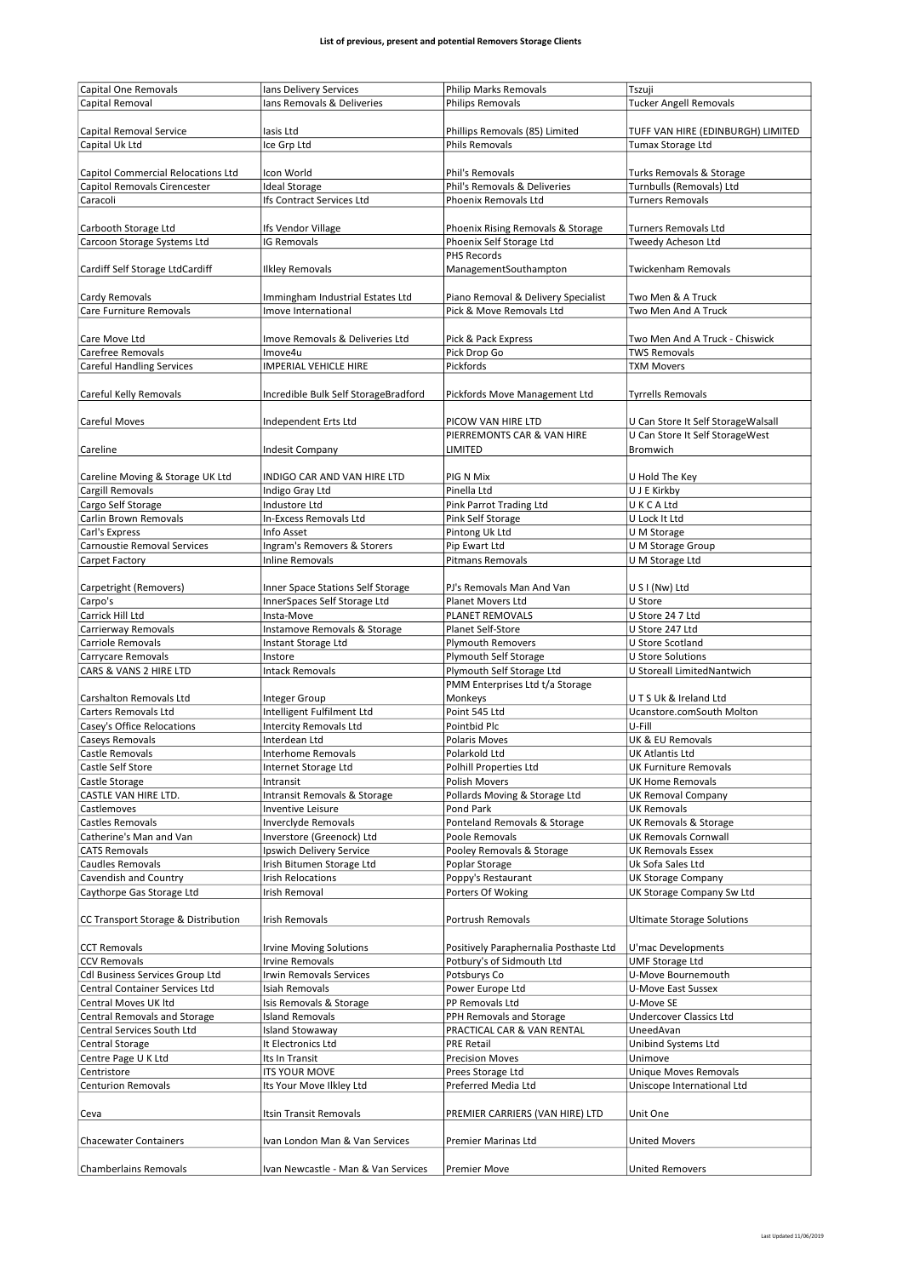| <b>Capital One Removals</b>         | Ians Delivery Services               | <b>Philip Marks Removals</b>                              | Tszuji                             |
|-------------------------------------|--------------------------------------|-----------------------------------------------------------|------------------------------------|
| Capital Removal                     | lans Removals & Deliveries           | <b>Philips Removals</b>                                   | Tucker Angell Removals             |
|                                     |                                      |                                                           |                                    |
|                                     |                                      |                                                           |                                    |
| Capital Removal Service             | lasis Ltd                            | Phillips Removals (85) Limited                            | TUFF VAN HIRE (EDINBURGH) LIMITED  |
| Capital Uk Ltd                      | Ice Grp Ltd                          | <b>Phils Removals</b>                                     | Tumax Storage Ltd                  |
|                                     |                                      |                                                           |                                    |
| Capitol Commercial Relocations Ltd  | Icon World                           | Phil's Removals                                           | Turks Removals & Storage           |
| Capitol Removals Cirencester        | <b>Ideal Storage</b>                 | Phil's Removals & Deliveries                              | Turnbulls (Removals) Ltd           |
| Caracoli                            | Ifs Contract Services Ltd            | Phoenix Removals Ltd                                      | <b>Turners Removals</b>            |
|                                     |                                      |                                                           |                                    |
| Carbooth Storage Ltd                | Ifs Vendor Village                   | Phoenix Rising Removals & Storage                         | <b>Turners Removals Ltd</b>        |
| Carcoon Storage Systems Ltd         | <b>IG Removals</b>                   | Phoenix Self Storage Ltd                                  | Tweedy Acheson Ltd                 |
|                                     |                                      | PHS Records                                               |                                    |
| Cardiff Self Storage LtdCardiff     | <b>Ilkley Removals</b>               | ManagementSouthampton                                     | <b>Twickenham Removals</b>         |
|                                     |                                      |                                                           |                                    |
|                                     |                                      |                                                           |                                    |
| Cardy Removals                      | Immingham Industrial Estates Ltd     | Piano Removal & Delivery Specialist                       | Two Men & A Truck                  |
| Care Furniture Removals             | Imove International                  | Pick & Move Removals Ltd                                  | Two Men And A Truck                |
|                                     |                                      |                                                           |                                    |
| Care Move Ltd                       | Imove Removals & Deliveries Ltd      | Pick & Pack Express                                       | Two Men And A Truck - Chiswick     |
| Carefree Removals                   | Imove4u                              | Pick Drop Go                                              | <b>TWS Removals</b>                |
| <b>Careful Handling Services</b>    | <b>IMPERIAL VEHICLE HIRE</b>         | Pickfords                                                 | <b>TXM Movers</b>                  |
|                                     |                                      |                                                           |                                    |
| Careful Kelly Removals              | Incredible Bulk Self StorageBradford | Pickfords Move Management Ltd                             | <b>Tyrrells Removals</b>           |
|                                     |                                      |                                                           |                                    |
| Careful Moves                       | Independent Erts Ltd                 | PICOW VAN HIRE LTD                                        | U Can Store It Self StorageWalsall |
|                                     |                                      | PIERREMONTS CAR & VAN HIRE                                | U Can Store It Self StorageWest    |
| Careline                            | <b>Indesit Company</b>               | LIMITED                                                   | Bromwich                           |
|                                     |                                      |                                                           |                                    |
|                                     |                                      |                                                           |                                    |
| Careline Moving & Storage UK Ltd    | INDIGO CAR AND VAN HIRE LTD          | PIG N Mix                                                 | U Hold The Key                     |
| Cargill Removals                    | Indigo Gray Ltd                      | Pinella Ltd                                               | U J E Kirkby                       |
| Cargo Self Storage                  | <b>Industore Ltd</b>                 | <b>Pink Parrot Trading Ltd</b>                            | U K C A Ltd                        |
| Carlin Brown Removals               | In-Excess Removals Ltd               | Pink Self Storage                                         | U Lock It Ltd                      |
| Carl's Express                      | Info Asset                           | Pintong Uk Ltd                                            | U M Storage                        |
| Carnoustie Removal Services         | Ingram's Removers & Storers          | Pip Ewart Ltd                                             | U M Storage Group                  |
| Carpet Factory                      | <b>Inline Removals</b>               | <b>Pitmans Removals</b>                                   | U M Storage Ltd                    |
|                                     |                                      |                                                           |                                    |
| Carpetright (Removers)              | Inner Space Stations Self Storage    | PJ's Removals Man And Van                                 | U S I (Nw) Ltd                     |
| Carpo's                             | InnerSpaces Self Storage Ltd         | Planet Movers Ltd                                         | U Store                            |
| Carrick Hill Ltd                    | Insta-Move                           | PLANET REMOVALS                                           | U Store 24 7 Ltd                   |
| Carrierway Removals                 | Instamove Removals & Storage         | Planet Self-Store                                         | U Store 247 Ltd                    |
| <b>Carriole Removals</b>            | Instant Storage Ltd                  | <b>Plymouth Removers</b>                                  | U Store Scotland                   |
|                                     |                                      |                                                           |                                    |
| Carrycare Removals                  | Instore                              | <b>Plymouth Self Storage</b><br>Plymouth Self Storage Ltd | U Store Solutions                  |
| CARS & VANS 2 HIRE LTD              | <b>Intack Removals</b>               |                                                           | U Storeall LimitedNantwich         |
|                                     |                                      | PMM Enterprises Ltd t/a Storage                           |                                    |
| Carshalton Removals Ltd             | Integer Group                        | Monkeys                                                   | UTSUk & Ireland Ltd                |
| Carters Removals Ltd                | Intelligent Fulfilment Ltd           | Point 545 Ltd                                             | Ucanstore.comSouth Molton          |
| Casey's Office Relocations          | <b>Intercity Removals Ltd</b>        | Pointbid Plc                                              | U-Fill                             |
| Caseys Removals                     | Interdean Ltd                        | <b>Polaris Moves</b>                                      | UK & EU Removals                   |
| Castle Removals                     | Interhome Removals                   | Polarkold Ltd                                             | <b>UK Atlantis Ltd</b>             |
| Castle Self Store                   | Internet Storage Ltd                 | Polhill Properties Ltd                                    | <b>UK Furniture Removals</b>       |
| Castle Storage                      | Intransit                            | Polish Movers                                             | <b>UK Home Removals</b>            |
| CASTLE VAN HIRE LTD.                | Intransit Removals & Storage         | Pollards Moving & Storage Ltd                             | <b>UK Removal Company</b>          |
| Castlemoves                         | Inventive Leisure                    | Pond Park                                                 | <b>UK Removals</b>                 |
| Castles Removals                    | Inverclyde Removals                  | Ponteland Removals & Storage                              | <b>UK Removals &amp; Storage</b>   |
| Catherine's Man and Van             | Inverstore (Greenock) Ltd            | Poole Removals                                            | <b>UK Removals Cornwall</b>        |
| <b>CATS Removals</b>                | Ipswich Delivery Service             | Pooley Removals & Storage                                 | <b>UK Removals Essex</b>           |
| <b>Caudles Removals</b>             | Irish Bitumen Storage Ltd            | Poplar Storage                                            | Uk Sofa Sales Ltd                  |
|                                     |                                      |                                                           |                                    |
| Cavendish and Country               | Irish Relocations                    | Poppy's Restaurant                                        | <b>UK Storage Company</b>          |
| Caythorpe Gas Storage Ltd           | <b>Irish Removal</b>                 | Porters Of Woking                                         | UK Storage Company Sw Ltd          |
|                                     |                                      |                                                           |                                    |
| CC Transport Storage & Distribution | <b>Irish Removals</b>                | Portrush Removals                                         | <b>Ultimate Storage Solutions</b>  |
|                                     |                                      |                                                           |                                    |
| <b>CCT Removals</b>                 | <b>Irvine Moving Solutions</b>       | Positively Paraphernalia Posthaste Ltd                    | U'mac Developments                 |
| <b>CCV Removals</b>                 | <b>Irvine Removals</b>               | Potbury's of Sidmouth Ltd                                 | <b>UMF Storage Ltd</b>             |
| Cdl Business Services Group Ltd     | <b>Irwin Removals Services</b>       | Potsburys Co                                              | U-Move Bournemouth                 |
| Central Container Services Ltd      | <b>Isiah Removals</b>                | Power Europe Ltd                                          | U-Move East Sussex                 |
| Central Moves UK Itd                | Isis Removals & Storage              | PP Removals Ltd                                           | U-Move SE                          |
| Central Removals and Storage        | <b>Island Removals</b>               | PPH Removals and Storage                                  | Undercover Classics Ltd            |
| Central Services South Ltd          | <b>Island Stowaway</b>               | PRACTICAL CAR & VAN RENTAL                                | UneedAvan                          |
| Central Storage                     | It Electronics Ltd                   | <b>PRE Retail</b>                                         | Unibind Systems Ltd                |
| Centre Page U K Ltd                 | Its In Transit                       | <b>Precision Moves</b>                                    | Unimove                            |
|                                     |                                      | Prees Storage Ltd                                         | <b>Unique Moves Removals</b>       |
| Centristore                         | <b>ITS YOUR MOVE</b>                 |                                                           |                                    |
| <b>Centurion Removals</b>           | Its Your Move Ilkley Ltd             | Preferred Media Ltd                                       | Uniscope International Ltd         |
|                                     |                                      |                                                           |                                    |
| Ceva                                | Itsin Transit Removals               | PREMIER CARRIERS (VAN HIRE) LTD                           | Unit One                           |
|                                     |                                      |                                                           |                                    |
| <b>Chacewater Containers</b>        | Ivan London Man & Van Services       | Premier Marinas Ltd                                       | <b>United Movers</b>               |
|                                     |                                      |                                                           |                                    |
| <b>Chamberlains Removals</b>        | Ivan Newcastle - Man & Van Services  | <b>Premier Move</b>                                       | <b>United Removers</b>             |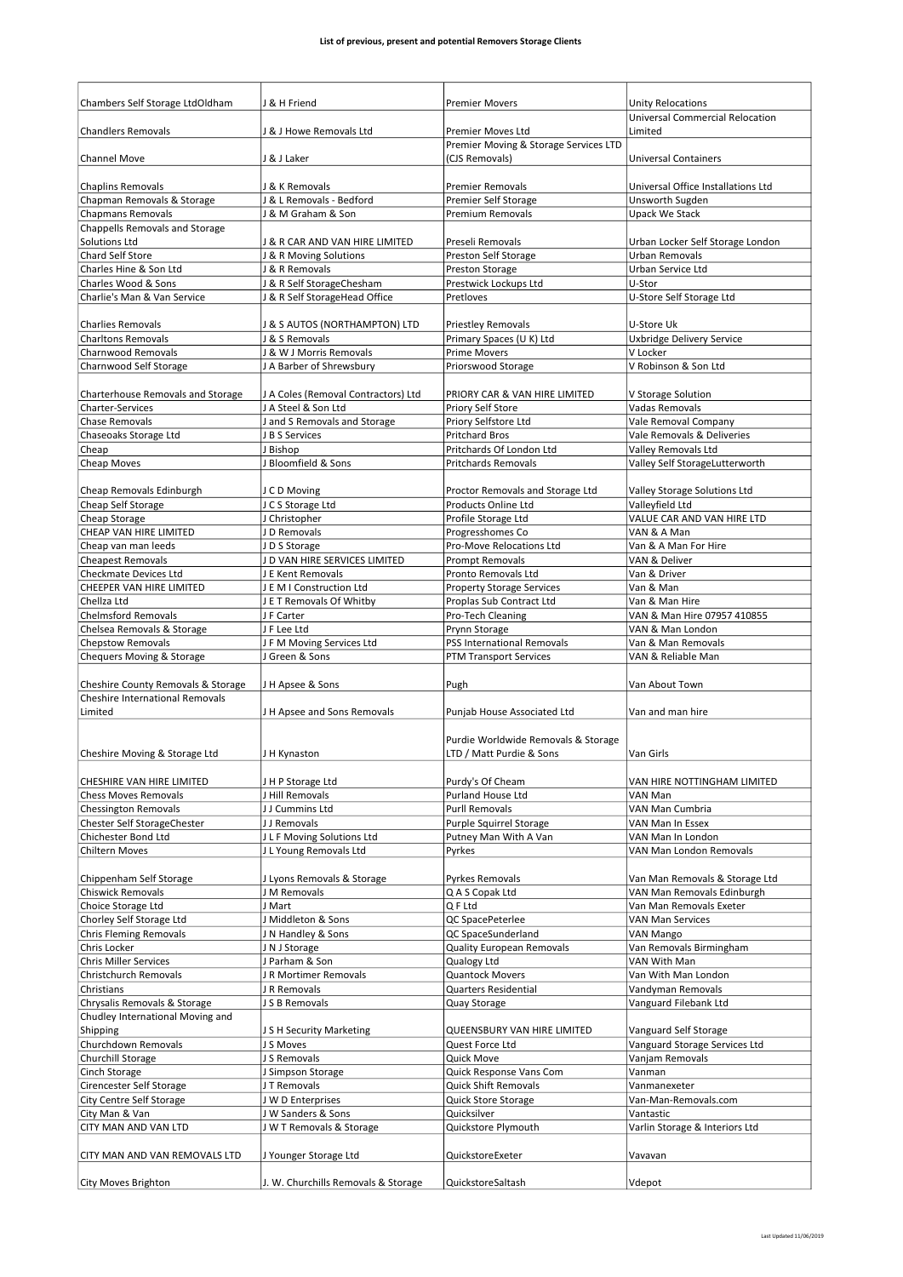| Chambers Self Storage LtdOldham        | J & H Friend                                   | <b>Premier Movers</b>                         | <b>Unity Relocations</b>               |
|----------------------------------------|------------------------------------------------|-----------------------------------------------|----------------------------------------|
|                                        |                                                |                                               | <b>Universal Commercial Relocation</b> |
| <b>Chandlers Removals</b>              | J & J Howe Removals Ltd                        | Premier Moves Ltd                             | Limited                                |
|                                        |                                                | Premier Moving & Storage Services LTD         |                                        |
| <b>Channel Move</b>                    | J & J Laker                                    | (CJS Removals)                                | <b>Universal Containers</b>            |
|                                        |                                                |                                               |                                        |
| <b>Chaplins Removals</b>               | J & K Removals                                 | <b>Premier Removals</b>                       | Universal Office Installations Ltd     |
| Chapman Removals & Storage             | J & L Removals - Bedford                       | Premier Self Storage                          | Unsworth Sugden                        |
| <b>Chapmans Removals</b>               | J & M Graham & Son                             | <b>Premium Removals</b>                       | <b>Upack We Stack</b>                  |
| Chappells Removals and Storage         |                                                |                                               |                                        |
| Solutions Ltd                          | J & R CAR AND VAN HIRE LIMITED                 | Preseli Removals                              | Urban Locker Self Storage London       |
| <b>Chard Self Store</b>                | J & R Moving Solutions                         | Preston Self Storage                          | <b>Urban Removals</b>                  |
| Charles Hine & Son Ltd                 | J & R Removals                                 | Preston Storage                               | Urban Service Ltd                      |
| Charles Wood & Sons                    | J & R Self StorageChesham                      | Prestwick Lockups Ltd                         | U-Stor                                 |
| Charlie's Man & Van Service            | J & R Self StorageHead Office                  | Pretloves                                     | U-Store Self Storage Ltd               |
|                                        |                                                |                                               |                                        |
| <b>Charlies Removals</b>               | J & S AUTOS (NORTHAMPTON) LTD                  | <b>Priestley Removals</b>                     | U-Store Uk                             |
| <b>Charltons Removals</b>              | J & S Removals                                 | Primary Spaces (U K) Ltd                      | <b>Uxbridge Delivery Service</b>       |
| Charnwood Removals                     | J & W J Morris Removals                        | <b>Prime Movers</b>                           | V Locker                               |
| Charnwood Self Storage                 | J A Barber of Shrewsbury                       | Priorswood Storage                            | V Robinson & Son Ltd                   |
|                                        |                                                |                                               |                                        |
| Charterhouse Removals and Storage      | J A Coles (Removal Contractors) Ltd            | PRIORY CAR & VAN HIRE LIMITED                 | V Storage Solution                     |
| Charter-Services                       | J A Steel & Son Ltd                            | Priory Self Store                             | Vadas Removals                         |
| Chase Removals                         |                                                |                                               |                                        |
|                                        | J and S Removals and Storage<br>J B S Services | Priory Selfstore Ltd<br><b>Pritchard Bros</b> | Vale Removal Company                   |
| Chaseoaks Storage Ltd                  |                                                |                                               | Vale Removals & Deliveries             |
| Cheap                                  | J Bishop                                       | Pritchards Of London Ltd                      | <b>Valley Removals Ltd</b>             |
| Cheap Moves                            | J Bloomfield & Sons                            | <b>Pritchards Removals</b>                    | Valley Self StorageLutterworth         |
|                                        |                                                |                                               |                                        |
| Cheap Removals Edinburgh               | J C D Moving                                   | Proctor Removals and Storage Ltd              | Valley Storage Solutions Ltd           |
| Cheap Self Storage                     | J C S Storage Ltd                              | Products Online Ltd                           | Valleyfield Ltd                        |
| Cheap Storage                          | J Christopher                                  | Profile Storage Ltd                           | VALUE CAR AND VAN HIRE LTD             |
| CHEAP VAN HIRE LIMITED                 | J D Removals                                   | Progresshomes Co                              | VAN & A Man                            |
| Cheap van man leeds                    | JD S Storage                                   | Pro-Move Relocations Ltd                      | Van & A Man For Hire                   |
| <b>Cheapest Removals</b>               | J D VAN HIRE SERVICES LIMITED                  | <b>Prompt Removals</b>                        | VAN & Deliver                          |
| <b>Checkmate Devices Ltd</b>           | J E Kent Removals                              | Pronto Removals Ltd                           | Van & Driver                           |
| CHEEPER VAN HIRE LIMITED               | J E M I Construction Ltd                       | <b>Property Storage Services</b>              | Van & Man                              |
| Chellza Ltd                            | J E T Removals Of Whitby                       | Proplas Sub Contract Ltd                      | Van & Man Hire                         |
| <b>Chelmsford Removals</b>             | J F Carter                                     | Pro-Tech Cleaning                             | VAN & Man Hire 07957 410855            |
| Chelsea Removals & Storage             | J F Lee Ltd                                    | Prynn Storage                                 | VAN & Man London                       |
|                                        |                                                |                                               |                                        |
| <b>Chepstow Removals</b>               | JFM Moving Services Ltd                        | <b>PSS International Removals</b>             | Van & Man Removals                     |
| Chequers Moving & Storage              | J Green & Sons                                 | <b>PTM Transport Services</b>                 | VAN & Reliable Man                     |
|                                        |                                                |                                               |                                        |
| Cheshire County Removals & Storage     | JH Apsee & Sons                                | Pugh                                          | Van About Town                         |
| <b>Cheshire International Removals</b> |                                                |                                               |                                        |
| Limited                                | J H Apsee and Sons Removals                    | Punjab House Associated Ltd                   | Van and man hire                       |
|                                        |                                                |                                               |                                        |
|                                        |                                                | Purdie Worldwide Removals & Storage           |                                        |
|                                        |                                                | LTD / Matt Purdie & Sons                      | Van Girls                              |
| Cheshire Moving & Storage Ltd          | J H Kynaston                                   |                                               |                                        |
|                                        |                                                |                                               |                                        |
| CHESHIRE VAN HIRE LIMITED              | JHP Storage Ltd                                | Purdy's Of Cheam                              | VAN HIRE NOTTINGHAM LIMITED            |
| <b>Chess Moves Removals</b>            | J Hill Removals                                | Purland House Ltd                             | VAN Man                                |
| <b>Chessington Removals</b>            | JJ Cummins Ltd                                 | <b>Purll Removals</b>                         | VAN Man Cumbria                        |
| Chester Self StorageChester            | J J Removals                                   | Purple Squirrel Storage                       | VAN Man In Essex                       |
| Chichester Bond Ltd                    | J L F Moving Solutions Ltd                     | Putney Man With A Van                         | VAN Man In London                      |
| <b>Chiltern Moves</b>                  | J L Young Removals Ltd                         | Pyrkes                                        | VAN Man London Removals                |
|                                        |                                                |                                               |                                        |
| Chippenham Self Storage                | J Lyons Removals & Storage                     | Pyrkes Removals                               | Van Man Removals & Storage Ltd         |
| <b>Chiswick Removals</b>               | J M Removals                                   | Q A S Copak Ltd                               | VAN Man Removals Edinburgh             |
| Choice Storage Ltd                     | J Mart                                         | Q F Ltd                                       | Van Man Removals Exeter                |
| Chorley Self Storage Ltd               | J Middleton & Sons                             | QC SpacePeterlee                              | VAN Man Services                       |
| <b>Chris Fleming Removals</b>          | J N Handley & Sons                             | QC SpaceSunderland                            | VAN Mango                              |
| Chris Locker                           | J N J Storage                                  | <b>Quality European Removals</b>              | Van Removals Birmingham                |
| <b>Chris Miller Services</b>           | J Parham & Son                                 | Qualogy Ltd                                   | VAN With Man                           |
| Christchurch Removals                  | JR Mortimer Removals                           | <b>Quantock Movers</b>                        | Van With Man London                    |
| Christians                             | J R Removals                                   | <b>Quarters Residential</b>                   | Vandyman Removals                      |
| Chrysalis Removals & Storage           | J S B Removals                                 | Quay Storage                                  | Vanguard Filebank Ltd                  |
| Chudley International Moving and       |                                                |                                               |                                        |
| Shipping                               | J S H Security Marketing                       | QUEENSBURY VAN HIRE LIMITED                   | Vanguard Self Storage                  |
| Churchdown Removals                    | J S Moves                                      | Quest Force Ltd                               | Vanguard Storage Services Ltd          |
| Churchill Storage                      | J S Removals                                   | Quick Move                                    | Vanjam Removals                        |
| Cinch Storage                          | J Simpson Storage                              | Quick Response Vans Com                       | Vanman                                 |
| Cirencester Self Storage               | JT Removals                                    | <b>Quick Shift Removals</b>                   | Vanmanexeter                           |
| City Centre Self Storage               | J W D Enterprises                              | Quick Store Storage                           | Van-Man-Removals.com                   |
| City Man & Van                         | J W Sanders & Sons                             | Quicksilver                                   | Vantastic                              |
| CITY MAN AND VAN LTD                   | J W T Removals & Storage                       | Quickstore Plymouth                           | Varlin Storage & Interiors Ltd         |
|                                        |                                                |                                               |                                        |
| CITY MAN AND VAN REMOVALS LTD          | J Younger Storage Ltd                          | QuickstoreExeter                              | Vavavan                                |
|                                        |                                                |                                               |                                        |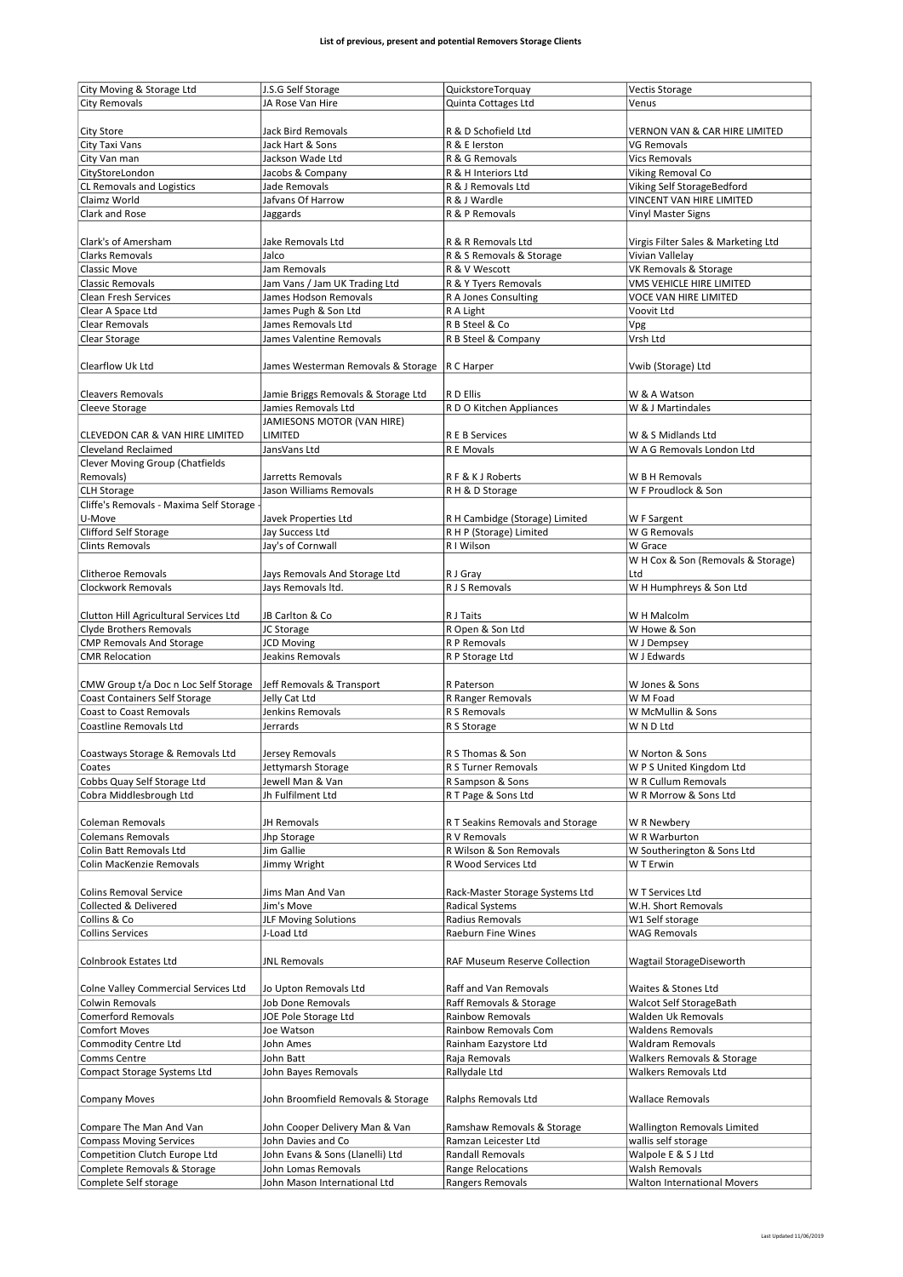|                                                   | J.S.G Self Storage                              | QuickstoreTorquay                | <b>Vectis Storage</b>               |
|---------------------------------------------------|-------------------------------------------------|----------------------------------|-------------------------------------|
| City Moving & Storage Ltd<br><b>City Removals</b> | JA Rose Van Hire                                | Quinta Cottages Ltd              | Venus                               |
|                                                   |                                                 |                                  |                                     |
|                                                   | <b>Jack Bird Removals</b>                       |                                  |                                     |
| <b>City Store</b>                                 |                                                 | R & D Schofield Ltd              | VERNON VAN & CAR HIRE LIMITED       |
| City Taxi Vans                                    | Jack Hart & Sons                                | R & E lerston                    | VG Removals                         |
| City Van man                                      | Jackson Wade Ltd                                | R & G Removals                   | <b>Vics Removals</b>                |
| CityStoreLondon                                   | Jacobs & Company                                | R & H Interiors Ltd              | Viking Removal Co                   |
| CL Removals and Logistics                         | Jade Removals                                   | R & J Removals Ltd               | Viking Self StorageBedford          |
| Claimz World                                      | Jafvans Of Harrow                               | R & J Wardle                     | VINCENT VAN HIRE LIMITED            |
| Clark and Rose                                    | Jaggards                                        | R & P Removals                   | <b>Vinyl Master Signs</b>           |
|                                                   |                                                 |                                  |                                     |
| Clark's of Amersham                               | Jake Removals Ltd                               | R & R Removals Ltd               | Virgis Filter Sales & Marketing Ltd |
| <b>Clarks Removals</b>                            | Jalco                                           | R & S Removals & Storage         | Vivian Vallelay                     |
| <b>Classic Move</b>                               | Jam Removals                                    | R & V Wescott                    | VK Removals & Storage               |
| <b>Classic Removals</b>                           |                                                 | R & Y Tyers Removals             | VMS VEHICLE HIRE LIMITED            |
|                                                   | Jam Vans / Jam UK Trading Ltd                   |                                  |                                     |
| <b>Clean Fresh Services</b>                       | James Hodson Removals                           | R A Jones Consulting             | VOCE VAN HIRE LIMITED               |
| Clear A Space Ltd                                 | James Pugh & Son Ltd                            | R A Light                        | Voovit Ltd                          |
| Clear Removals                                    | James Removals Ltd                              | R B Steel & Co                   | Vpg                                 |
| Clear Storage                                     | James Valentine Removals                        | R B Steel & Company              | Vrsh Ltd                            |
|                                                   |                                                 |                                  |                                     |
| Clearflow Uk Ltd                                  | James Westerman Removals & Storage   R C Harper |                                  | Vwib (Storage) Ltd                  |
|                                                   |                                                 |                                  |                                     |
| <b>Cleavers Removals</b>                          | Jamie Briggs Removals & Storage Ltd             | R D Ellis                        | W & A Watson                        |
| Cleeve Storage                                    | Jamies Removals Ltd                             | R D O Kitchen Appliances         | W & J Martindales                   |
|                                                   | JAMIESONS MOTOR (VAN HIRE)                      |                                  |                                     |
|                                                   |                                                 |                                  |                                     |
| CLEVEDON CAR & VAN HIRE LIMITED                   | LIMITED                                         | R E B Services                   | W & S Midlands Ltd                  |
| <b>Cleveland Reclaimed</b>                        | JansVans Ltd                                    | R E Movals                       | W A G Removals London Ltd           |
| Clever Moving Group (Chatfields                   |                                                 |                                  |                                     |
| Removals)                                         | Jarretts Removals                               | RF & K J Roberts                 | W B H Removals                      |
| <b>CLH Storage</b>                                | Jason Williams Removals                         | R H & D Storage                  | W F Proudlock & Son                 |
| Cliffe's Removals - Maxima Self Storage -         |                                                 |                                  |                                     |
| U-Move                                            | Javek Properties Ltd                            | R H Cambidge (Storage) Limited   | W F Sargent                         |
| Clifford Self Storage                             | Jay Success Ltd                                 | R H P (Storage) Limited          | W G Removals                        |
| <b>Clints Removals</b>                            | Jay's of Cornwall                               | R I Wilson                       | W Grace                             |
|                                                   |                                                 |                                  | W H Cox & Son (Removals & Storage)  |
|                                                   |                                                 |                                  |                                     |
| Clitheroe Removals                                | Jays Removals And Storage Ltd                   | R J Gray                         | Ltd                                 |
| Clockwork Removals                                | Jays Removals Itd.                              | R J S Removals                   | W H Humphreys & Son Ltd             |
|                                                   |                                                 |                                  |                                     |
| Clutton Hill Agricultural Services Ltd            | JB Carlton & Co                                 | R J Taits                        | W H Malcolm                         |
| Clyde Brothers Removals                           | JC Storage                                      | R Open & Son Ltd                 | W Howe & Son                        |
| <b>CMP Removals And Storage</b>                   | <b>JCD Moving</b>                               | R P Removals                     | W J Dempsey                         |
| <b>CMR Relocation</b>                             | Jeakins Removals                                | R P Storage Ltd                  | W J Edwards                         |
|                                                   |                                                 |                                  |                                     |
| CMW Group t/a Doc n Loc Self Storage              | Jeff Removals & Transport                       | R Paterson                       | W Jones & Sons                      |
| <b>Coast Containers Self Storage</b>              | Jelly Cat Ltd                                   | R Ranger Removals                | W M Foad                            |
| Coast to Coast Removals                           | Jenkins Removals                                | R S Removals                     | W McMullin & Sons                   |
|                                                   |                                                 |                                  |                                     |
| Coastline Removals Ltd                            | Jerrards                                        | R S Storage                      | W N D Ltd                           |
|                                                   |                                                 |                                  |                                     |
|                                                   |                                                 |                                  |                                     |
| Coastways Storage & Removals Ltd                  | Jersey Removals                                 | R S Thomas & Son                 | W Norton & Sons                     |
| Coates                                            | Jettymarsh Storage                              | R S Turner Removals              | W P S United Kingdom Ltd            |
| Cobbs Quay Self Storage Ltd                       | Jewell Man & Van                                | R Sampson & Sons                 | W R Cullum Removals                 |
| Cobra Middlesbrough Ltd                           | Jh Fulfilment Ltd                               | R T Page & Sons Ltd              | W R Morrow & Sons Ltd               |
|                                                   |                                                 |                                  |                                     |
| Coleman Removals                                  | JH Removals                                     | R T Seakins Removals and Storage | W R Newbery                         |
| <b>Colemans Removals</b>                          |                                                 | R V Removals                     | W R Warburton                       |
| Colin Batt Removals Ltd                           | Jhp Storage<br>Jim Gallie                       | R Wilson & Son Removals          |                                     |
|                                                   |                                                 |                                  | W Southerington & Sons Ltd          |
| Colin MacKenzie Removals                          | Jimmy Wright                                    | R Wood Services Ltd              | W T Erwin                           |
|                                                   |                                                 |                                  |                                     |
| <b>Colins Removal Service</b>                     | Jims Man And Van                                | Rack-Master Storage Systems Ltd  | W T Services Ltd                    |
| <b>Collected &amp; Delivered</b>                  | Jim's Move                                      | <b>Radical Systems</b>           | W.H. Short Removals                 |
| Collins & Co                                      | JLF Moving Solutions                            | Radius Removals                  | W1 Self storage                     |
| <b>Collins Services</b>                           | J-Load Ltd                                      | <b>Raeburn Fine Wines</b>        | <b>WAG Removals</b>                 |
|                                                   |                                                 |                                  |                                     |
| Colnbrook Estates Ltd                             | <b>JNL Removals</b>                             | RAF Museum Reserve Collection    | Wagtail StorageDiseworth            |
|                                                   |                                                 |                                  |                                     |
| Colne Valley Commercial Services Ltd              | Jo Upton Removals Ltd                           | Raff and Van Removals            | Waites & Stones Ltd                 |
| <b>Colwin Removals</b>                            | Job Done Removals                               | Raff Removals & Storage          | Walcot Self StorageBath             |
| <b>Comerford Removals</b>                         |                                                 | <b>Rainbow Removals</b>          | Walden Uk Removals                  |
|                                                   | JOE Pole Storage Ltd                            |                                  |                                     |
| <b>Comfort Moves</b>                              | Joe Watson                                      | Rainbow Removals Com             | <b>Waldens Removals</b>             |
| <b>Commodity Centre Ltd</b>                       | John Ames                                       | Rainham Eazystore Ltd            | <b>Waldram Removals</b>             |
| Comms Centre                                      | John Batt                                       | Raja Removals                    | Walkers Removals & Storage          |
| Compact Storage Systems Ltd                       | John Bayes Removals                             | Rallydale Ltd                    | Walkers Removals Ltd                |
|                                                   |                                                 |                                  |                                     |
| <b>Company Moves</b>                              | John Broomfield Removals & Storage              | Ralphs Removals Ltd              | <b>Wallace Removals</b>             |
|                                                   |                                                 |                                  |                                     |
| Compare The Man And Van                           | John Cooper Delivery Man & Van                  | Ramshaw Removals & Storage       | Wallington Removals Limited         |
| <b>Compass Moving Services</b>                    | John Davies and Co                              | Ramzan Leicester Ltd             | wallis self storage                 |
| Competition Clutch Europe Ltd                     | John Evans & Sons (Llanelli) Ltd                | <b>Randall Removals</b>          | Walpole E & S J Ltd                 |
| Complete Removals & Storage                       | John Lomas Removals                             | Range Relocations                | Walsh Removals                      |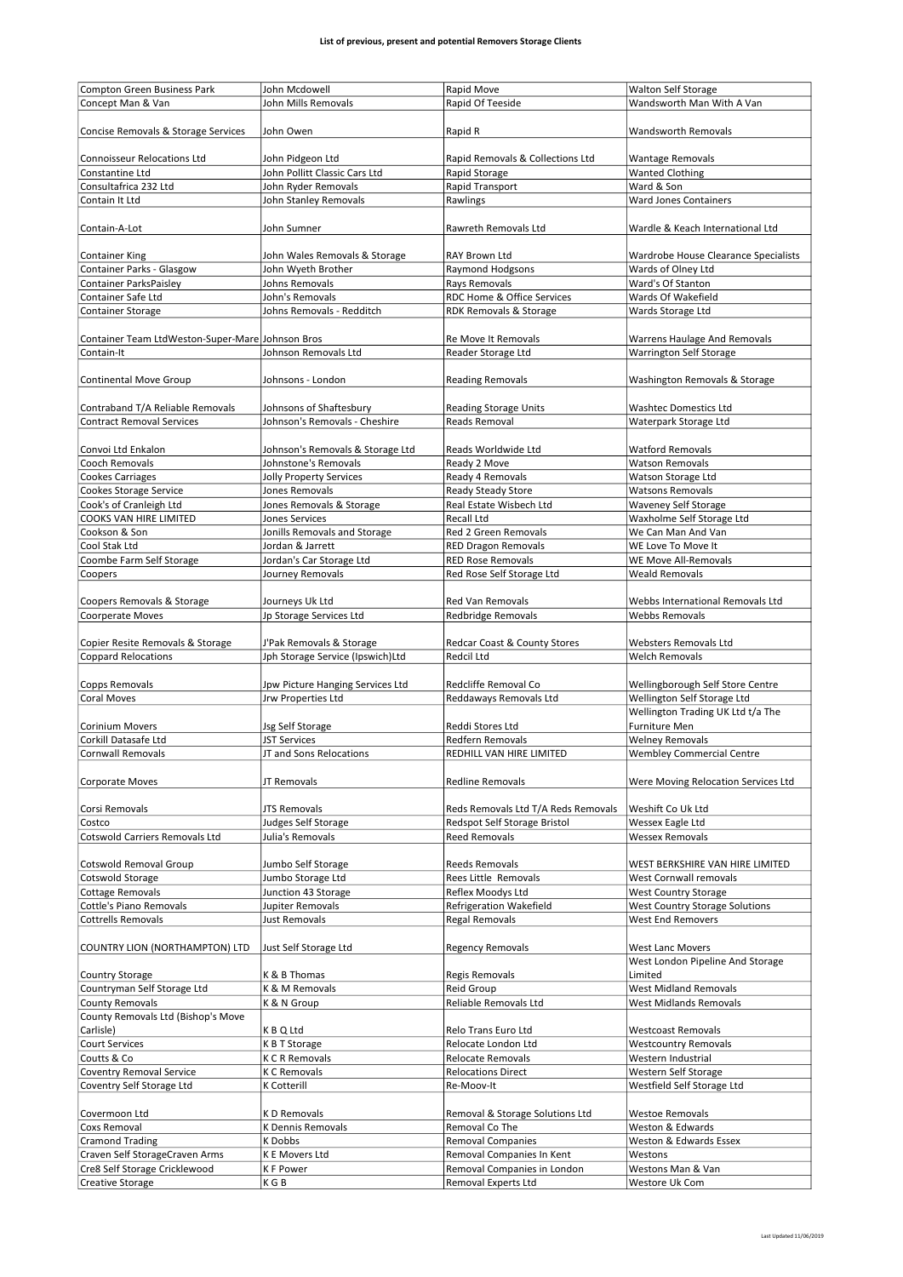|                                                          | John Mcdowell                    | Rapid Move                                         |                                      |
|----------------------------------------------------------|----------------------------------|----------------------------------------------------|--------------------------------------|
| Compton Green Business Park                              |                                  |                                                    | <b>Walton Self Storage</b>           |
| Concept Man & Van                                        | John Mills Removals              | Rapid Of Teeside                                   | Wandsworth Man With A Van            |
|                                                          |                                  |                                                    |                                      |
|                                                          |                                  |                                                    |                                      |
| Concise Removals & Storage Services                      | John Owen                        | Rapid R                                            | Wandsworth Removals                  |
|                                                          |                                  |                                                    |                                      |
|                                                          |                                  |                                                    |                                      |
| <b>Connoisseur Relocations Ltd</b>                       | John Pidgeon Ltd                 | Rapid Removals & Collections Ltd                   | <b>Wantage Removals</b>              |
| Constantine Ltd                                          | John Pollitt Classic Cars Ltd    | Rapid Storage                                      | <b>Wanted Clothing</b>               |
| Consultafrica 232 Ltd                                    |                                  | Rapid Transport                                    |                                      |
|                                                          | John Ryder Removals              |                                                    | Ward & Son                           |
| Contain It Ltd                                           | John Stanley Removals            | Rawlings                                           | <b>Ward Jones Containers</b>         |
|                                                          |                                  |                                                    |                                      |
|                                                          |                                  |                                                    |                                      |
| Contain-A-Lot                                            | John Sumner                      | Rawreth Removals Ltd                               | Wardle & Keach International Ltd     |
|                                                          |                                  |                                                    |                                      |
|                                                          |                                  |                                                    |                                      |
| <b>Container King</b>                                    | John Wales Removals & Storage    | <b>RAY Brown Ltd</b>                               | Wardrobe House Clearance Specialists |
| Container Parks - Glasgow                                | John Wyeth Brother               | <b>Raymond Hodgsons</b>                            | Wards of Olney Ltd                   |
|                                                          |                                  |                                                    |                                      |
| Container ParksPaisley                                   | Johns Removals                   | Rays Removals                                      | Ward's Of Stanton                    |
| Container Safe Ltd                                       | John's Removals                  | <b>RDC Home &amp; Office Services</b>              | Wards Of Wakefield                   |
| <b>Container Storage</b>                                 | Johns Removals - Redditch        | RDK Removals & Storage                             | Wards Storage Ltd                    |
|                                                          |                                  |                                                    |                                      |
|                                                          |                                  |                                                    |                                      |
| Container Team LtdWeston-Super-Mare Johnson Bros         |                                  | Re Move It Removals                                | Warrens Haulage And Removals         |
|                                                          |                                  |                                                    |                                      |
| Contain-It                                               | Johnson Removals Ltd             | Reader Storage Ltd                                 | Warrington Self Storage              |
|                                                          |                                  |                                                    |                                      |
|                                                          | Johnsons - London                |                                                    |                                      |
| <b>Continental Move Group</b>                            |                                  | <b>Reading Removals</b>                            | Washington Removals & Storage        |
|                                                          |                                  |                                                    |                                      |
| Contraband T/A Reliable Removals                         | Johnsons of Shaftesbury          | <b>Reading Storage Units</b>                       | <b>Washtec Domestics Ltd</b>         |
|                                                          |                                  |                                                    |                                      |
| <b>Contract Removal Services</b>                         | Johnson's Removals - Cheshire    | <b>Reads Removal</b>                               | Waterpark Storage Ltd                |
|                                                          |                                  |                                                    |                                      |
|                                                          |                                  |                                                    |                                      |
| Convoi Ltd Enkalon                                       | Johnson's Removals & Storage Ltd | Reads Worldwide Ltd                                | <b>Watford Removals</b>              |
| Cooch Removals                                           | Johnstone's Removals             | Ready 2 Move                                       | <b>Watson Removals</b>               |
|                                                          |                                  | Ready 4 Removals                                   |                                      |
| <b>Cookes Carriages</b>                                  | Jolly Property Services          |                                                    | Watson Storage Ltd                   |
| <b>Cookes Storage Service</b>                            | Jones Removals                   | Ready Steady Store                                 | <b>Watsons Removals</b>              |
| Cook's of Cranleigh Ltd                                  | Jones Removals & Storage         | Real Estate Wisbech Ltd                            | <b>Waveney Self Storage</b>          |
|                                                          |                                  |                                                    |                                      |
| COOKS VAN HIRE LIMITED                                   | <b>Jones Services</b>            | Recall Ltd                                         | Waxholme Self Storage Ltd            |
| Cookson & Son                                            | Jonills Removals and Storage     | Red 2 Green Removals                               | We Can Man And Van                   |
|                                                          |                                  |                                                    |                                      |
| Cool Stak Ltd                                            | Jordan & Jarrett                 | <b>RED Dragon Removals</b>                         | WE Love To Move It                   |
| Coombe Farm Self Storage                                 | Jordan's Car Storage Ltd         | <b>RED Rose Removals</b>                           | WE Move All-Removals                 |
|                                                          |                                  | Red Rose Self Storage Ltd                          | <b>Weald Removals</b>                |
| Coopers                                                  | Journey Removals                 |                                                    |                                      |
|                                                          |                                  |                                                    |                                      |
| Coopers Removals & Storage                               | Journeys Uk Ltd                  | Red Van Removals                                   | Webbs International Removals Ltd     |
|                                                          |                                  |                                                    |                                      |
| Coorperate Moves                                         | Jp Storage Services Ltd          | Redbridge Removals                                 | Webbs Removals                       |
|                                                          |                                  |                                                    |                                      |
| Copier Resite Removals & Storage                         | J'Pak Removals & Storage         | Redcar Coast & County Stores                       | <b>Websters Removals Ltd</b>         |
|                                                          |                                  |                                                    |                                      |
| <b>Coppard Relocations</b>                               | Jph Storage Service (Ipswich)Ltd | Redcil Ltd                                         | <b>Welch Removals</b>                |
|                                                          |                                  |                                                    |                                      |
| Copps Removals                                           | Jpw Picture Hanging Services Ltd | Redcliffe Removal Co                               | Wellingborough Self Store Centre     |
|                                                          |                                  |                                                    |                                      |
| <b>Coral Moves</b>                                       | Jrw Properties Ltd               | Reddaways Removals Ltd                             | Wellington Self Storage Ltd          |
|                                                          |                                  |                                                    | Wellington Trading UK Ltd t/a The    |
| <b>Corinium Movers</b>                                   |                                  | Reddi Stores Ltd                                   | Furniture Men                        |
|                                                          | Jsg Self Storage                 |                                                    |                                      |
| Corkill Datasafe Ltd                                     | <b>JST Services</b>              | <b>Redfern Removals</b>                            | <b>Welney Removals</b>               |
| <b>Cornwall Removals</b>                                 | JT and Sons Relocations          | REDHILL VAN HIRE LIMITED                           | <b>Wembley Commercial Centre</b>     |
|                                                          |                                  |                                                    |                                      |
|                                                          |                                  |                                                    |                                      |
| Corporate Moves                                          | JT Removals                      | Redline Removals                                   | Were Moving Relocation Services Ltd  |
|                                                          |                                  |                                                    |                                      |
|                                                          |                                  |                                                    |                                      |
| Corsi Removals                                           | <b>JTS Removals</b>              | Reds Removals Ltd T/A Reds Removals                | Weshift Co Uk Ltd                    |
| Costco                                                   | Judges Self Storage              | Redspot Self Storage Bristol                       | Wessex Eagle Ltd                     |
| Cotswold Carriers Removals Ltd                           | Julia's Removals                 | <b>Reed Removals</b>                               | <b>Wessex Removals</b>               |
|                                                          |                                  |                                                    |                                      |
|                                                          |                                  |                                                    |                                      |
| Cotswold Removal Group                                   | Jumbo Self Storage               | <b>Reeds Removals</b>                              | WEST BERKSHIRE VAN HIRE LIMITED      |
|                                                          |                                  |                                                    |                                      |
| Cotswold Storage                                         | Jumbo Storage Ltd                | Rees Little Removals                               | West Cornwall removals               |
| <b>Cottage Removals</b>                                  | Junction 43 Storage              | Reflex Moodys Ltd                                  | <b>West Country Storage</b>          |
| Cottle's Piano Removals                                  | Jupiter Removals                 | Refrigeration Wakefield                            | West Country Storage Solutions       |
|                                                          |                                  |                                                    |                                      |
| <b>Cottrells Removals</b>                                | Just Removals                    | <b>Regal Removals</b>                              | <b>West End Removers</b>             |
|                                                          |                                  |                                                    |                                      |
|                                                          |                                  |                                                    |                                      |
| COUNTRY LION (NORTHAMPTON) LTD                           | Just Self Storage Ltd            | <b>Regency Removals</b>                            | West Lanc Movers                     |
|                                                          |                                  |                                                    | West London Pipeline And Storage     |
| Country Storage                                          | K & B Thomas                     | Regis Removals                                     | Limited                              |
|                                                          |                                  |                                                    |                                      |
| Countryman Self Storage Ltd                              | K & M Removals                   | Reid Group                                         | <b>West Midland Removals</b>         |
| <b>County Removals</b>                                   | K & N Group                      | Reliable Removals Ltd                              | <b>West Midlands Removals</b>        |
| County Removals Ltd (Bishop's Move                       |                                  |                                                    |                                      |
|                                                          |                                  |                                                    |                                      |
| Carlisle)                                                | K B Q Ltd                        | Relo Trans Euro Ltd                                | <b>Westcoast Removals</b>            |
| <b>Court Services</b>                                    | K B T Storage                    | Relocate London Ltd                                | <b>Westcountry Removals</b>          |
|                                                          |                                  |                                                    |                                      |
| Coutts & Co                                              | <b>K C R Removals</b>            | <b>Relocate Removals</b>                           | Western Industrial                   |
| <b>Coventry Removal Service</b>                          | K C Removals                     | <b>Relocations Direct</b>                          | Western Self Storage                 |
|                                                          |                                  |                                                    |                                      |
| Coventry Self Storage Ltd                                | K Cotterill                      | Re-Moov-It                                         | Westfield Self Storage Ltd           |
|                                                          |                                  |                                                    |                                      |
| Covermoon Ltd                                            |                                  | Removal & Storage Solutions Ltd                    | <b>Westoe Removals</b>               |
|                                                          |                                  |                                                    |                                      |
|                                                          | K D Removals                     |                                                    |                                      |
| Coxs Removal                                             | <b>K Dennis Removals</b>         | Removal Co The                                     | Weston & Edwards                     |
| <b>Cramond Trading</b>                                   | K Dobbs                          | <b>Removal Companies</b>                           | Weston & Edwards Essex               |
|                                                          |                                  |                                                    |                                      |
| Craven Self StorageCraven Arms                           | K E Movers Ltd                   | Removal Companies In Kent                          | Westons                              |
| Cre8 Self Storage Cricklewood<br><b>Creative Storage</b> | <b>KF Power</b><br>K G B         | Removal Companies in London<br>Removal Experts Ltd | Westons Man & Van<br>Westore Uk Com  |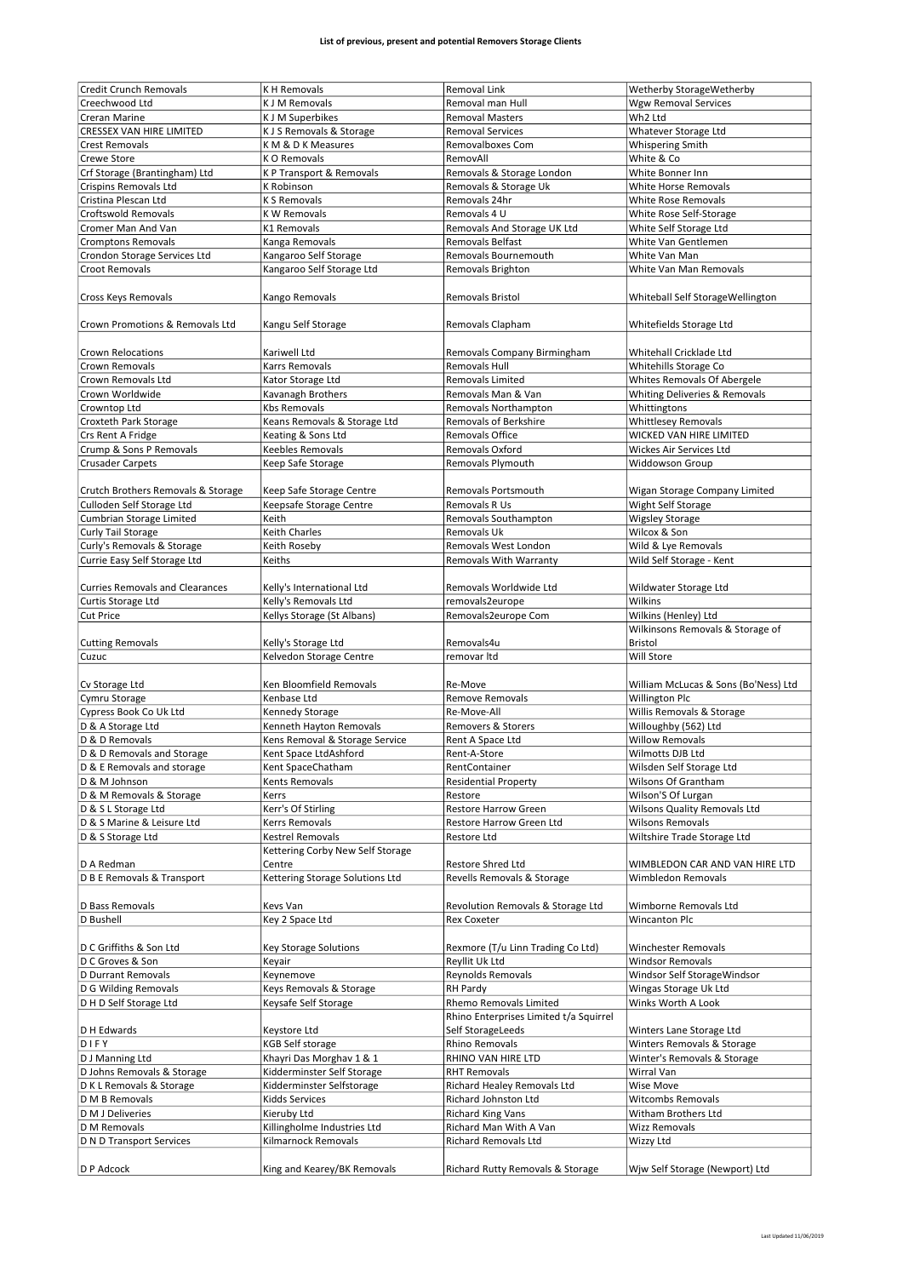| Credit Crunch Removals                 | <b>KH Removals</b>                                 | <b>Removal Link</b>                    |                                      |
|----------------------------------------|----------------------------------------------------|----------------------------------------|--------------------------------------|
|                                        |                                                    |                                        | Wetherby StorageWetherby             |
| Creechwood Ltd                         | <b>K J M Removals</b>                              | Removal man Hull                       | <b>Wgw Removal Services</b>          |
| Creran Marine                          | <b>K J M Superbikes</b>                            | <b>Removal Masters</b>                 | Wh2 Ltd                              |
| <b>CRESSEX VAN HIRE LIMITED</b>        | K J S Removals & Storage                           | <b>Removal Services</b>                | Whatever Storage Ltd                 |
| <b>Crest Removals</b>                  | KM & D K Measures                                  | Removalboxes Com                       | <b>Whispering Smith</b>              |
| Crewe Store                            | K O Removals                                       | RemovAll                               | White & Co                           |
| Crf Storage (Brantingham) Ltd          | K P Transport & Removals                           | Removals & Storage London              | White Bonner Inn                     |
| Crispins Removals Ltd                  | K Robinson                                         | Removals & Storage Uk                  | <b>White Horse Removals</b>          |
| Cristina Plescan Ltd                   | <b>KS Removals</b>                                 | Removals 24hr                          | <b>White Rose Removals</b>           |
| <b>Croftswold Removals</b>             | <b>KW Removals</b>                                 | Removals 4 U                           | White Rose Self-Storage              |
| Cromer Man And Van                     | K1 Removals                                        | Removals And Storage UK Ltd            | White Self Storage Ltd               |
| <b>Cromptons Removals</b>              | Kanga Removals                                     | Removals Belfast                       | White Van Gentlemen                  |
| Crondon Storage Services Ltd           |                                                    | Removals Bournemouth                   | White Van Man                        |
|                                        | Kangaroo Self Storage                              |                                        |                                      |
| <b>Croot Removals</b>                  | Kangaroo Self Storage Ltd                          | Removals Brighton                      | White Van Man Removals               |
| Cross Keys Removals                    | Kango Removals                                     | <b>Removals Bristol</b>                | Whiteball Self StorageWellington     |
|                                        |                                                    |                                        |                                      |
| Crown Promotions & Removals Ltd        | Kangu Self Storage                                 | Removals Clapham                       | Whitefields Storage Ltd              |
|                                        |                                                    |                                        |                                      |
| <b>Crown Relocations</b>               | Kariwell Ltd                                       | Removals Company Birmingham            | Whitehall Cricklade Ltd              |
| Crown Removals                         | Karrs Removals                                     | Removals Hull                          | Whitehills Storage Co                |
| Crown Removals Ltd                     | Kator Storage Ltd                                  | Removals Limited                       | Whites Removals Of Abergele          |
| Crown Worldwide                        | Kavanagh Brothers                                  | Removals Man & Van                     | Whiting Deliveries & Removals        |
| Crowntop Ltd                           | <b>Kbs Removals</b>                                | Removals Northampton                   | Whittingtons                         |
| Croxteth Park Storage                  |                                                    | Removals of Berkshire                  | <b>Whittlesey Removals</b>           |
|                                        | Keans Removals & Storage Ltd<br>Keating & Sons Ltd | Removals Office                        | <b>WICKED VAN HIRE LIMITED</b>       |
| Crs Rent A Fridge                      |                                                    |                                        |                                      |
| Crump & Sons P Removals                | Keebles Removals                                   | Removals Oxford                        | Wickes Air Services Ltd              |
| <b>Crusader Carpets</b>                | Keep Safe Storage                                  | Removals Plymouth                      | Widdowson Group                      |
|                                        |                                                    |                                        |                                      |
| Crutch Brothers Removals & Storage     | Keep Safe Storage Centre                           | Removals Portsmouth                    | Wigan Storage Company Limited        |
| Culloden Self Storage Ltd              | Keepsafe Storage Centre                            | Removals R Us                          | Wight Self Storage                   |
| Cumbrian Storage Limited               | Keith                                              | Removals Southampton                   | <b>Wigsley Storage</b>               |
| Curly Tail Storage                     | Keith Charles                                      | Removals Uk                            | Wilcox & Son                         |
| Curly's Removals & Storage             | Keith Roseby                                       | Removals West London                   | Wild & Lye Removals                  |
| Currie Easy Self Storage Ltd           | Keiths                                             | <b>Removals With Warranty</b>          | Wild Self Storage - Kent             |
|                                        |                                                    |                                        |                                      |
| <b>Curries Removals and Clearances</b> | Kelly's International Ltd                          | Removals Worldwide Ltd                 | Wildwater Storage Ltd                |
| Curtis Storage Ltd                     | Kelly's Removals Ltd                               | removals2europe                        | Wilkins                              |
| <b>Cut Price</b>                       | Kellys Storage (St Albans)                         | Removals2europe Com                    | Wilkins (Henley) Ltd                 |
|                                        |                                                    |                                        |                                      |
|                                        |                                                    |                                        | Wilkinsons Removals & Storage of     |
| <b>Cutting Removals</b>                | Kelly's Storage Ltd                                | Removals4u                             | <b>Bristol</b>                       |
| Cuzuc                                  | Kelvedon Storage Centre                            | removar Itd                            | Will Store                           |
|                                        |                                                    |                                        |                                      |
| Cv Storage Ltd                         | Ken Bloomfield Removals                            | Re-Move                                | William McLucas & Sons (Bo'Ness) Ltd |
| Cymru Storage                          | Kenbase Ltd                                        | <b>Remove Removals</b>                 | <b>Willington Plc</b>                |
|                                        |                                                    | Re-Move-All                            |                                      |
| Cypress Book Co Uk Ltd                 | Kennedy Storage                                    |                                        | Willis Removals & Storage            |
| D & A Storage Ltd                      | Kenneth Hayton Removals                            | Removers & Storers                     | Willoughby (562) Ltd                 |
| D & D Removals                         | Kens Removal & Storage Service                     | Rent A Space Ltd                       | <b>Willow Removals</b>               |
| D & D Removals and Storage             | Kent Space LtdAshford                              | Rent-A-Store                           | Wilmotts DJB Ltd                     |
| D & E Removals and storage             | Kent SpaceChatham                                  | RentContainer                          | Wilsden Self Storage Ltd             |
| D & M Johnson                          | Kents Removals                                     | <b>Residential Property</b>            | Wilsons Of Grantham                  |
| D & M Removals & Storage               | Kerrs                                              | Restore                                | Wilson'S Of Lurgan                   |
| D & S L Storage Ltd                    | Kerr's Of Stirling                                 | Restore Harrow Green                   | Wilsons Quality Removals Ltd         |
| D & S Marine & Leisure Ltd             | Kerrs Removals                                     | Restore Harrow Green Ltd               | <b>Wilsons Removals</b>              |
| D & S Storage Ltd                      | <b>Kestrel Removals</b>                            | <b>Restore Ltd</b>                     | Wiltshire Trade Storage Ltd          |
|                                        | Kettering Corby New Self Storage                   |                                        |                                      |
| D A Redman                             | Centre                                             | Restore Shred Ltd                      | WIMBLEDON CAR AND VAN HIRE LTD       |
| D B E Removals & Transport             | Kettering Storage Solutions Ltd                    | Revells Removals & Storage             | Wimbledon Removals                   |
|                                        |                                                    |                                        |                                      |
| D Bass Removals                        | Kevs Van                                           | Revolution Removals & Storage Ltd      | Wimborne Removals Ltd                |
| D Bushell                              | Key 2 Space Ltd                                    | <b>Rex Coxeter</b>                     | Wincanton Plc                        |
|                                        |                                                    |                                        |                                      |
| D C Griffiths & Son Ltd                | <b>Key Storage Solutions</b>                       | Rexmore (T/u Linn Trading Co Ltd)      | <b>Winchester Removals</b>           |
| D C Groves & Son                       | Keyair                                             | Reyllit Uk Ltd                         | <b>Windsor Removals</b>              |
| D Durrant Removals                     | Keynemove                                          | Reynolds Removals                      | Windsor Self StorageWindsor          |
| D G Wilding Removals                   | Keys Removals & Storage                            | <b>RH Pardy</b>                        | Wingas Storage Uk Ltd                |
| D H D Self Storage Ltd                 | Keysafe Self Storage                               | Rhemo Removals Limited                 | Winks Worth A Look                   |
|                                        |                                                    | Rhino Enterprises Limited t/a Squirrel |                                      |
| D H Edwards                            | Keystore Ltd                                       | Self StorageLeeds                      | Winters Lane Storage Ltd             |
| DIFY                                   | <b>KGB Self storage</b>                            | <b>Rhino Removals</b>                  | Winters Removals & Storage           |
| D J Manning Ltd                        | Khayri Das Morghav 1 & 1                           | RHINO VAN HIRE LTD                     | Winter's Removals & Storage          |
| D Johns Removals & Storage             | Kidderminster Self Storage                         | <b>RHT Removals</b>                    | Wirral Van                           |
| D K L Removals & Storage               | Kidderminster Selfstorage                          | Richard Healey Removals Ltd            | Wise Move                            |
| D M B Removals                         | Kidds Services                                     | Richard Johnston Ltd                   | <b>Witcombs Removals</b>             |
| D M J Deliveries                       | Kieruby Ltd                                        | <b>Richard King Vans</b>               | Witham Brothers Ltd                  |
| D M Removals                           | Killingholme Industries Ltd                        | Richard Man With A Van                 | <b>Wizz Removals</b>                 |
|                                        |                                                    |                                        |                                      |
| D N D Transport Services               | Kilmarnock Removals                                | Richard Removals Ltd                   | Wizzy Ltd                            |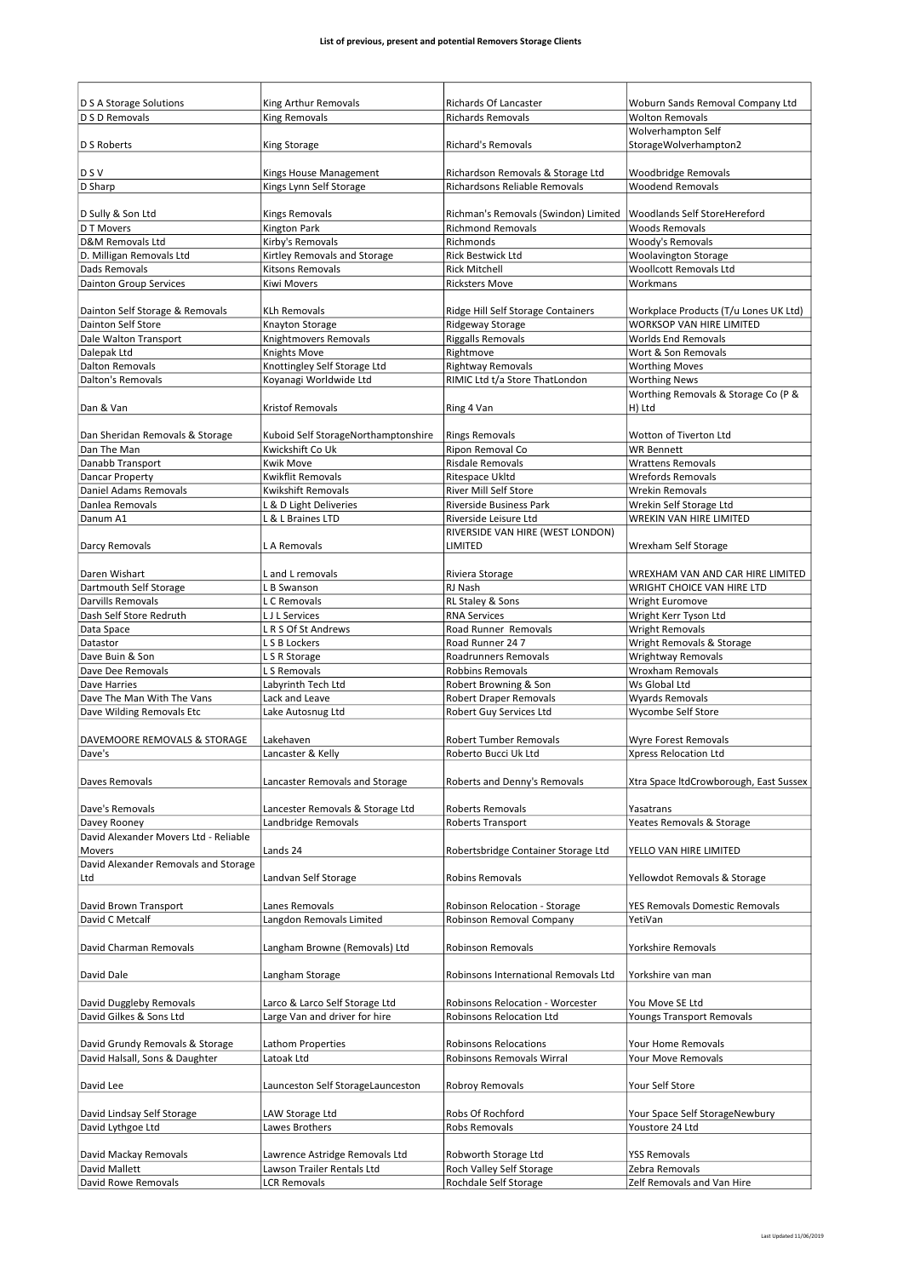| D S A Storage Solutions<br>D S D Removals                         | King Arthur Removals<br><b>King Removals</b>           | Richards Of Lancaster<br><b>Richards Removals</b>         | Woburn Sands Removal Company Ltd<br><b>Wolton Removals</b>  |
|-------------------------------------------------------------------|--------------------------------------------------------|-----------------------------------------------------------|-------------------------------------------------------------|
|                                                                   |                                                        |                                                           | Wolverhampton Self                                          |
| D S Roberts                                                       | King Storage                                           | <b>Richard's Removals</b>                                 | StorageWolverhampton2                                       |
|                                                                   |                                                        |                                                           |                                                             |
| <b>DSV</b>                                                        | Kings House Management                                 | Richardson Removals & Storage Ltd                         | Woodbridge Removals                                         |
| D Sharp                                                           | Kings Lynn Self Storage                                | Richardsons Reliable Removals                             | <b>Woodend Removals</b>                                     |
|                                                                   |                                                        |                                                           |                                                             |
| D Sully & Son Ltd                                                 | <b>Kings Removals</b>                                  | Richman's Removals (Swindon) Limited                      | Woodlands Self StoreHereford                                |
| D T Movers                                                        | <b>Kington Park</b><br>Kirby's Removals                | <b>Richmond Removals</b><br>Richmonds                     | Woods Removals                                              |
| D&M Removals Ltd<br>D. Milligan Removals Ltd                      | Kirtley Removals and Storage                           | Rick Bestwick Ltd                                         | Woody's Removals<br><b>Woolavington Storage</b>             |
| Dads Removals                                                     | Kitsons Removals                                       | <b>Rick Mitchell</b>                                      | <b>Woollcott Removals Ltd</b>                               |
| <b>Dainton Group Services</b>                                     | <b>Kiwi Movers</b>                                     | <b>Ricksters Move</b>                                     | Workmans                                                    |
|                                                                   |                                                        |                                                           |                                                             |
| Dainton Self Storage & Removals                                   | <b>KLh Removals</b>                                    | Ridge Hill Self Storage Containers                        | Workplace Products (T/u Lones UK Ltd)                       |
| <b>Dainton Self Store</b>                                         | <b>Knayton Storage</b>                                 | Ridgeway Storage                                          | <b>WORKSOP VAN HIRE LIMITED</b>                             |
| Dale Walton Transport                                             | Knightmovers Removals                                  | <b>Riggalls Removals</b>                                  | <b>Worlds End Removals</b>                                  |
| Dalepak Ltd                                                       | <b>Knights Move</b>                                    | Rightmove                                                 | Wort & Son Removals                                         |
| <b>Dalton Removals</b><br><b>Dalton's Removals</b>                | Knottingley Self Storage Ltd<br>Koyanagi Worldwide Ltd | <b>Rightway Removals</b>                                  | <b>Worthing Moves</b>                                       |
|                                                                   |                                                        | RIMIC Ltd t/a Store ThatLondon                            | <b>Worthing News</b><br>Worthing Removals & Storage Co (P & |
| Dan & Van                                                         | <b>Kristof Removals</b>                                | Ring 4 Van                                                | H) Ltd                                                      |
|                                                                   |                                                        |                                                           |                                                             |
| Dan Sheridan Removals & Storage                                   | Kuboid Self StorageNorthamptonshire                    | <b>Rings Removals</b>                                     | Wotton of Tiverton Ltd                                      |
| Dan The Man                                                       | Kwickshift Co Uk                                       | Ripon Removal Co                                          | <b>WR Bennett</b>                                           |
| Danabb Transport                                                  | Kwik Move                                              | Risdale Removals                                          | <b>Wrattens Removals</b>                                    |
| Dancar Property                                                   | <b>Kwikflit Removals</b>                               | Ritespace Ukltd                                           | <b>Wrefords Removals</b>                                    |
| Daniel Adams Removals                                             | Kwikshift Removals                                     | River Mill Self Store                                     | <b>Wrekin Removals</b>                                      |
| Danlea Removals                                                   | L & D Light Deliveries                                 | <b>Riverside Business Park</b>                            | Wrekin Self Storage Ltd                                     |
| Danum A1                                                          | L & L Braines LTD                                      | Riverside Leisure Ltd                                     | <b>WREKIN VAN HIRE LIMITED</b>                              |
|                                                                   |                                                        | RIVERSIDE VAN HIRE (WEST LONDON)                          |                                                             |
| Darcy Removals                                                    | L A Removals                                           | LIMITED                                                   | Wrexham Self Storage                                        |
| Daren Wishart                                                     | L and L removals                                       | Riviera Storage                                           | WREXHAM VAN AND CAR HIRE LIMITED                            |
| Dartmouth Self Storage                                            | L B Swanson                                            | RJ Nash                                                   | WRIGHT CHOICE VAN HIRE LTD                                  |
| Darvills Removals                                                 | L C Removals                                           | RL Staley & Sons                                          | Wright Euromove                                             |
| Dash Self Store Redruth                                           | L J L Services                                         | <b>RNA Services</b>                                       | Wright Kerr Tyson Ltd                                       |
| Data Space                                                        | LR S Of St Andrews                                     | Road Runner Removals                                      | <b>Wright Removals</b>                                      |
| Datastor                                                          | L S B Lockers                                          | Road Runner 24 7                                          | Wright Removals & Storage                                   |
| Dave Buin & Son                                                   | L S R Storage                                          | Roadrunners Removals                                      | Wrightway Removals                                          |
| Dave Dee Removals                                                 | L S Removals                                           | <b>Robbins Removals</b>                                   | <b>Wroxham Removals</b>                                     |
| Dave Harries                                                      | Labyrinth Tech Ltd                                     | Robert Browning & Son                                     | Ws Global Ltd                                               |
| Dave The Man With The Vans                                        | Lack and Leave                                         | Robert Draper Removals                                    | <b>Wyards Removals</b>                                      |
| Dave Wilding Removals Etc                                         | Lake Autosnug Ltd                                      | Robert Guy Services Ltd                                   | Wycombe Self Store                                          |
| DAVEMOORE REMOVALS & STORAGE                                      | Lakehaven                                              | <b>Robert Tumber Removals</b>                             | Wyre Forest Removals                                        |
| Dave's                                                            | Lancaster & Kelly                                      | Roberto Bucci Uk Ltd                                      | <b>Xpress Relocation Ltd</b>                                |
|                                                                   |                                                        |                                                           |                                                             |
| Daves Removals                                                    | Lancaster Removals and Storage                         | Roberts and Denny's Removals                              | Xtra Space ItdCrowborough, East Sussex                      |
|                                                                   |                                                        |                                                           |                                                             |
| Dave's Removals                                                   | Lancester Removals & Storage Ltd                       | <b>Roberts Removals</b>                                   | Yasatrans                                                   |
| Davey Rooney                                                      | Landbridge Removals                                    | Roberts Transport                                         | Yeates Removals & Storage                                   |
| David Alexander Movers Ltd - Reliable                             |                                                        |                                                           |                                                             |
| <b>Movers</b>                                                     | Lands 24                                               | Robertsbridge Container Storage Ltd                       | YELLO VAN HIRE LIMITED                                      |
| David Alexander Removals and Storage                              |                                                        |                                                           |                                                             |
| Ltd                                                               | Landvan Self Storage                                   | <b>Robins Removals</b>                                    | Yellowdot Removals & Storage                                |
| David Brown Transport                                             | Lanes Removals                                         | Robinson Relocation - Storage                             | YES Removals Domestic Removals                              |
| David C Metcalf                                                   | Langdon Removals Limited                               | Robinson Removal Company                                  | YetiVan                                                     |
|                                                                   |                                                        |                                                           |                                                             |
| David Charman Removals                                            | Langham Browne (Removals) Ltd                          | Robinson Removals                                         | Yorkshire Removals                                          |
|                                                                   |                                                        |                                                           |                                                             |
| David Dale                                                        | Langham Storage                                        | Robinsons International Removals Ltd                      | Yorkshire van man                                           |
|                                                                   |                                                        |                                                           |                                                             |
| David Duggleby Removals                                           | Larco & Larco Self Storage Ltd                         | Robinsons Relocation - Worcester                          | You Move SE Ltd                                             |
| David Gilkes & Sons Ltd                                           | Large Van and driver for hire                          | Robinsons Relocation Ltd                                  | Youngs Transport Removals                                   |
|                                                                   |                                                        |                                                           |                                                             |
| David Grundy Removals & Storage<br>David Halsall, Sons & Daughter | Lathom Properties<br>Latoak Ltd                        | <b>Robinsons Relocations</b><br>Robinsons Removals Wirral | Your Home Removals<br>Your Move Removals                    |
|                                                                   |                                                        |                                                           |                                                             |
| David Lee                                                         | Launceston Self StorageLaunceston                      | Robroy Removals                                           | Your Self Store                                             |
|                                                                   |                                                        |                                                           |                                                             |
| David Lindsay Self Storage                                        | LAW Storage Ltd                                        | Robs Of Rochford                                          | Your Space Self StorageNewbury                              |
| David Lythgoe Ltd                                                 | Lawes Brothers                                         | Robs Removals                                             | Youstore 24 Ltd                                             |
|                                                                   |                                                        |                                                           |                                                             |
| David Mackay Removals                                             | Lawrence Astridge Removals Ltd                         | Robworth Storage Ltd                                      | <b>YSS Removals</b>                                         |
| David Mallett                                                     | Lawson Trailer Rentals Ltd                             | Roch Valley Self Storage                                  | Zebra Removals                                              |
| David Rowe Removals                                               | <b>LCR Removals</b>                                    | Rochdale Self Storage                                     | Zelf Removals and Van Hire                                  |